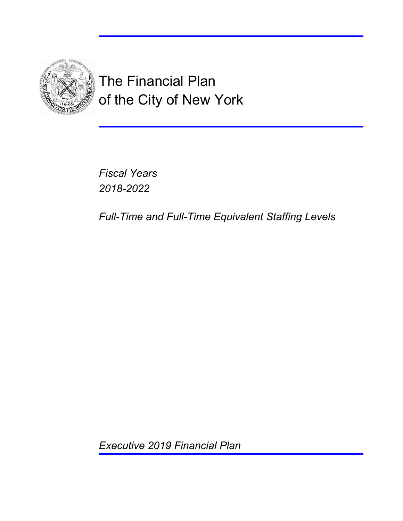

The Financial Plan of the City of New York

*Fiscal Years 2018-2022*

*Full-Time and Full-Time Equivalent Staffing Levels*

*Executive 2019 Financial Plan*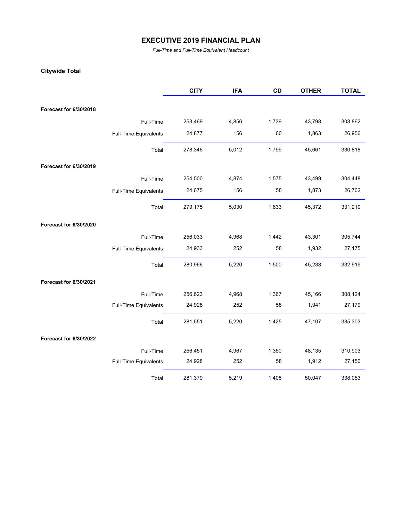*Full-Time and Full-Time Equivalent Headcount*

#### **Citywide Total**

|                               |                              | <b>CITY</b> | <b>IFA</b> | CD    | <b>OTHER</b> | <b>TOTAL</b> |
|-------------------------------|------------------------------|-------------|------------|-------|--------------|--------------|
| Forecast for 6/30/2018        |                              |             |            |       |              |              |
|                               |                              |             |            |       |              |              |
|                               | Full-Time                    | 253,469     | 4,856      | 1,739 | 43,798       | 303,862      |
|                               | Full-Time Equivalents        | 24,877      | 156        | 60    | 1,863        | 26,956       |
|                               | Total                        | 278,346     | 5,012      | 1,799 | 45,661       | 330,818      |
| Forecast for 6/30/2019        |                              |             |            |       |              |              |
|                               | Full-Time                    | 254,500     | 4,874      | 1,575 | 43,499       | 304,448      |
|                               | Full-Time Equivalents        | 24,675      | 156        | 58    | 1,873        | 26,762       |
|                               | Total                        | 279,175     | 5,030      | 1,633 | 45,372       | 331,210      |
| Forecast for 6/30/2020        |                              |             |            |       |              |              |
|                               | Full-Time                    | 256,033     | 4,968      | 1,442 | 43,301       | 305,744      |
|                               | Full-Time Equivalents        | 24,933      | 252        | 58    | 1,932        | 27,175       |
|                               | Total                        | 280,966     | 5,220      | 1,500 | 45,233       | 332,919      |
| <b>Forecast for 6/30/2021</b> |                              |             |            |       |              |              |
|                               | Full-Time                    | 256,623     | 4,968      | 1,367 | 45,166       | 308,124      |
|                               | Full-Time Equivalents        | 24,928      | 252        | 58    | 1,941        | 27,179       |
|                               | Total                        | 281,551     | 5,220      | 1,425 | 47,107       | 335,303      |
| Forecast for 6/30/2022        |                              |             |            |       |              |              |
|                               | Full-Time                    | 256,451     | 4,967      | 1,350 | 48,135       | 310,903      |
|                               | <b>Full-Time Equivalents</b> | 24,928      | 252        | 58    | 1,912        | 27,150       |
|                               | Total                        | 281,379     | 5,219      | 1,408 | 50,047       | 338,053      |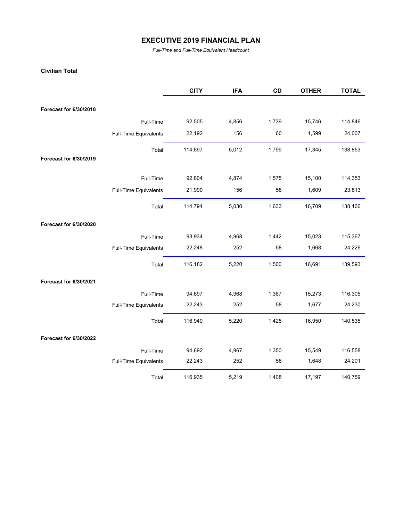*Full-Time and Full-Time Equivalent Headcount*

#### **Civilian Total**

|                               |                       | <b>CITY</b> | <b>IFA</b> | CD    | <b>OTHER</b> | <b>TOTAL</b> |
|-------------------------------|-----------------------|-------------|------------|-------|--------------|--------------|
|                               |                       |             |            |       |              |              |
| Forecast for 6/30/2018        |                       |             |            |       |              |              |
|                               | Full-Time             | 92,505      | 4,856      | 1,739 | 15,746       | 114,846      |
|                               | Full-Time Equivalents | 22,192      | 156        | 60    | 1,599        | 24,007       |
|                               | Total                 | 114,697     | 5,012      | 1,799 | 17,345       | 138,853      |
| Forecast for 6/30/2019        |                       |             |            |       |              |              |
|                               | Full-Time             | 92,804      | 4,874      | 1,575 | 15,100       | 114,353      |
|                               | Full-Time Equivalents | 21,990      | 156        | 58    | 1,609        | 23,813       |
|                               | Total                 | 114,794     | 5,030      | 1,633 | 16,709       | 138,166      |
| <b>Forecast for 6/30/2020</b> |                       |             |            |       |              |              |
|                               | Full-Time             | 93,934      | 4,968      | 1,442 | 15,023       | 115,367      |
|                               | Full-Time Equivalents | 22,248      | 252        | 58    | 1,668        | 24,226       |
|                               | Total                 | 116,182     | 5,220      | 1,500 | 16,691       | 139,593      |
| Forecast for 6/30/2021        |                       |             |            |       |              |              |
|                               | Full-Time             | 94,697      | 4,968      | 1,367 | 15,273       | 116,305      |
|                               | Full-Time Equivalents | 22,243      | 252        | 58    | 1,677        | 24,230       |
|                               | Total                 | 116,940     | 5,220      | 1,425 | 16,950       | 140,535      |
| Forecast for 6/30/2022        |                       |             |            |       |              |              |
|                               | Full-Time             | 94,692      | 4,967      | 1,350 | 15,549       | 116,558      |
|                               | Full-Time Equivalents | 22,243      | 252        | 58    | 1,648        | 24,201       |
|                               | Total                 | 116,935     | 5,219      | 1,408 | 17,197       | 140,759      |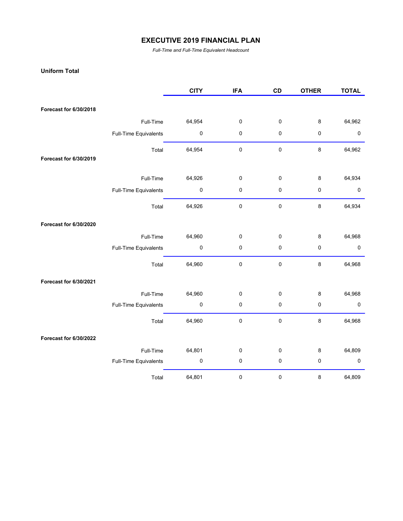*Full-Time and Full-Time Equivalent Headcount*

#### **Uniform Total**

|                        |                       | <b>CITY</b> | <b>IFA</b>  | CD          | <b>OTHER</b> | <b>TOTAL</b> |
|------------------------|-----------------------|-------------|-------------|-------------|--------------|--------------|
| Forecast for 6/30/2018 |                       |             |             |             |              |              |
|                        |                       |             |             |             |              |              |
|                        | Full-Time             | 64,954      | $\pmb{0}$   | $\pmb{0}$   | 8            | 64,962       |
|                        | Full-Time Equivalents | $\pmb{0}$   | $\pmb{0}$   | $\pmb{0}$   | 0            | 0            |
|                        | Total                 | 64,954      | $\mathbf 0$ | $\mathbf 0$ | 8            | 64,962       |
| Forecast for 6/30/2019 |                       |             |             |             |              |              |
|                        | Full-Time             | 64,926      | 0           | $\pmb{0}$   | 8            | 64,934       |
|                        | Full-Time Equivalents | 0           | 0           | 0           | 0            | 0            |
|                        | Total                 | 64,926      | 0           | $\pmb{0}$   | 8            | 64,934       |
| Forecast for 6/30/2020 |                       |             |             |             |              |              |
|                        | Full-Time             | 64,960      | 0           | 0           | 8            | 64,968       |
|                        | Full-Time Equivalents | $\pmb{0}$   | 0           | $\pmb{0}$   | 0            | $\pmb{0}$    |
|                        | Total                 | 64,960      | $\pmb{0}$   | $\pmb{0}$   | 8            | 64,968       |
| Forecast for 6/30/2021 |                       |             |             |             |              |              |
|                        | Full-Time             | 64,960      | 0           | $\pmb{0}$   | 8            | 64,968       |
|                        | Full-Time Equivalents | 0           | 0           | $\pmb{0}$   | 0            | $\pmb{0}$    |
|                        | Total                 | 64,960      | $\mathbf 0$ | $\pmb{0}$   | 8            | 64,968       |
| Forecast for 6/30/2022 |                       |             |             |             |              |              |
|                        | Full-Time             | 64,801      | $\mathbf 0$ | $\pmb{0}$   | 8            | 64,809       |
|                        | Full-Time Equivalents | 0           | 0           | $\pmb{0}$   | 0            | $\pmb{0}$    |
|                        | Total                 | 64,801      | 0           | $\pmb{0}$   | 8            | 64,809       |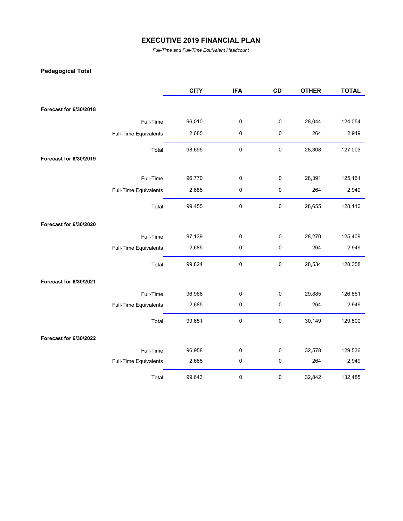*Full-Time and Full-Time Equivalent Headcount*

## **Pedagogical Total**

|                        |                       | <b>CITY</b> | <b>IFA</b>  | CD        | <b>OTHER</b> | <b>TOTAL</b> |
|------------------------|-----------------------|-------------|-------------|-----------|--------------|--------------|
|                        |                       |             |             |           |              |              |
| Forecast for 6/30/2018 |                       |             |             |           |              |              |
|                        | Full-Time             | 96,010      | 0           | $\pmb{0}$ | 28,044       | 124,054      |
|                        | Full-Time Equivalents | 2,685       | $\pmb{0}$   | $\pmb{0}$ | 264          | 2,949        |
|                        | Total                 | 98,695      | 0           | $\pmb{0}$ | 28,308       | 127,003      |
| Forecast for 6/30/2019 |                       |             |             |           |              |              |
|                        | Full-Time             | 96,770      | 0           | $\pmb{0}$ | 28,391       | 125,161      |
|                        | Full-Time Equivalents | 2,685       | $\pmb{0}$   | $\pmb{0}$ | 264          | 2,949        |
|                        | Total                 | 99,455      | 0           | $\pmb{0}$ | 28,655       | 128,110      |
| Forecast for 6/30/2020 |                       |             |             |           |              |              |
|                        | Full-Time             | 97,139      | 0           | $\pmb{0}$ | 28,270       | 125,409      |
|                        | Full-Time Equivalents | 2,685       | $\pmb{0}$   | $\pmb{0}$ | 264          | 2,949        |
|                        | Total                 | 99,824      | $\pmb{0}$   | $\pmb{0}$ | 28,534       | 128,358      |
| Forecast for 6/30/2021 |                       |             |             |           |              |              |
|                        | Full-Time             | 96,966      | 0           | $\pmb{0}$ | 29,885       | 126,851      |
|                        | Full-Time Equivalents | 2,685       | $\pmb{0}$   | $\pmb{0}$ | 264          | 2,949        |
|                        | Total                 | 99,651      | $\pmb{0}$   | $\pmb{0}$ | 30,149       | 129,800      |
| Forecast for 6/30/2022 |                       |             |             |           |              |              |
|                        | Full-Time             | 96,958      | $\mathbf 0$ | $\pmb{0}$ | 32,578       | 129,536      |
|                        | Full-Time Equivalents | 2,685       | $\pmb{0}$   | $\pmb{0}$ | 264          | 2,949        |
|                        | Total                 | 99,643      | 0           | $\pmb{0}$ | 32,842       | 132,485      |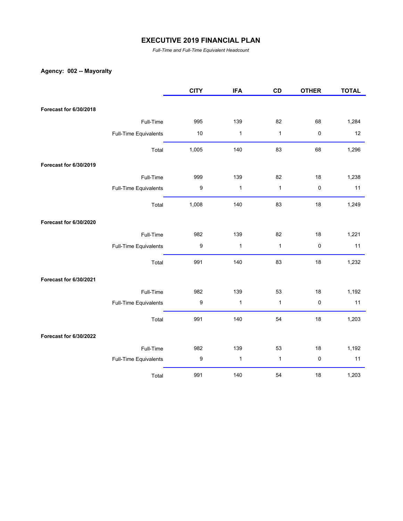*Full-Time and Full-Time Equivalent Headcount*

## **Agency: 002 -- Mayoralty**

|                        |                       | <b>CITY</b>      | <b>IFA</b>   | CD           | <b>OTHER</b> | <b>TOTAL</b> |
|------------------------|-----------------------|------------------|--------------|--------------|--------------|--------------|
|                        |                       |                  |              |              |              |              |
| Forecast for 6/30/2018 |                       |                  |              |              |              |              |
|                        | Full-Time             | 995              | 139          | 82           | 68           | 1,284        |
|                        | Full-Time Equivalents | $10$             | $\mathbf{1}$ | $\mathbf{1}$ | $\pmb{0}$    | 12           |
|                        | Total                 | 1,005            | 140          | 83           | 68           | 1,296        |
| Forecast for 6/30/2019 |                       |                  |              |              |              |              |
|                        | Full-Time             | 999              | 139          | 82           | 18           | 1,238        |
|                        | Full-Time Equivalents | $\boldsymbol{9}$ | $\mathbf{1}$ | $\mathbf{1}$ | $\pmb{0}$    | 11           |
|                        | Total                 | 1,008            | 140          | 83           | 18           | 1,249        |
| Forecast for 6/30/2020 |                       |                  |              |              |              |              |
|                        | Full-Time             | 982              | 139          | 82           | 18           | 1,221        |
|                        | Full-Time Equivalents | 9                | $\mathbf{1}$ | $\mathbf{1}$ | $\pmb{0}$    | 11           |
|                        | Total                 | 991              | 140          | 83           | 18           | 1,232        |
| Forecast for 6/30/2021 |                       |                  |              |              |              |              |
|                        | Full-Time             | 982              | 139          | 53           | 18           | 1,192        |
|                        | Full-Time Equivalents | 9                | $\mathbf{1}$ | $\mathbf{1}$ | $\pmb{0}$    | 11           |
|                        | Total                 | 991              | 140          | 54           | 18           | 1,203        |
| Forecast for 6/30/2022 |                       |                  |              |              |              |              |
|                        | Full-Time             | 982              | 139          | 53           | 18           | 1,192        |
|                        | Full-Time Equivalents | 9                | $\mathbf{1}$ | $\mathbf{1}$ | $\pmb{0}$    | 11           |
|                        | Total                 | 991              | 140          | 54           | 18           | 1,203        |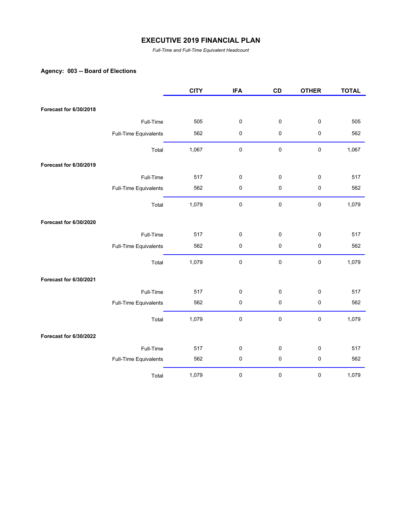*Full-Time and Full-Time Equivalent Headcount*

## **Agency: 003 -- Board of Elections**

|                        |                       | <b>CITY</b> | <b>IFA</b> | CD        | <b>OTHER</b> | <b>TOTAL</b> |
|------------------------|-----------------------|-------------|------------|-----------|--------------|--------------|
| Forecast for 6/30/2018 |                       |             |            |           |              |              |
|                        |                       |             |            |           |              |              |
|                        | Full-Time             | 505         | 0          | $\pmb{0}$ | $\pmb{0}$    | 505          |
|                        | Full-Time Equivalents | 562         | 0          | $\pmb{0}$ | $\pmb{0}$    | 562          |
|                        | Total                 | 1,067       | $\pmb{0}$  | $\pmb{0}$ | $\pmb{0}$    | 1,067        |
| Forecast for 6/30/2019 |                       |             |            |           |              |              |
|                        | Full-Time             | 517         | 0          | 0         | 0            | 517          |
|                        | Full-Time Equivalents | 562         | $\pmb{0}$  | 0         | $\pmb{0}$    | 562          |
|                        | Total                 | 1,079       | 0          | $\pmb{0}$ | $\pmb{0}$    | 1,079        |
| Forecast for 6/30/2020 |                       |             |            |           |              |              |
|                        | Full-Time             | 517         | 0          | $\pmb{0}$ | 0            | 517          |
|                        | Full-Time Equivalents | 562         | $\pmb{0}$  | 0         | $\pmb{0}$    | 562          |
|                        | Total                 | 1,079       | 0          | 0         | $\pmb{0}$    | 1,079        |
| Forecast for 6/30/2021 |                       |             |            |           |              |              |
|                        | Full-Time             | 517         | 0          | 0         | 0            | 517          |
|                        | Full-Time Equivalents | 562         | 0          | 0         | $\pmb{0}$    | 562          |
|                        | Total                 | 1,079       | 0          | 0         | $\pmb{0}$    | 1,079        |
| Forecast for 6/30/2022 |                       |             |            |           |              |              |
|                        | Full-Time             | 517         | 0          | 0         | 0            | 517          |
|                        | Full-Time Equivalents | 562         | $\pmb{0}$  | 0         | $\pmb{0}$    | 562          |
|                        | Total                 | 1,079       | 0          | 0         | 0            | 1,079        |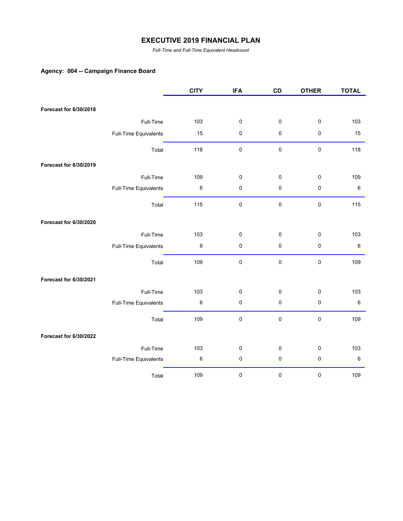*Full-Time and Full-Time Equivalent Headcount*

## **Agency: 004 -- Campaign Finance Board**

|                        |                       | <b>CITY</b> | <b>IFA</b>  | CD        | <b>OTHER</b> | <b>TOTAL</b> |
|------------------------|-----------------------|-------------|-------------|-----------|--------------|--------------|
| Forecast for 6/30/2018 |                       |             |             |           |              |              |
|                        |                       |             |             |           |              |              |
|                        | Full-Time             | 103         | 0           | $\pmb{0}$ | $\pmb{0}$    | 103          |
|                        | Full-Time Equivalents | 15          | 0           | $\pmb{0}$ | $\pmb{0}$    | 15           |
|                        | Total                 | 118         | $\mathsf 0$ | $\pmb{0}$ | $\pmb{0}$    | 118          |
| Forecast for 6/30/2019 |                       |             |             |           |              |              |
|                        | Full-Time             | 109         | 0           | 0         | $\pmb{0}$    | 109          |
|                        | Full-Time Equivalents | $\,6$       | $\pmb{0}$   | $\pmb{0}$ | $\pmb{0}$    | $\,6\,$      |
|                        | Total                 | 115         | 0           | $\pmb{0}$ | $\pmb{0}$    | 115          |
| Forecast for 6/30/2020 |                       |             |             |           |              |              |
|                        | Full-Time             | 103         | 0           | $\pmb{0}$ | $\pmb{0}$    | 103          |
|                        | Full-Time Equivalents | $\,6$       | $\pmb{0}$   | $\pmb{0}$ | $\pmb{0}$    | $\,6\,$      |
|                        | Total                 | 109         | 0           | 0         | $\pmb{0}$    | 109          |
| Forecast for 6/30/2021 |                       |             |             |           |              |              |
|                        | Full-Time             | 103         | 0           | 0         | $\pmb{0}$    | 103          |
|                        | Full-Time Equivalents | 6           | 0           | $\pmb{0}$ | $\pmb{0}$    | $\,6\,$      |
|                        | Total                 | 109         | 0           | $\pmb{0}$ | $\pmb{0}$    | 109          |
| Forecast for 6/30/2022 |                       |             |             |           |              |              |
|                        | Full-Time             | 103         | 0           | 0         | $\pmb{0}$    | 103          |
|                        | Full-Time Equivalents | $\,6$       | $\pmb{0}$   | $\pmb{0}$ | $\pmb{0}$    | $\,6\,$      |
|                        | Total                 | 109         | $\pmb{0}$   | 0         | 0            | 109          |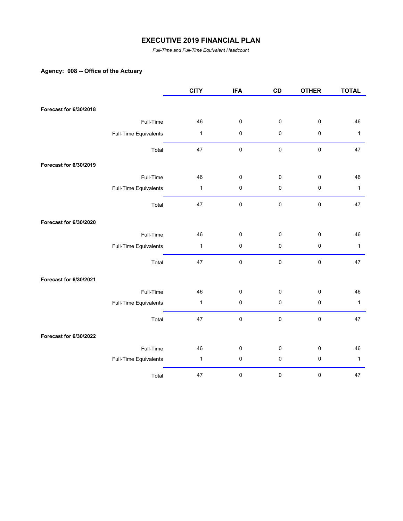*Full-Time and Full-Time Equivalent Headcount*

## **Agency: 008 -- Office of the Actuary**

|                        |                       | <b>CITY</b>  | <b>IFA</b> | CD        | <b>OTHER</b> | <b>TOTAL</b> |
|------------------------|-----------------------|--------------|------------|-----------|--------------|--------------|
|                        |                       |              |            |           |              |              |
| Forecast for 6/30/2018 |                       |              |            |           |              |              |
|                        | Full-Time             | 46           | $\pmb{0}$  | 0         | $\pmb{0}$    | 46           |
|                        | Full-Time Equivalents | $\mathbf{1}$ | $\pmb{0}$  | 0         | $\pmb{0}$    | $\mathbf{1}$ |
|                        | Total                 | 47           | $\pmb{0}$  | $\pmb{0}$ | $\pmb{0}$    | 47           |
| Forecast for 6/30/2019 |                       |              |            |           |              |              |
|                        | Full-Time             | 46           | $\pmb{0}$  | 0         | $\pmb{0}$    | 46           |
|                        | Full-Time Equivalents | $\mathbf{1}$ | $\pmb{0}$  | 0         | $\pmb{0}$    | $\mathbf{1}$ |
|                        | Total                 | 47           | $\pmb{0}$  | 0         | $\pmb{0}$    | 47           |
| Forecast for 6/30/2020 |                       |              |            |           |              |              |
|                        | Full-Time             | 46           | $\pmb{0}$  | 0         | $\pmb{0}$    | 46           |
|                        | Full-Time Equivalents | $\mathbf{1}$ | $\pmb{0}$  | 0         | $\pmb{0}$    | $\mathbf{1}$ |
|                        | Total                 | 47           | $\pmb{0}$  | $\pmb{0}$ | $\pmb{0}$    | 47           |
| Forecast for 6/30/2021 |                       |              |            |           |              |              |
|                        | Full-Time             | 46           | $\pmb{0}$  | 0         | $\pmb{0}$    | 46           |
|                        | Full-Time Equivalents | $\mathbf{1}$ | $\pmb{0}$  | $\pmb{0}$ | $\pmb{0}$    | $\mathbf{1}$ |
|                        | Total                 | 47           | $\pmb{0}$  | 0         | $\pmb{0}$    | 47           |
| Forecast for 6/30/2022 |                       |              |            |           |              |              |
|                        | Full-Time             | 46           | $\pmb{0}$  | 0         | $\pmb{0}$    | 46           |
|                        | Full-Time Equivalents | $\mathbf{1}$ | $\pmb{0}$  | 0         | $\pmb{0}$    | $\mathbf{1}$ |
|                        | Total                 | 47           | $\pmb{0}$  | 0         | $\pmb{0}$    | 47           |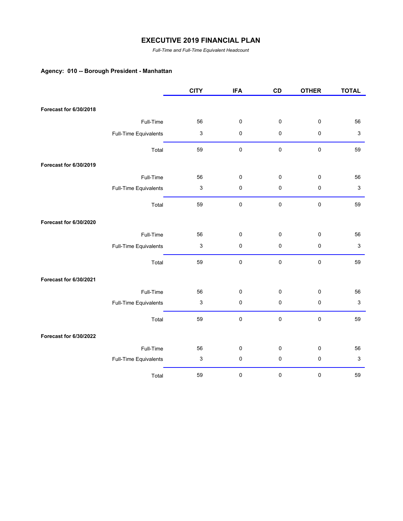*Full-Time and Full-Time Equivalent Headcount*

## **Agency: 010 -- Borough President - Manhattan**

|                        |                       | <b>CITY</b>               | <b>IFA</b> | CD          | <b>OTHER</b> | <b>TOTAL</b>              |
|------------------------|-----------------------|---------------------------|------------|-------------|--------------|---------------------------|
|                        |                       |                           |            |             |              |                           |
| Forecast for 6/30/2018 |                       |                           |            |             |              |                           |
|                        | Full-Time             | 56                        | $\pmb{0}$  | 0           | $\pmb{0}$    | 56                        |
|                        | Full-Time Equivalents | $\ensuremath{\mathsf{3}}$ | $\pmb{0}$  | 0           | $\pmb{0}$    | $\sqrt{3}$                |
|                        | Total                 | 59                        | $\pmb{0}$  | $\mathbf 0$ | $\pmb{0}$    | 59                        |
| Forecast for 6/30/2019 |                       |                           |            |             |              |                           |
|                        | Full-Time             | 56                        | $\pmb{0}$  | 0           | $\pmb{0}$    | 56                        |
|                        | Full-Time Equivalents | $\ensuremath{\mathsf{3}}$ | $\pmb{0}$  | 0           | $\pmb{0}$    | $\ensuremath{\mathsf{3}}$ |
|                        | Total                 | 59                        | $\pmb{0}$  | 0           | $\pmb{0}$    | 59                        |
| Forecast for 6/30/2020 |                       |                           |            |             |              |                           |
|                        | Full-Time             | 56                        | $\pmb{0}$  | $\pmb{0}$   | $\mathbf 0$  | 56                        |
|                        | Full-Time Equivalents | $\mathsf 3$               | $\pmb{0}$  | 0           | $\pmb{0}$    | $\mathbf{3}$              |
|                        | Total                 | 59                        | $\pmb{0}$  | $\pmb{0}$   | $\pmb{0}$    | 59                        |
| Forecast for 6/30/2021 |                       |                           |            |             |              |                           |
|                        | Full-Time             | 56                        | $\pmb{0}$  | 0           | $\pmb{0}$    | 56                        |
|                        | Full-Time Equivalents | $\ensuremath{\mathsf{3}}$ | $\pmb{0}$  | 0           | $\pmb{0}$    | $\sqrt{3}$                |
|                        | Total                 | 59                        | $\pmb{0}$  | $\mathbf 0$ | $\pmb{0}$    | 59                        |
| Forecast for 6/30/2022 |                       |                           |            |             |              |                           |
|                        | Full-Time             | 56                        | $\pmb{0}$  | 0           | $\pmb{0}$    | 56                        |
|                        | Full-Time Equivalents | $\ensuremath{\mathsf{3}}$ | $\pmb{0}$  | 0           | $\pmb{0}$    | $\ensuremath{\mathsf{3}}$ |
|                        | Total                 | 59                        | 0          | 0           | $\pmb{0}$    | 59                        |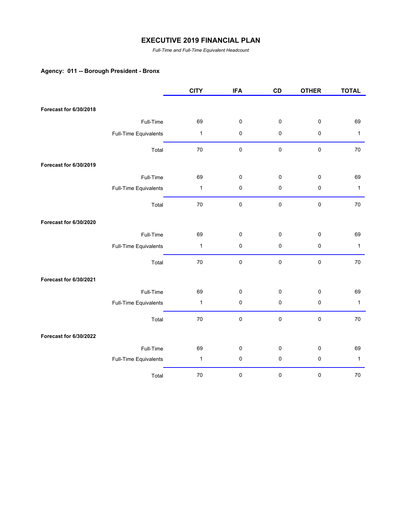*Full-Time and Full-Time Equivalent Headcount*

## **Agency: 011 -- Borough President - Bronx**

|                        |                       | <b>CITY</b>  | <b>IFA</b> | CD        | <b>OTHER</b> | <b>TOTAL</b> |
|------------------------|-----------------------|--------------|------------|-----------|--------------|--------------|
|                        |                       |              |            |           |              |              |
| Forecast for 6/30/2018 |                       |              |            |           |              |              |
|                        | Full-Time             | 69           | $\pmb{0}$  | $\pmb{0}$ | $\pmb{0}$    | 69           |
|                        | Full-Time Equivalents | $\mathbf{1}$ | $\pmb{0}$  | $\pmb{0}$ | $\pmb{0}$    | $\mathbf{1}$ |
|                        | Total                 | 70           | $\pmb{0}$  | $\pmb{0}$ | $\pmb{0}$    | 70           |
| Forecast for 6/30/2019 |                       |              |            |           |              |              |
|                        | Full-Time             | 69           | 0          | 0         | $\pmb{0}$    | 69           |
|                        | Full-Time Equivalents | $\mathbf{1}$ | $\pmb{0}$  | $\pmb{0}$ | $\pmb{0}$    | $\mathbf{1}$ |
|                        | Total                 | 70           | $\pmb{0}$  | $\pmb{0}$ | $\pmb{0}$    | 70           |
| Forecast for 6/30/2020 |                       |              |            |           |              |              |
|                        | Full-Time             | 69           | 0          | $\pmb{0}$ | $\mathbf 0$  | 69           |
|                        | Full-Time Equivalents | $\mathbf{1}$ | 0          | $\pmb{0}$ | $\pmb{0}$    | $\mathbf{1}$ |
|                        | Total                 | 70           | 0          | $\pmb{0}$ | $\pmb{0}$    | 70           |
| Forecast for 6/30/2021 |                       |              |            |           |              |              |
|                        | Full-Time             | 69           | 0          | 0         | 0            | 69           |
|                        | Full-Time Equivalents | 1            | 0          | $\pmb{0}$ | $\pmb{0}$    | $\mathbf{1}$ |
|                        | Total                 | 70           | $\pmb{0}$  | $\pmb{0}$ | $\pmb{0}$    | 70           |
| Forecast for 6/30/2022 |                       |              |            |           |              |              |
|                        | Full-Time             | 69           | 0          | 0         | $\pmb{0}$    | 69           |
|                        | Full-Time Equivalents | 1            | 0          | $\pmb{0}$ | $\pmb{0}$    | $\mathbf{1}$ |
|                        | Total                 | 70           | 0          | $\pmb{0}$ | $\pmb{0}$    | 70           |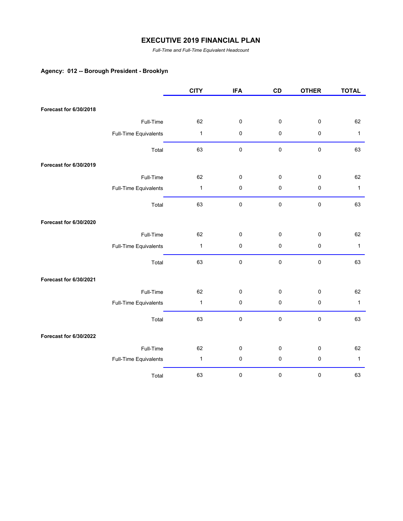*Full-Time and Full-Time Equivalent Headcount*

## **Agency: 012 -- Borough President - Brooklyn**

|                        |                       | <b>CITY</b>  | <b>IFA</b> | CD        | <b>OTHER</b> | <b>TOTAL</b> |
|------------------------|-----------------------|--------------|------------|-----------|--------------|--------------|
| Forecast for 6/30/2018 |                       |              |            |           |              |              |
|                        |                       |              |            |           |              |              |
|                        | Full-Time             | 62           | $\pmb{0}$  | $\pmb{0}$ | $\pmb{0}$    | 62           |
|                        | Full-Time Equivalents | $\mathbf{1}$ | $\pmb{0}$  | 0         | $\pmb{0}$    | $\mathbf{1}$ |
|                        | Total                 | 63           | $\pmb{0}$  | $\pmb{0}$ | $\pmb{0}$    | 63           |
| Forecast for 6/30/2019 |                       |              |            |           |              |              |
|                        | Full-Time             | 62           | $\pmb{0}$  | 0         | $\pmb{0}$    | 62           |
|                        | Full-Time Equivalents | 1            | $\pmb{0}$  | 0         | $\pmb{0}$    | $\mathbf{1}$ |
|                        | Total                 | 63           | $\pmb{0}$  | $\pmb{0}$ | $\pmb{0}$    | 63           |
| Forecast for 6/30/2020 |                       |              |            |           |              |              |
|                        | Full-Time             | 62           | $\pmb{0}$  | 0         | $\pmb{0}$    | 62           |
|                        | Full-Time Equivalents | $\mathbf{1}$ | $\pmb{0}$  | 0         | $\pmb{0}$    | $\mathbf{1}$ |
|                        | Total                 | 63           | $\pmb{0}$  | 0         | $\pmb{0}$    | 63           |
| Forecast for 6/30/2021 |                       |              |            |           |              |              |
|                        | Full-Time             | 62           | $\pmb{0}$  | 0         | $\pmb{0}$    | 62           |
|                        | Full-Time Equivalents | 1            | $\pmb{0}$  | 0         | $\pmb{0}$    | $\mathbf{1}$ |
|                        | Total                 | 63           | $\pmb{0}$  | 0         | $\pmb{0}$    | 63           |
| Forecast for 6/30/2022 |                       |              |            |           |              |              |
|                        | Full-Time             | 62           | $\pmb{0}$  | 0         | $\pmb{0}$    | 62           |
|                        | Full-Time Equivalents | $\mathbf{1}$ | $\pmb{0}$  | 0         | $\pmb{0}$    | $\mathbf{1}$ |
|                        | Total                 | 63           | 0          | 0         | $\pmb{0}$    | 63           |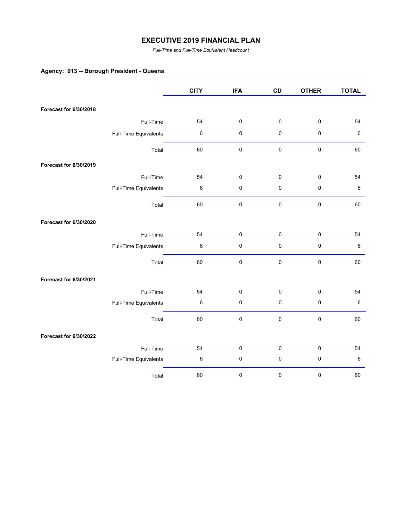*Full-Time and Full-Time Equivalent Headcount*

# **Agency: 013 -- Borough President - Queens**

|                        |                       | <b>CITY</b> | <b>IFA</b> | CD        | <b>OTHER</b> | <b>TOTAL</b> |
|------------------------|-----------------------|-------------|------------|-----------|--------------|--------------|
| Forecast for 6/30/2018 |                       |             |            |           |              |              |
|                        |                       |             |            |           |              |              |
|                        | Full-Time             | 54          | 0          | 0         | $\pmb{0}$    | 54           |
|                        | Full-Time Equivalents | 6           | 0          | 0         | $\pmb{0}$    | $\,6\,$      |
|                        | Total                 | 60          | 0          | $\pmb{0}$ | $\pmb{0}$    | 60           |
| Forecast for 6/30/2019 |                       |             |            |           |              |              |
|                        | Full-Time             | 54          | 0          | 0         | $\pmb{0}$    | 54           |
|                        | Full-Time Equivalents | 6           | 0          | 0         | $\pmb{0}$    | $\,6\,$      |
|                        | Total                 | 60          | $\pmb{0}$  | $\pmb{0}$ | $\pmb{0}$    | 60           |
| Forecast for 6/30/2020 |                       |             |            |           |              |              |
|                        | Full-Time             | 54          | 0          | 0         | $\pmb{0}$    | 54           |
|                        | Full-Time Equivalents | 6           | 0          | $\pmb{0}$ | $\pmb{0}$    | $\,6\,$      |
|                        | Total                 | 60          | $\pmb{0}$  | $\pmb{0}$ | $\pmb{0}$    | 60           |
| Forecast for 6/30/2021 |                       |             |            |           |              |              |
|                        | Full-Time             | 54          | 0          | 0         | $\pmb{0}$    | 54           |
|                        | Full-Time Equivalents | 6           | 0          | 0         | $\pmb{0}$    | $\,6\,$      |
|                        | Total                 | 60          | 0          | $\pmb{0}$ | $\pmb{0}$    | 60           |
| Forecast for 6/30/2022 |                       |             |            |           |              |              |
|                        | Full-Time             | 54          | 0          | 0         | 0            | 54           |
|                        | Full-Time Equivalents | 6           | $\pmb{0}$  | $\pmb{0}$ | $\pmb{0}$    | $\,6\,$      |
|                        | Total                 | 60          | $\pmb{0}$  | 0         | $\pmb{0}$    | 60           |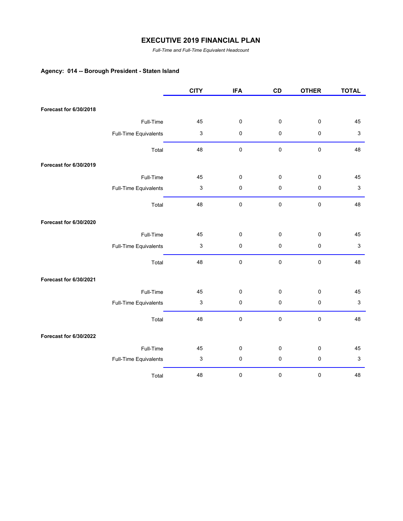*Full-Time and Full-Time Equivalent Headcount*

## **Agency: 014 -- Borough President - Staten Island**

|                        |                       | <b>CITY</b>               | <b>IFA</b> | CD        | <b>OTHER</b> | <b>TOTAL</b>              |
|------------------------|-----------------------|---------------------------|------------|-----------|--------------|---------------------------|
|                        |                       |                           |            |           |              |                           |
| Forecast for 6/30/2018 |                       |                           |            |           |              |                           |
|                        | Full-Time             | 45                        | 0          | 0         | $\pmb{0}$    | 45                        |
|                        | Full-Time Equivalents | $\ensuremath{\mathsf{3}}$ | 0          | 0         | $\pmb{0}$    | 3                         |
|                        | Total                 | 48                        | $\pmb{0}$  | $\pmb{0}$ | $\pmb{0}$    | 48                        |
| Forecast for 6/30/2019 |                       |                           |            |           |              |                           |
|                        | Full-Time             | 45                        | 0          | 0         | $\pmb{0}$    | 45                        |
|                        | Full-Time Equivalents | 3                         | $\pmb{0}$  | 0         | $\pmb{0}$    | $\ensuremath{\mathsf{3}}$ |
|                        | Total                 | 48                        | $\pmb{0}$  | $\pmb{0}$ | $\mathbf 0$  | 48                        |
| Forecast for 6/30/2020 |                       |                           |            |           |              |                           |
|                        | Full-Time             | 45                        | 0          | 0         | $\pmb{0}$    | 45                        |
|                        | Full-Time Equivalents | 3                         | 0          | $\pmb{0}$ | $\pmb{0}$    | 3                         |
|                        | Total                 | 48                        | 0          | $\pmb{0}$ | $\pmb{0}$    | 48                        |
| Forecast for 6/30/2021 |                       |                           |            |           |              |                           |
|                        | Full-Time             | 45                        | 0          | 0         | $\mathbf 0$  | 45                        |
|                        | Full-Time Equivalents | $\ensuremath{\mathsf{3}}$ | 0          | $\pmb{0}$ | $\pmb{0}$    | $\ensuremath{\mathsf{3}}$ |
|                        | Total                 | 48                        | 0          | $\pmb{0}$ | $\pmb{0}$    | 48                        |
| Forecast for 6/30/2022 |                       |                           |            |           |              |                           |
|                        | Full-Time             | 45                        | 0          | 0         | 0            | 45                        |
|                        | Full-Time Equivalents | 3                         | 0          | 0         | $\pmb{0}$    | 3                         |
|                        | Total                 | 48                        | $\pmb{0}$  | $\pmb{0}$ | $\pmb{0}$    | 48                        |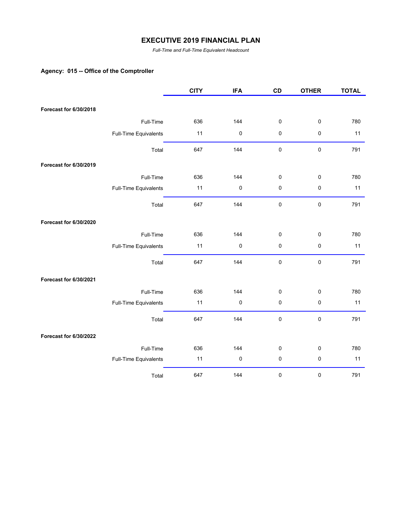*Full-Time and Full-Time Equivalent Headcount*

## **Agency: 015 -- Office of the Comptroller**

|                        |                       | <b>CITY</b> | <b>IFA</b> | CD | <b>OTHER</b> | <b>TOTAL</b> |
|------------------------|-----------------------|-------------|------------|----|--------------|--------------|
| Forecast for 6/30/2018 |                       |             |            |    |              |              |
|                        | Full-Time             | 636         | 144        | 0  | $\pmb{0}$    | 780          |
|                        | Full-Time Equivalents | 11          | $\pmb{0}$  | 0  | $\pmb{0}$    | 11           |
|                        |                       |             |            |    |              |              |
|                        | Total                 | 647         | 144        | 0  | $\pmb{0}$    | 791          |
| Forecast for 6/30/2019 |                       |             |            |    |              |              |
|                        | Full-Time             | 636         | 144        | 0  | $\pmb{0}$    | 780          |
|                        | Full-Time Equivalents | 11          | $\pmb{0}$  | 0  | $\pmb{0}$    | 11           |
|                        | Total                 | 647         | 144        | 0  | $\pmb{0}$    | 791          |
| Forecast for 6/30/2020 |                       |             |            |    |              |              |
|                        | Full-Time             | 636         | 144        | 0  | $\pmb{0}$    | 780          |
|                        | Full-Time Equivalents | 11          | $\pmb{0}$  | 0  | $\pmb{0}$    | 11           |
|                        | Total                 | 647         | 144        | 0  | $\pmb{0}$    | 791          |
| Forecast for 6/30/2021 |                       |             |            |    |              |              |
|                        | Full-Time             | 636         | 144        | 0  | $\pmb{0}$    | 780          |
|                        | Full-Time Equivalents | 11          | $\pmb{0}$  | 0  | $\pmb{0}$    | 11           |
|                        | Total                 | 647         | 144        | 0  | $\pmb{0}$    | 791          |
| Forecast for 6/30/2022 |                       |             |            |    |              |              |
|                        | Full-Time             | 636         | 144        | 0  | $\pmb{0}$    | 780          |
|                        | Full-Time Equivalents | 11          | $\pmb{0}$  | 0  | $\pmb{0}$    | 11           |
|                        | Total                 | 647         | 144        | 0  | $\pmb{0}$    | 791          |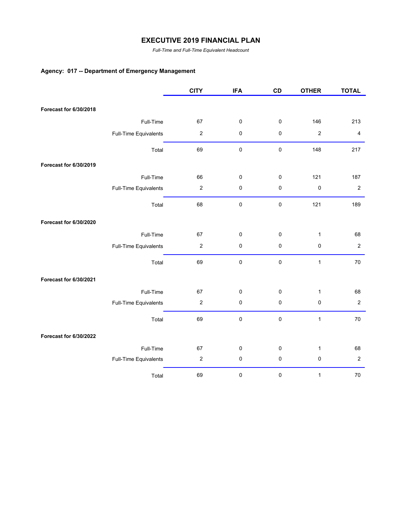*Full-Time and Full-Time Equivalent Headcount*

## **Agency: 017 -- Department of Emergency Management**

|                        |                       | <b>CITY</b>      | <b>IFA</b> | CD | <b>OTHER</b>     | <b>TOTAL</b>            |
|------------------------|-----------------------|------------------|------------|----|------------------|-------------------------|
|                        |                       |                  |            |    |                  |                         |
| Forecast for 6/30/2018 |                       |                  |            |    |                  |                         |
|                        | Full-Time             | 67               | $\pmb{0}$  | 0  | 146              | 213                     |
|                        | Full-Time Equivalents | $\boldsymbol{2}$ | $\pmb{0}$  | 0  | $\boldsymbol{2}$ | $\overline{\mathbf{4}}$ |
|                        | Total                 | 69               | $\pmb{0}$  | 0  | 148              | 217                     |
| Forecast for 6/30/2019 |                       |                  |            |    |                  |                         |
|                        | Full-Time             | 66               | $\pmb{0}$  | 0  | 121              | 187                     |
|                        | Full-Time Equivalents | $\boldsymbol{2}$ | $\pmb{0}$  | 0  | $\pmb{0}$        | $\boldsymbol{2}$        |
|                        | Total                 | 68               | $\pmb{0}$  | 0  | 121              | 189                     |
| Forecast for 6/30/2020 |                       |                  |            |    |                  |                         |
|                        | Full-Time             | 67               | $\pmb{0}$  | 0  | $\mathbf{1}$     | 68                      |
|                        | Full-Time Equivalents | $\mathbf 2$      | $\pmb{0}$  | 0  | $\pmb{0}$        | $\overline{2}$          |
|                        | Total                 | 69               | $\pmb{0}$  | 0  | $\mathbf{1}$     | 70                      |
| Forecast for 6/30/2021 |                       |                  |            |    |                  |                         |
|                        | Full-Time             | 67               | $\pmb{0}$  | 0  | $\mathbf{1}$     | 68                      |
|                        | Full-Time Equivalents | $\boldsymbol{2}$ | $\pmb{0}$  | 0  | $\pmb{0}$        | $\boldsymbol{2}$        |
|                        | Total                 | 69               | $\pmb{0}$  | 0  | $\mathbf{1}$     | 70                      |
| Forecast for 6/30/2022 |                       |                  |            |    |                  |                         |
|                        | Full-Time             | 67               | $\pmb{0}$  | 0  | $\mathbf{1}$     | 68                      |
|                        | Full-Time Equivalents | $\boldsymbol{2}$ | $\pmb{0}$  | 0  | $\pmb{0}$        | $\boldsymbol{2}$        |
|                        | Total                 | 69               | $\pmb{0}$  | 0  | $\mathbf{1}$     | $70\,$                  |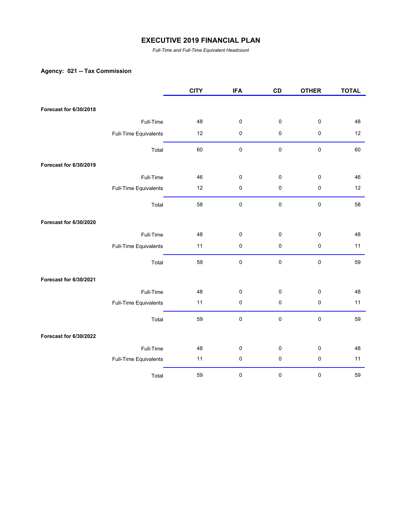*Full-Time and Full-Time Equivalent Headcount*

## **Agency: 021 -- Tax Commission**

|                        |                       | <b>CITY</b> | <b>IFA</b> | CD          | <b>OTHER</b> | <b>TOTAL</b> |
|------------------------|-----------------------|-------------|------------|-------------|--------------|--------------|
|                        |                       |             |            |             |              |              |
| Forecast for 6/30/2018 |                       |             |            |             |              |              |
|                        | Full-Time             | 48          | $\pmb{0}$  | $\pmb{0}$   | $\pmb{0}$    | 48           |
|                        | Full-Time Equivalents | 12          | $\pmb{0}$  | 0           | $\pmb{0}$    | 12           |
|                        | Total                 | 60          | $\pmb{0}$  | $\mathbf 0$ | $\pmb{0}$    | 60           |
| Forecast for 6/30/2019 |                       |             |            |             |              |              |
|                        | Full-Time             | 46          | $\pmb{0}$  | 0           | $\pmb{0}$    | 46           |
|                        | Full-Time Equivalents | 12          | $\pmb{0}$  | 0           | $\pmb{0}$    | 12           |
|                        | Total                 | 58          | $\pmb{0}$  | $\mathbf 0$ | $\pmb{0}$    | 58           |
| Forecast for 6/30/2020 |                       |             |            |             |              |              |
|                        | Full-Time             | 48          | $\pmb{0}$  | 0           | $\pmb{0}$    | 48           |
|                        | Full-Time Equivalents | 11          | $\pmb{0}$  | 0           | $\pmb{0}$    | 11           |
|                        | Total                 | 59          | $\pmb{0}$  | $\pmb{0}$   | $\pmb{0}$    | 59           |
| Forecast for 6/30/2021 |                       |             |            |             |              |              |
|                        | Full-Time             | 48          | $\pmb{0}$  | 0           | $\pmb{0}$    | 48           |
|                        | Full-Time Equivalents | 11          | $\pmb{0}$  | 0           | $\pmb{0}$    | 11           |
|                        | Total                 | 59          | $\pmb{0}$  | $\pmb{0}$   | $\pmb{0}$    | 59           |
| Forecast for 6/30/2022 |                       |             |            |             |              |              |
|                        | Full-Time             | 48          | $\pmb{0}$  | $\pmb{0}$   | $\pmb{0}$    | 48           |
|                        | Full-Time Equivalents | 11          | $\pmb{0}$  | 0           | $\pmb{0}$    | 11           |
|                        | Total                 | 59          | 0          | $\pmb{0}$   | $\pmb{0}$    | 59           |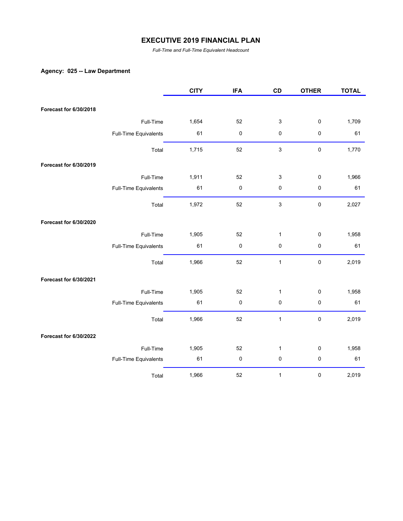*Full-Time and Full-Time Equivalent Headcount*

## **Agency: 025 -- Law Department**

|                        |                       | <b>CITY</b> | <b>IFA</b> | CD             | <b>OTHER</b> | <b>TOTAL</b> |
|------------------------|-----------------------|-------------|------------|----------------|--------------|--------------|
| Forecast for 6/30/2018 |                       |             |            |                |              |              |
|                        |                       |             |            |                |              |              |
|                        | Full-Time             | 1,654       | 52         | 3              | 0            | 1,709        |
|                        | Full-Time Equivalents | 61          | 0          | 0              | $\pmb{0}$    | 61           |
|                        | Total                 | 1,715       | 52         | 3              | $\pmb{0}$    | 1,770        |
| Forecast for 6/30/2019 |                       |             |            |                |              |              |
|                        | Full-Time             | 1,911       | 52         | 3              | 0            | 1,966        |
|                        | Full-Time Equivalents | 61          | $\pmb{0}$  | 0              | $\pmb{0}$    | 61           |
|                        | Total                 | 1,972       | 52         | $\mathfrak{S}$ | $\pmb{0}$    | 2,027        |
| Forecast for 6/30/2020 |                       |             |            |                |              |              |
|                        | Full-Time             | 1,905       | 52         | $\mathbf{1}$   | 0            | 1,958        |
|                        | Full-Time Equivalents | 61          | $\pmb{0}$  | 0              | 0            | 61           |
|                        | Total                 | 1,966       | 52         | $\mathbf{1}$   | $\pmb{0}$    | 2,019        |
| Forecast for 6/30/2021 |                       |             |            |                |              |              |
|                        | Full-Time             | 1,905       | 52         | $\mathbf{1}$   | 0            | 1,958        |
|                        | Full-Time Equivalents | 61          | 0          | 0              | $\pmb{0}$    | 61           |
|                        | Total                 | 1,966       | 52         | $\mathbf{1}$   | $\pmb{0}$    | 2,019        |
| Forecast for 6/30/2022 |                       |             |            |                |              |              |
|                        | Full-Time             | 1,905       | 52         | $\mathbf{1}$   | 0            | 1,958        |
|                        | Full-Time Equivalents | 61          | $\pmb{0}$  | $\pmb{0}$      | $\pmb{0}$    | 61           |
|                        | Total                 | 1,966       | 52         | $\mathbf{1}$   | 0            | 2,019        |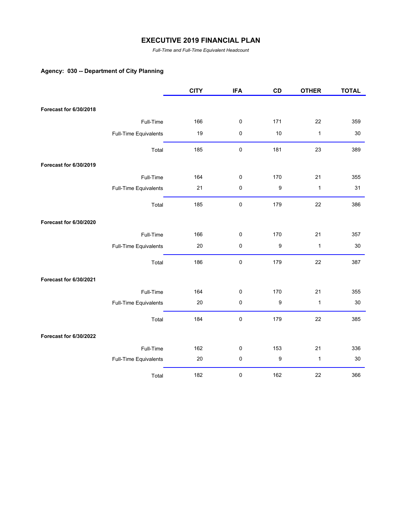*Full-Time and Full-Time Equivalent Headcount*

## **Agency: 030 -- Department of City Planning**

|                        |                       | <b>CITY</b> | <b>IFA</b> | CD               | <b>OTHER</b> | <b>TOTAL</b> |
|------------------------|-----------------------|-------------|------------|------------------|--------------|--------------|
|                        |                       |             |            |                  |              |              |
| Forecast for 6/30/2018 |                       |             |            |                  |              |              |
|                        | Full-Time             | 166         | 0          | 171              | 22           | 359          |
|                        | Full-Time Equivalents | 19          | 0          | 10               | $\mathbf{1}$ | 30           |
|                        | Total                 | 185         | $\pmb{0}$  | 181              | 23           | 389          |
| Forecast for 6/30/2019 |                       |             |            |                  |              |              |
|                        | Full-Time             | 164         | 0          | 170              | 21           | 355          |
|                        | Full-Time Equivalents | 21          | $\pmb{0}$  | $\boldsymbol{9}$ | $\mathbf{1}$ | 31           |
|                        | Total                 | 185         | $\pmb{0}$  | 179              | 22           | 386          |
| Forecast for 6/30/2020 |                       |             |            |                  |              |              |
|                        | Full-Time             | 166         | 0          | 170              | 21           | 357          |
|                        | Full-Time Equivalents | 20          | 0          | 9                | $\mathbf{1}$ | 30           |
|                        | Total                 | 186         | 0          | 179              | 22           | 387          |
| Forecast for 6/30/2021 |                       |             |            |                  |              |              |
|                        | Full-Time             | 164         | 0          | 170              | 21           | 355          |
|                        | Full-Time Equivalents | 20          | 0          | 9                | $\mathbf{1}$ | 30           |
|                        | Total                 | 184         | $\pmb{0}$  | 179              | 22           | 385          |
| Forecast for 6/30/2022 |                       |             |            |                  |              |              |
|                        | Full-Time             | 162         | 0          | 153              | 21           | 336          |
|                        | Full-Time Equivalents | 20          | 0          | 9                | $\mathbf{1}$ | 30           |
|                        | Total                 | 182         | 0          | 162              | 22           | 366          |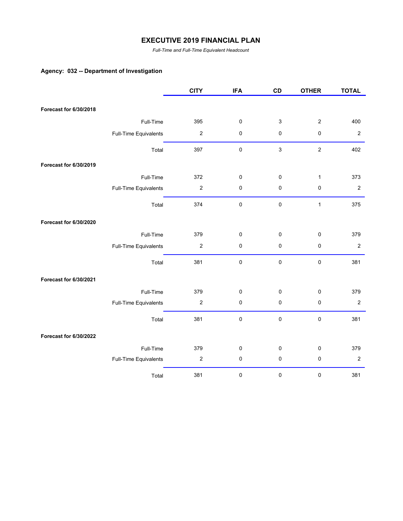*Full-Time and Full-Time Equivalent Headcount*

## **Agency: 032 -- Department of Investigation**

|                        |                       | <b>CITY</b>      | <b>IFA</b> | CD          | <b>OTHER</b> | <b>TOTAL</b>     |
|------------------------|-----------------------|------------------|------------|-------------|--------------|------------------|
|                        |                       |                  |            |             |              |                  |
| Forecast for 6/30/2018 |                       |                  |            |             |              |                  |
|                        | Full-Time             | 395              | 0          | $\mathsf 3$ | $\mathbf{2}$ | 400              |
|                        | Full-Time Equivalents | $\boldsymbol{2}$ | 0          | 0           | $\pmb{0}$    | $\sqrt{2}$       |
|                        | Total                 | 397              | 0          | $\mathsf 3$ | $\mathbf 2$  | 402              |
| Forecast for 6/30/2019 |                       |                  |            |             |              |                  |
|                        | Full-Time             | 372              | 0          | 0           | $\mathbf{1}$ | 373              |
|                        | Full-Time Equivalents | $\mathbf 2$      | 0          | $\pmb{0}$   | $\pmb{0}$    | $\boldsymbol{2}$ |
|                        | Total                 | 374              | $\pmb{0}$  | $\pmb{0}$   | $\mathbf{1}$ | 375              |
| Forecast for 6/30/2020 |                       |                  |            |             |              |                  |
|                        | Full-Time             | 379              | 0          | $\pmb{0}$   | $\pmb{0}$    | 379              |
|                        | Full-Time Equivalents | $\mathbf 2$      | $\pmb{0}$  | $\pmb{0}$   | $\pmb{0}$    | $\sqrt{2}$       |
|                        | Total                 | 381              | 0          | 0           | $\pmb{0}$    | 381              |
| Forecast for 6/30/2021 |                       |                  |            |             |              |                  |
|                        | Full-Time             | 379              | 0          | 0           | $\pmb{0}$    | 379              |
|                        | Full-Time Equivalents | $\boldsymbol{2}$ | 0          | $\pmb{0}$   | $\pmb{0}$    | $\overline{2}$   |
|                        | Total                 | 381              | 0          | $\pmb{0}$   | $\pmb{0}$    | 381              |
| Forecast for 6/30/2022 |                       |                  |            |             |              |                  |
|                        | Full-Time             | 379              | 0          | 0           | $\pmb{0}$    | 379              |
|                        | Full-Time Equivalents | $\boldsymbol{2}$ | 0          | $\pmb{0}$   | $\pmb{0}$    | $\sqrt{2}$       |
|                        | Total                 | 381              | 0          | $\pmb{0}$   | 0            | 381              |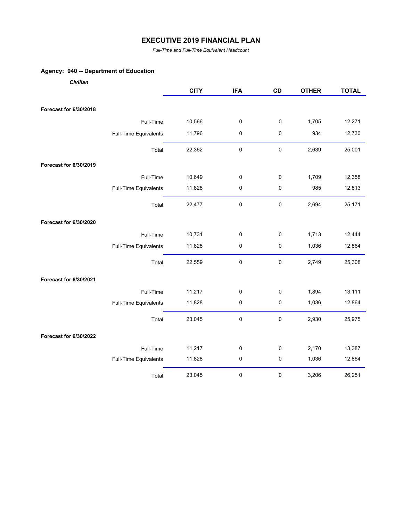*Full-Time and Full-Time Equivalent Headcount*

## **Agency: 040 -- Department of Education**

| Civilian               |                       |             |            |             |              |              |
|------------------------|-----------------------|-------------|------------|-------------|--------------|--------------|
|                        |                       | <b>CITY</b> | <b>IFA</b> | CD          | <b>OTHER</b> | <b>TOTAL</b> |
| Forecast for 6/30/2018 |                       |             |            |             |              |              |
|                        | Full-Time             | 10,566      | 0          | 0           | 1,705        | 12,271       |
|                        |                       |             |            |             |              |              |
|                        | Full-Time Equivalents | 11,796      | 0          | 0           | 934          | 12,730       |
|                        | Total                 | 22,362      | 0          | $\pmb{0}$   | 2,639        | 25,001       |
| Forecast for 6/30/2019 |                       |             |            |             |              |              |
|                        | Full-Time             | 10,649      | 0          | 0           | 1,709        | 12,358       |
|                        | Full-Time Equivalents | 11,828      | 0          | $\pmb{0}$   | 985          | 12,813       |
|                        | Total                 | 22,477      | 0          | $\pmb{0}$   | 2,694        | 25,171       |
| Forecast for 6/30/2020 |                       |             |            |             |              |              |
|                        | Full-Time             | 10,731      | 0          | $\pmb{0}$   | 1,713        | 12,444       |
|                        | Full-Time Equivalents | 11,828      | 0          | $\pmb{0}$   | 1,036        | 12,864       |
|                        | Total                 | 22,559      | $\pmb{0}$  | $\mathbf 0$ | 2,749        | 25,308       |
| Forecast for 6/30/2021 |                       |             |            |             |              |              |
|                        | Full-Time             | 11,217      | 0          | $\pmb{0}$   | 1,894        | 13,111       |
|                        | Full-Time Equivalents | 11,828      | 0          | $\pmb{0}$   | 1,036        | 12,864       |
|                        | Total                 | 23,045      | 0          | $\mathbf 0$ | 2,930        | 25,975       |
| Forecast for 6/30/2022 |                       |             |            |             |              |              |
|                        | Full-Time             | 11,217      | 0          | 0           | 2,170        | 13,387       |
|                        | Full-Time Equivalents | 11,828      | 0          | $\pmb{0}$   | 1,036        | 12,864       |
|                        | Total                 | 23,045      | 0          | $\pmb{0}$   | 3,206        | 26,251       |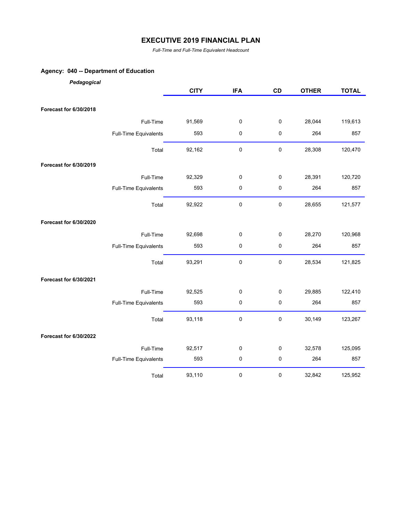*Full-Time and Full-Time Equivalent Headcount*

## **Agency: 040 -- Department of Education**

| Pedagogical            |                       |             |            |           |              |              |
|------------------------|-----------------------|-------------|------------|-----------|--------------|--------------|
|                        |                       | <b>CITY</b> | <b>IFA</b> | CD        | <b>OTHER</b> | <b>TOTAL</b> |
|                        |                       |             |            |           |              |              |
| Forecast for 6/30/2018 |                       |             |            |           |              |              |
|                        | Full-Time             | 91,569      | 0          | 0         | 28,044       | 119,613      |
|                        | Full-Time Equivalents | 593         | 0          | 0         | 264          | 857          |
|                        | Total                 | 92,162      | 0          | $\pmb{0}$ | 28,308       | 120,470      |
| Forecast for 6/30/2019 |                       |             |            |           |              |              |
|                        | Full-Time             | 92,329      | 0          | 0         | 28,391       | 120,720      |
|                        | Full-Time Equivalents | 593         | 0          | $\pmb{0}$ | 264          | 857          |
|                        | Total                 | 92,922      | 0          | $\pmb{0}$ | 28,655       | 121,577      |
| Forecast for 6/30/2020 |                       |             |            |           |              |              |
|                        | Full-Time             | 92,698      | 0          | 0         | 28,270       | 120,968      |
|                        | Full-Time Equivalents | 593         | $\pmb{0}$  | 0         | 264          | 857          |
|                        | Total                 | 93,291      | 0          | $\pmb{0}$ | 28,534       | 121,825      |
| Forecast for 6/30/2021 |                       |             |            |           |              |              |
|                        | Full-Time             | 92,525      | 0          | 0         | 29,885       | 122,410      |
|                        | Full-Time Equivalents | 593         | 0          | 0         | 264          | 857          |
|                        | Total                 | 93,118      | 0          | $\pmb{0}$ | 30,149       | 123,267      |
| Forecast for 6/30/2022 |                       |             |            |           |              |              |
|                        | Full-Time             | 92,517      | 0          | 0         | 32,578       | 125,095      |
|                        | Full-Time Equivalents | 593         | $\pmb{0}$  | 0         | 264          | 857          |
|                        | Total                 | 93,110      | 0          | 0         | 32,842       | 125,952      |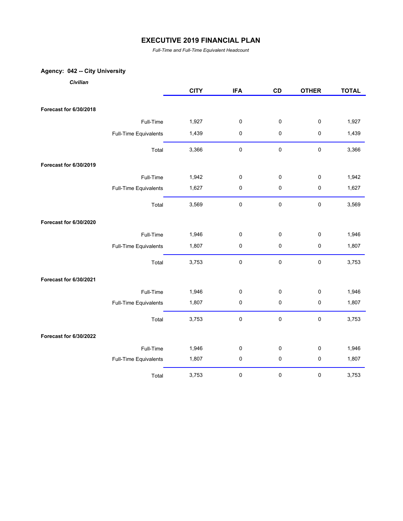*Full-Time and Full-Time Equivalent Headcount*

## **Agency: 042 -- City University**

| Civilian |  |
|----------|--|
|          |  |

|                        |                       | <b>CITY</b> | <b>IFA</b> | CD        | <b>OTHER</b> | <b>TOTAL</b> |
|------------------------|-----------------------|-------------|------------|-----------|--------------|--------------|
|                        |                       |             |            |           |              |              |
| Forecast for 6/30/2018 |                       |             |            |           |              |              |
|                        | Full-Time             | 1,927       | 0          | 0         | 0            | 1,927        |
|                        | Full-Time Equivalents | 1,439       | $\pmb{0}$  | 0         | 0            | 1,439        |
|                        | Total                 | 3,366       | $\pmb{0}$  | 0         | $\pmb{0}$    | 3,366        |
| Forecast for 6/30/2019 |                       |             |            |           |              |              |
|                        | Full-Time             | 1,942       | 0          | 0         | 0            | 1,942        |
|                        | Full-Time Equivalents | 1,627       | $\pmb{0}$  | 0         | 0            | 1,627        |
|                        | Total                 | 3,569       | 0          | $\pmb{0}$ | $\pmb{0}$    | 3,569        |
| Forecast for 6/30/2020 |                       |             |            |           |              |              |
|                        | Full-Time             | 1,946       | $\pmb{0}$  | 0         | 0            | 1,946        |
|                        | Full-Time Equivalents | 1,807       | 0          | 0         | $\pmb{0}$    | 1,807        |
|                        | Total                 | 3,753       | 0          | 0         | $\pmb{0}$    | 3,753        |
| Forecast for 6/30/2021 |                       |             |            |           |              |              |
|                        | Full-Time             | 1,946       | $\pmb{0}$  | 0         | 0            | 1,946        |
|                        | Full-Time Equivalents | 1,807       | $\pmb{0}$  | 0         | 0            | 1,807        |
|                        | Total                 | 3,753       | $\pmb{0}$  | 0         | 0            | 3,753        |
| Forecast for 6/30/2022 |                       |             |            |           |              |              |
|                        | Full-Time             | 1,946       | $\pmb{0}$  | 0         | 0            | 1,946        |
|                        | Full-Time Equivalents | 1,807       | $\pmb{0}$  | 0         | 0            | 1,807        |
|                        | Total                 | 3,753       | $\pmb{0}$  | 0         | $\pmb{0}$    | 3,753        |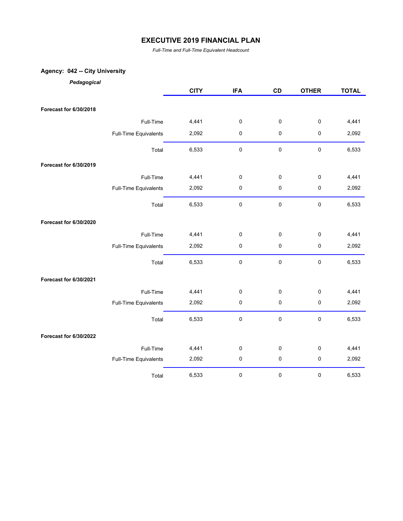*Full-Time and Full-Time Equivalent Headcount*

## **Agency: 042 -- City University**

*Pedagogical*

|                        |                       | <b>CITY</b> | <b>IFA</b>  | CD        | <b>OTHER</b> | <b>TOTAL</b> |
|------------------------|-----------------------|-------------|-------------|-----------|--------------|--------------|
| Forecast for 6/30/2018 |                       |             |             |           |              |              |
|                        | Full-Time             | 4,441       | $\mathbf 0$ | 0         | $\pmb{0}$    | 4,441        |
|                        | Full-Time Equivalents | 2,092       | $\pmb{0}$   | 0         | $\pmb{0}$    | 2,092        |
|                        | Total                 | 6,533       | $\pmb{0}$   | $\pmb{0}$ | $\pmb{0}$    | 6,533        |
|                        |                       |             |             |           |              |              |
| Forecast for 6/30/2019 |                       |             |             |           |              |              |
|                        | Full-Time             | 4,441       | $\pmb{0}$   | 0         | 0            | 4,441        |
|                        | Full-Time Equivalents | 2,092       | $\pmb{0}$   | 0         | $\pmb{0}$    | 2,092        |
|                        | Total                 | 6,533       | $\pmb{0}$   | $\pmb{0}$ | $\pmb{0}$    | 6,533        |
| Forecast for 6/30/2020 |                       |             |             |           |              |              |
|                        | Full-Time             | 4,441       | $\pmb{0}$   | 0         | $\mathbf 0$  | 4,441        |
|                        | Full-Time Equivalents | 2,092       | $\pmb{0}$   | 0         | $\pmb{0}$    | 2,092        |
|                        | Total                 | 6,533       | $\pmb{0}$   | $\pmb{0}$ | $\pmb{0}$    | 6,533        |
| Forecast for 6/30/2021 |                       |             |             |           |              |              |
|                        | Full-Time             | 4,441       | $\pmb{0}$   | 0         | $\pmb{0}$    | 4,441        |
|                        | Full-Time Equivalents | 2,092       | $\pmb{0}$   | 0         | $\pmb{0}$    | 2,092        |
|                        | Total                 | 6,533       | $\pmb{0}$   | $\pmb{0}$ | $\pmb{0}$    | 6,533        |
| Forecast for 6/30/2022 |                       |             |             |           |              |              |
|                        | Full-Time             | 4,441       | $\pmb{0}$   | 0         | $\pmb{0}$    | 4,441        |
|                        | Full-Time Equivalents | 2,092       | $\pmb{0}$   | 0         | $\pmb{0}$    | 2,092        |
|                        | Total                 | 6,533       | $\pmb{0}$   | 0         | 0            | 6,533        |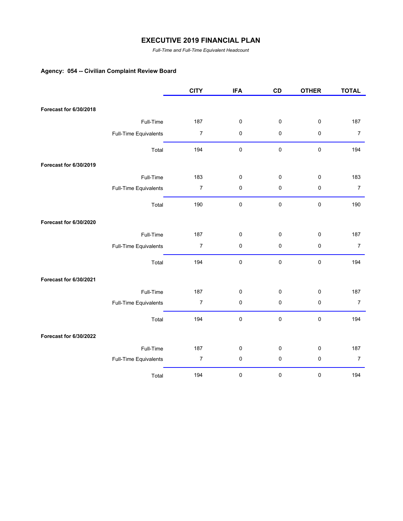*Full-Time and Full-Time Equivalent Headcount*

# **Agency: 054 -- Civilian Complaint Review Board**

|                        |                       | <b>CITY</b>      | <b>IFA</b> | CD        | <b>OTHER</b> | <b>TOTAL</b>     |
|------------------------|-----------------------|------------------|------------|-----------|--------------|------------------|
| Forecast for 6/30/2018 |                       |                  |            |           |              |                  |
|                        |                       |                  |            |           |              |                  |
|                        | Full-Time             | 187              | $\pmb{0}$  | 0         | $\pmb{0}$    | 187              |
|                        | Full-Time Equivalents | $\boldsymbol{7}$ | 0          | 0         | $\pmb{0}$    | $\boldsymbol{7}$ |
|                        | Total                 | 194              | $\pmb{0}$  | $\pmb{0}$ | $\pmb{0}$    | 194              |
| Forecast for 6/30/2019 |                       |                  |            |           |              |                  |
|                        | Full-Time             | 183              | 0          | 0         | 0            | 183              |
|                        | Full-Time Equivalents | $\boldsymbol{7}$ | 0          | 0         | $\pmb{0}$    | $\boldsymbol{7}$ |
|                        | Total                 | 190              | 0          | $\pmb{0}$ | $\pmb{0}$    | 190              |
| Forecast for 6/30/2020 |                       |                  |            |           |              |                  |
|                        | Full-Time             | 187              | 0          | $\pmb{0}$ | $\pmb{0}$    | 187              |
|                        | Full-Time Equivalents | $\boldsymbol{7}$ | 0          | $\pmb{0}$ | $\pmb{0}$    | $\overline{7}$   |
|                        | Total                 | 194              | 0          | $\pmb{0}$ | $\pmb{0}$    | 194              |
| Forecast for 6/30/2021 |                       |                  |            |           |              |                  |
|                        | Full-Time             | 187              | 0          | $\pmb{0}$ | $\pmb{0}$    | 187              |
|                        | Full-Time Equivalents | $\boldsymbol{7}$ | 0          | $\pmb{0}$ | $\pmb{0}$    | $\boldsymbol{7}$ |
|                        | Total                 | 194              | 0          | $\pmb{0}$ | $\pmb{0}$    | 194              |
| Forecast for 6/30/2022 |                       |                  |            |           |              |                  |
|                        | Full-Time             | 187              | 0          | 0         | $\pmb{0}$    | 187              |
|                        | Full-Time Equivalents | $\boldsymbol{7}$ | $\pmb{0}$  | $\pmb{0}$ | $\pmb{0}$    | $\boldsymbol{7}$ |
|                        | Total                 | 194              | $\pmb{0}$  | 0         | $\pmb{0}$    | 194              |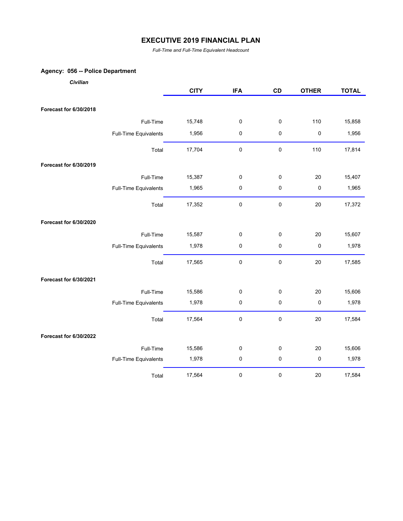*Full-Time and Full-Time Equivalent Headcount*

#### **Agency: 056 -- Police Department**

| Civilian               |                       |             |             |             |              |              |
|------------------------|-----------------------|-------------|-------------|-------------|--------------|--------------|
|                        |                       | <b>CITY</b> | <b>IFA</b>  | CD          | <b>OTHER</b> | <b>TOTAL</b> |
| Forecast for 6/30/2018 |                       |             |             |             |              |              |
|                        | Full-Time             | 15,748      | $\pmb{0}$   | $\pmb{0}$   | 110          | 15,858       |
|                        | Full-Time Equivalents | 1,956       | $\pmb{0}$   | $\pmb{0}$   | $\pmb{0}$    | 1,956        |
|                        | Total                 | 17,704      | $\pmb{0}$   | 0           | 110          | 17,814       |
| Forecast for 6/30/2019 |                       |             |             |             |              |              |
|                        | Full-Time             | 15,387      | 0           | 0           | 20           | 15,407       |
|                        | Full-Time Equivalents | 1,965       | 0           | 0           | 0            | 1,965        |
|                        | Total                 | 17,352      | $\pmb{0}$   | $\pmb{0}$   | $20\,$       | 17,372       |
| Forecast for 6/30/2020 |                       |             |             |             |              |              |
|                        | Full-Time             | 15,587      | $\pmb{0}$   | $\pmb{0}$   | 20           | 15,607       |
|                        | Full-Time Equivalents | 1,978       | 0           | 0           | $\pmb{0}$    | 1,978        |
|                        | Total                 | 17,565      | $\pmb{0}$   | $\pmb{0}$   | 20           | 17,585       |
| Forecast for 6/30/2021 |                       |             |             |             |              |              |
|                        | Full-Time             | 15,586      | $\mathbf 0$ | $\pmb{0}$   | 20           | 15,606       |
|                        | Full-Time Equivalents | 1,978       | 0           | 0           | $\pmb{0}$    | 1,978        |
|                        | Total                 | 17,564      | 0           | 0           | 20           | 17,584       |
| Forecast for 6/30/2022 |                       |             |             |             |              |              |
|                        | Full-Time             | 15,586      | $\mathbf 0$ | $\mathbf 0$ | 20           | 15,606       |
|                        | Full-Time Equivalents | 1,978       | 0           | 0           | 0            | 1,978        |

Total 17,564 0 0 20 17,584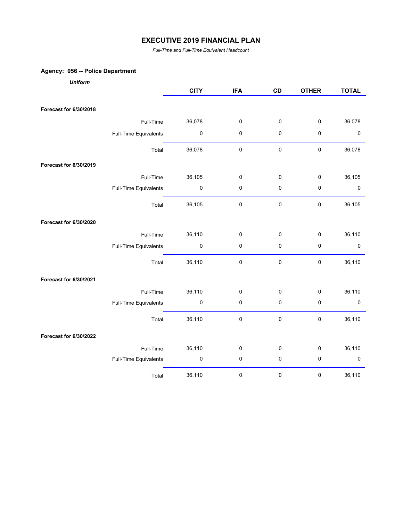*Full-Time and Full-Time Equivalent Headcount*

# **Agency: 056 -- Police Department**

| <b>Uniform</b>         |                       |             |             |             |              |              |
|------------------------|-----------------------|-------------|-------------|-------------|--------------|--------------|
|                        |                       | <b>CITY</b> | <b>IFA</b>  | CD          | <b>OTHER</b> | <b>TOTAL</b> |
| Forecast for 6/30/2018 |                       |             |             |             |              |              |
|                        | Full-Time             | 36,078      | $\pmb{0}$   | $\pmb{0}$   | $\pmb{0}$    | 36,078       |
|                        | Full-Time Equivalents | 0           | $\pmb{0}$   | 0           | $\pmb{0}$    | 0            |
|                        | Total                 | 36,078      | $\pmb{0}$   | $\pmb{0}$   | $\pmb{0}$    | 36,078       |
| Forecast for 6/30/2019 |                       |             |             |             |              |              |
|                        | Full-Time             | 36,105      | $\pmb{0}$   | $\pmb{0}$   | $\pmb{0}$    | 36,105       |
|                        | Full-Time Equivalents | 0           | $\mathbf 0$ | $\mathbf 0$ | $\mathbf 0$  | 0            |
|                        | Total                 | 36,105      | $\pmb{0}$   | $\pmb{0}$   | $\pmb{0}$    | 36,105       |
| Forecast for 6/30/2020 |                       |             |             |             |              |              |
|                        | Full-Time             | 36,110      | $\pmb{0}$   | $\pmb{0}$   | $\pmb{0}$    | 36,110       |
|                        | Full-Time Equivalents | 0           | $\mathbf 0$ | 0           | $\mathbf 0$  | $\pmb{0}$    |
|                        | Total                 | 36,110      | $\pmb{0}$   | $\pmb{0}$   | $\pmb{0}$    | 36,110       |
| Forecast for 6/30/2021 |                       |             |             |             |              |              |
|                        | Full-Time             | 36,110      | $\pmb{0}$   | $\pmb{0}$   | $\pmb{0}$    | 36,110       |
|                        | Full-Time Equivalents | $\pmb{0}$   | $\pmb{0}$   | $\pmb{0}$   | $\pmb{0}$    | $\pmb{0}$    |
|                        | Total                 | 36,110      | $\pmb{0}$   | $\pmb{0}$   | $\pmb{0}$    | 36,110       |
| Forecast for 6/30/2022 |                       |             |             |             |              |              |
|                        | Full-Time             | 36,110      | $\pmb{0}$   | $\mathbf 0$ | $\mathsf 0$  | 36,110       |
|                        | Full-Time Equivalents | $\pmb{0}$   | $\pmb{0}$   | $\pmb{0}$   | $\mathsf 0$  | $\pmb{0}$    |
|                        | Total                 | 36,110      | $\pmb{0}$   | $\pmb{0}$   | $\mathbf 0$  | 36,110       |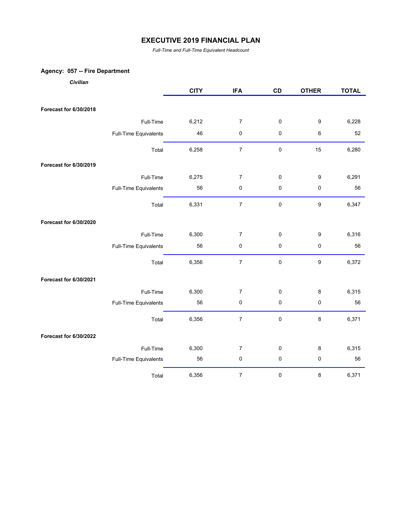*Full-Time and Full-Time Equivalent Headcount*

## **Agency: 057 -- Fire Department**

*Civilian*

|                        |                       | <b>CITY</b> | <b>IFA</b>       | CD          | <b>OTHER</b>     | <b>TOTAL</b> |
|------------------------|-----------------------|-------------|------------------|-------------|------------------|--------------|
| Forecast for 6/30/2018 |                       |             |                  |             |                  |              |
|                        |                       |             |                  |             |                  |              |
|                        | Full-Time             | 6,212       | $\overline{7}$   | $\pmb{0}$   | 9                | 6,228        |
|                        | Full-Time Equivalents | 46          | 0                | $\pmb{0}$   | 6                | 52           |
|                        | Total                 | 6,258       | $\boldsymbol{7}$ | $\pmb{0}$   | 15               | 6,280        |
| Forecast for 6/30/2019 |                       |             |                  |             |                  |              |
|                        | Full-Time             | 6,275       | 7                | $\pmb{0}$   | 9                | 6,291        |
|                        | Full-Time Equivalents | 56          | 0                | $\pmb{0}$   | $\pmb{0}$        | 56           |
|                        | Total                 | 6,331       | $\boldsymbol{7}$ | $\mathbf 0$ | $\boldsymbol{9}$ | 6,347        |
| Forecast for 6/30/2020 |                       |             |                  |             |                  |              |
|                        | Full-Time             | 6,300       | $\boldsymbol{7}$ | $\pmb{0}$   | $\boldsymbol{9}$ | 6,316        |
|                        | Full-Time Equivalents | 56          | 0                | $\pmb{0}$   | $\pmb{0}$        | 56           |
|                        | Total                 | 6,356       | $\overline{7}$   | $\pmb{0}$   | $\boldsymbol{9}$ | 6,372        |
| Forecast for 6/30/2021 |                       |             |                  |             |                  |              |
|                        | Full-Time             | 6,300       | 7                | $\pmb{0}$   | 8                | 6,315        |
|                        | Full-Time Equivalents | 56          | 0                | $\pmb{0}$   | 0                | 56           |
|                        | Total                 | 6,356       | $\boldsymbol{7}$ | $\pmb{0}$   | 8                | 6,371        |
| Forecast for 6/30/2022 |                       |             |                  |             |                  |              |
|                        | Full-Time             | 6,300       | $\overline{7}$   | $\pmb{0}$   | 8                | 6,315        |
|                        | Full-Time Equivalents | 56          | $\pmb{0}$        | $\pmb{0}$   | $\pmb{0}$        | 56           |
|                        | Total                 | 6,356       | $\boldsymbol{7}$ | $\pmb{0}$   | 8                | 6,371        |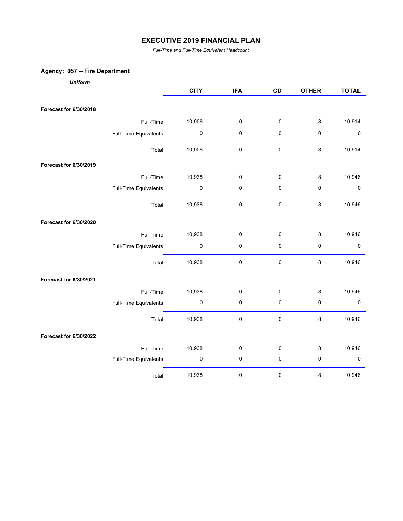*Full-Time and Full-Time Equivalent Headcount*

## **Agency: 057 -- Fire Department**

| <b>Uniform</b>                |                       |             |            |             |              |              |
|-------------------------------|-----------------------|-------------|------------|-------------|--------------|--------------|
|                               |                       | <b>CITY</b> | <b>IFA</b> | CD          | <b>OTHER</b> | <b>TOTAL</b> |
| Forecast for 6/30/2018        |                       |             |            |             |              |              |
|                               | Full-Time             | 10,906      | 0          | $\pmb{0}$   | 8            | 10,914       |
|                               | Full-Time Equivalents | $\pmb{0}$   | 0          | 0           | $\pmb{0}$    | 0            |
|                               | Total                 | 10,906      | $\pmb{0}$  | $\pmb{0}$   | 8            | 10,914       |
| <b>Forecast for 6/30/2019</b> |                       |             |            |             |              |              |
|                               | Full-Time             | 10,938      | 0          | $\pmb{0}$   | 8            | 10,946       |
|                               | Full-Time Equivalents | 0           | 0          | $\mathbf 0$ | $\mathbf 0$  | $\pmb{0}$    |
|                               | Total                 | 10,938      | 0          | $\pmb{0}$   | $\bf 8$      | 10,946       |
| Forecast for 6/30/2020        |                       |             |            |             |              |              |
|                               | Full-Time             | 10,938      | 0          | $\pmb{0}$   | $\bf 8$      | 10,946       |
|                               | Full-Time Equivalents | $\pmb{0}$   | 0          | $\mathbf 0$ | $\pmb{0}$    | $\pmb{0}$    |
|                               | Total                 | 10,938      | $\pmb{0}$  | $\pmb{0}$   | $\bf 8$      | 10,946       |
| Forecast for 6/30/2021        |                       |             |            |             |              |              |
|                               | Full-Time             | 10,938      | 0          | $\mathbf 0$ | $\bf 8$      | 10,946       |
|                               | Full-Time Equivalents | $\pmb{0}$   | 0          | $\mathbf 0$ | $\mathbf 0$  | $\pmb{0}$    |
|                               | Total                 | 10,938      | 0          | $\pmb{0}$   | $\bf 8$      | 10,946       |
| Forecast for 6/30/2022        |                       |             |            |             |              |              |
|                               | Full-Time             | 10,938      | 0          | $\pmb{0}$   | $\bf 8$      | 10,946       |
|                               | Full-Time Equivalents | $\pmb{0}$   | $\pmb{0}$  | $\pmb{0}$   | $\pmb{0}$    | $\pmb{0}$    |
|                               | Total                 | 10,938      | 0          | $\pmb{0}$   | 8            | 10,946       |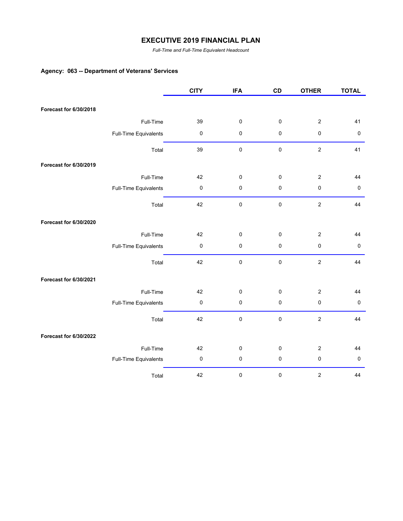*Full-Time and Full-Time Equivalent Headcount*

## **Agency: 063 -- Department of Veterans' Services**

|                        |                       | <b>CITY</b> | <b>IFA</b> | CD          | <b>OTHER</b>     | <b>TOTAL</b> |
|------------------------|-----------------------|-------------|------------|-------------|------------------|--------------|
|                        |                       |             |            |             |                  |              |
| Forecast for 6/30/2018 |                       |             |            |             |                  |              |
|                        | Full-Time             | 39          | $\pmb{0}$  | $\pmb{0}$   | $\overline{2}$   | 41           |
|                        | Full-Time Equivalents | $\pmb{0}$   | $\pmb{0}$  | 0           | $\pmb{0}$        | $\pmb{0}$    |
|                        | Total                 | 39          | $\pmb{0}$  | $\mathbf 0$ | $\boldsymbol{2}$ | 41           |
| Forecast for 6/30/2019 |                       |             |            |             |                  |              |
|                        | Full-Time             | 42          | $\pmb{0}$  | 0           | $\overline{c}$   | 44           |
|                        | Full-Time Equivalents | $\pmb{0}$   | $\pmb{0}$  | 0           | $\pmb{0}$        | $\pmb{0}$    |
|                        | Total                 | 42          | $\pmb{0}$  | $\mathbf 0$ | $\sqrt{2}$       | 44           |
| Forecast for 6/30/2020 |                       |             |            |             |                  |              |
|                        | Full-Time             | 42          | $\pmb{0}$  | 0           | $\overline{c}$   | 44           |
|                        | Full-Time Equivalents | $\pmb{0}$   | $\pmb{0}$  | 0           | $\pmb{0}$        | $\pmb{0}$    |
|                        | Total                 | 42          | $\pmb{0}$  | $\pmb{0}$   | $\overline{2}$   | 44           |
| Forecast for 6/30/2021 |                       |             |            |             |                  |              |
|                        | Full-Time             | 42          | $\pmb{0}$  | 0           | $\boldsymbol{2}$ | 44           |
|                        | Full-Time Equivalents | $\pmb{0}$   | $\pmb{0}$  | $\pmb{0}$   | $\pmb{0}$        | $\pmb{0}$    |
|                        | Total                 | 42          | $\pmb{0}$  | 0           | $\sqrt{2}$       | 44           |
| Forecast for 6/30/2022 |                       |             |            |             |                  |              |
|                        | Full-Time             | 42          | $\pmb{0}$  | 0           | $\boldsymbol{2}$ | 44           |
|                        | Full-Time Equivalents | $\pmb{0}$   | $\pmb{0}$  | 0           | $\pmb{0}$        | $\pmb{0}$    |
|                        | Total                 | 42          | 0          | 0           | $\boldsymbol{2}$ | 44           |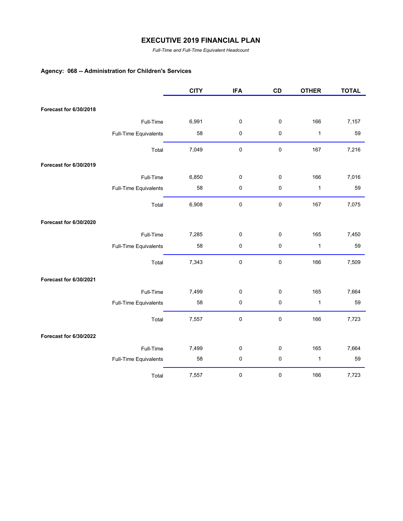*Full-Time and Full-Time Equivalent Headcount*

# **Agency: 068 -- Administration for Children's Services**

|                        |                       | <b>CITY</b> | <b>IFA</b> | CD        | <b>OTHER</b> | <b>TOTAL</b> |
|------------------------|-----------------------|-------------|------------|-----------|--------------|--------------|
| Forecast for 6/30/2018 |                       |             |            |           |              |              |
|                        |                       |             |            |           |              |              |
|                        | Full-Time             | 6,991       | 0          | 0         | 166          | 7,157        |
|                        | Full-Time Equivalents | 58          | 0          | 0         | $\mathbf{1}$ | 59           |
|                        | Total                 | 7,049       | $\pmb{0}$  | $\pmb{0}$ | 167          | 7,216        |
| Forecast for 6/30/2019 |                       |             |            |           |              |              |
|                        | Full-Time             | 6,850       | 0          | 0         | 166          | 7,016        |
|                        | Full-Time Equivalents | 58          | 0          | 0         | $\mathbf{1}$ | 59           |
|                        | Total                 | 6,908       | $\pmb{0}$  | $\pmb{0}$ | 167          | 7,075        |
| Forecast for 6/30/2020 |                       |             |            |           |              |              |
|                        | Full-Time             | 7,285       | 0          | 0         | 165          | 7,450        |
|                        | Full-Time Equivalents | 58          | 0          | $\pmb{0}$ | $\mathbf{1}$ | 59           |
|                        | Total                 | 7,343       | 0          | $\pmb{0}$ | 166          | 7,509        |
| Forecast for 6/30/2021 |                       |             |            |           |              |              |
|                        | Full-Time             | 7,499       | 0          | 0         | 165          | 7,664        |
|                        | Full-Time Equivalents | 58          | 0          | 0         | $\mathbf{1}$ | 59           |
|                        | Total                 | 7,557       | $\pmb{0}$  | 0         | 166          | 7,723        |
| Forecast for 6/30/2022 |                       |             |            |           |              |              |
|                        | Full-Time             | 7,499       | 0          | 0         | 165          | 7,664        |
|                        | Full-Time Equivalents | 58          | $\pmb{0}$  | $\pmb{0}$ | $\mathbf{1}$ | 59           |
|                        | Total                 | 7,557       | 0          | 0         | 166          | 7,723        |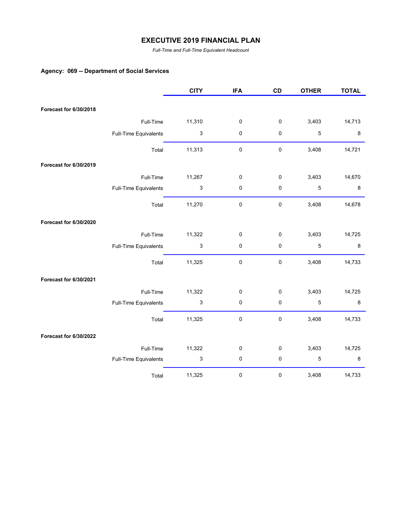*Full-Time and Full-Time Equivalent Headcount*

## **Agency: 069 -- Department of Social Services**

|                        |                       | <b>CITY</b>               | <b>IFA</b> | CD        | <b>OTHER</b> | <b>TOTAL</b> |
|------------------------|-----------------------|---------------------------|------------|-----------|--------------|--------------|
|                        |                       |                           |            |           |              |              |
| Forecast for 6/30/2018 |                       |                           |            |           |              |              |
|                        | Full-Time             | 11,310                    | 0          | 0         | 3,403        | 14,713       |
|                        | Full-Time Equivalents | $\ensuremath{\mathsf{3}}$ | 0          | 0         | 5            | 8            |
|                        | Total                 | 11,313                    | $\pmb{0}$  | $\pmb{0}$ | 3,408        | 14,721       |
| Forecast for 6/30/2019 |                       |                           |            |           |              |              |
|                        | Full-Time             | 11,267                    | 0          | 0         | 3,403        | 14,670       |
|                        | Full-Time Equivalents | $\ensuremath{\mathsf{3}}$ | 0          | 0         | 5            | 8            |
|                        | Total                 | 11,270                    | 0          | $\pmb{0}$ | 3,408        | 14,678       |
| Forecast for 6/30/2020 |                       |                           |            |           |              |              |
|                        | Full-Time             | 11,322                    | 0          | 0         | 3,403        | 14,725       |
|                        | Full-Time Equivalents | $\mathfrak{S}$            | 0          | $\pmb{0}$ | $\sqrt{5}$   | 8            |
|                        | Total                 | 11,325                    | 0          | $\pmb{0}$ | 3,408        | 14,733       |
| Forecast for 6/30/2021 |                       |                           |            |           |              |              |
|                        | Full-Time             | 11,322                    | 0          | 0         | 3,403        | 14,725       |
|                        | Full-Time Equivalents | $\ensuremath{\mathsf{3}}$ | 0          | $\pmb{0}$ | 5            | 8            |
|                        | Total                 | 11,325                    | 0          | $\pmb{0}$ | 3,408        | 14,733       |
| Forecast for 6/30/2022 |                       |                           |            |           |              |              |
|                        | Full-Time             | 11,322                    | 0          | 0         | 3,403        | 14,725       |
|                        | Full-Time Equivalents | $\ensuremath{\mathsf{3}}$ | 0          | 0         | 5            | 8            |
|                        | Total                 | 11,325                    | 0          | $\pmb{0}$ | 3,408        | 14,733       |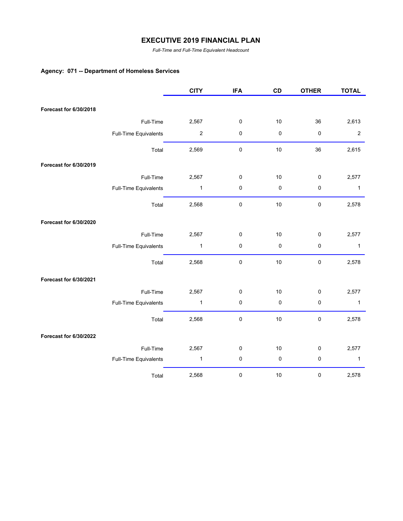*Full-Time and Full-Time Equivalent Headcount*

# **Agency: 071 -- Department of Homeless Services**

|                        |                       | <b>CITY</b>      | <b>IFA</b> | CD        | <b>OTHER</b> | <b>TOTAL</b> |
|------------------------|-----------------------|------------------|------------|-----------|--------------|--------------|
|                        |                       |                  |            |           |              |              |
| Forecast for 6/30/2018 |                       |                  |            |           |              |              |
|                        | Full-Time             | 2,567            | $\pmb{0}$  | 10        | 36           | 2,613        |
|                        | Full-Time Equivalents | $\boldsymbol{2}$ | $\pmb{0}$  | $\pmb{0}$ | $\pmb{0}$    | $\sqrt{2}$   |
|                        | Total                 | 2,569            | $\pmb{0}$  | 10        | 36           | 2,615        |
| Forecast for 6/30/2019 |                       |                  |            |           |              |              |
|                        | Full-Time             | 2,567            | 0          | 10        | $\pmb{0}$    | 2,577        |
|                        | Full-Time Equivalents | $\mathbf{1}$     | $\pmb{0}$  | 0         | $\pmb{0}$    | $\mathbf{1}$ |
|                        | Total                 | 2,568            | $\pmb{0}$  | 10        | $\pmb{0}$    | 2,578        |
| Forecast for 6/30/2020 |                       |                  |            |           |              |              |
|                        | Full-Time             | 2,567            | 0          | 10        | $\pmb{0}$    | 2,577        |
|                        | Full-Time Equivalents | $\mathbf{1}$     | $\pmb{0}$  | 0         | $\pmb{0}$    | $\mathbf{1}$ |
|                        | Total                 | 2,568            | $\pmb{0}$  | 10        | $\pmb{0}$    | 2,578        |
| Forecast for 6/30/2021 |                       |                  |            |           |              |              |
|                        | Full-Time             | 2,567            | $\pmb{0}$  | 10        | $\pmb{0}$    | 2,577        |
|                        | Full-Time Equivalents | $\mathbf{1}$     | $\pmb{0}$  | 0         | $\pmb{0}$    | $\mathbf{1}$ |
|                        | Total                 | 2,568            | $\pmb{0}$  | 10        | $\pmb{0}$    | 2,578        |
| Forecast for 6/30/2022 |                       |                  |            |           |              |              |
|                        | Full-Time             | 2,567            | $\pmb{0}$  | 10        | $\pmb{0}$    | 2,577        |
|                        | Full-Time Equivalents | $\mathbf{1}$     | 0          | 0         | $\pmb{0}$    | 1            |
|                        | Total                 | 2,568            | 0          | $10$      | $\pmb{0}$    | 2,578        |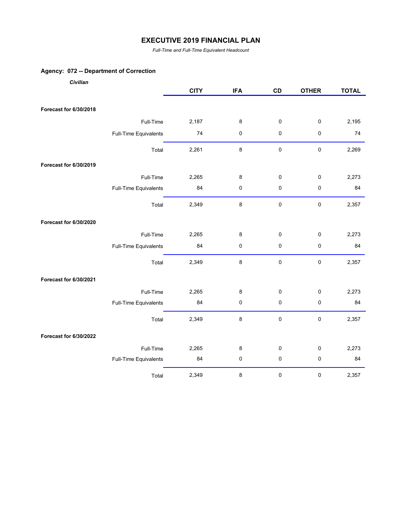*Full-Time and Full-Time Equivalent Headcount*

## **Agency: 072 -- Department of Correction**

| Civilian               |                       |             |            |             |              |              |
|------------------------|-----------------------|-------------|------------|-------------|--------------|--------------|
|                        |                       | <b>CITY</b> | <b>IFA</b> | CD          | <b>OTHER</b> | <b>TOTAL</b> |
|                        |                       |             |            |             |              |              |
| Forecast for 6/30/2018 |                       |             |            |             |              |              |
|                        | Full-Time             | 2,187       | $\bf 8$    | 0           | $\pmb{0}$    | 2,195        |
|                        | Full-Time Equivalents | 74          | $\pmb{0}$  | $\pmb{0}$   | $\pmb{0}$    | 74           |
|                        | Total                 | 2,261       | $\bf 8$    | $\pmb{0}$   | $\pmb{0}$    | 2,269        |
| Forecast for 6/30/2019 |                       |             |            |             |              |              |
|                        | Full-Time             | 2,265       | 8          | $\pmb{0}$   | $\pmb{0}$    | 2,273        |
|                        | Full-Time Equivalents | 84          | $\pmb{0}$  | 0           | $\pmb{0}$    | 84           |
|                        | Total                 | 2,349       | $\bf 8$    | $\pmb{0}$   | $\pmb{0}$    | 2,357        |
| Forecast for 6/30/2020 |                       |             |            |             |              |              |
|                        | Full-Time             | 2,265       | 8          | 0           | $\pmb{0}$    | 2,273        |
|                        | Full-Time Equivalents | 84          | 0          | 0           | $\pmb{0}$    | 84           |
|                        | Total                 | 2,349       | $\bf 8$    | $\mathbf 0$ | $\pmb{0}$    | 2,357        |
| Forecast for 6/30/2021 |                       |             |            |             |              |              |
|                        | Full-Time             | 2,265       | 8          | 0           | $\mathbf 0$  | 2,273        |
|                        | Full-Time Equivalents | 84          | $\pmb{0}$  | $\pmb{0}$   | $\pmb{0}$    | 84           |
|                        | Total                 | 2,349       | $\bf 8$    | $\mathbf 0$ | $\pmb{0}$    | 2,357        |
| Forecast for 6/30/2022 |                       |             |            |             |              |              |
|                        | Full-Time             | 2,265       | 8          | $\pmb{0}$   | 0            | 2,273        |
|                        | Full-Time Equivalents | 84          | $\pmb{0}$  | $\pmb{0}$   | $\mathbf 0$  | 84           |
|                        | Total                 | 2,349       | $\bf 8$    | $\pmb{0}$   | $\pmb{0}$    | 2,357        |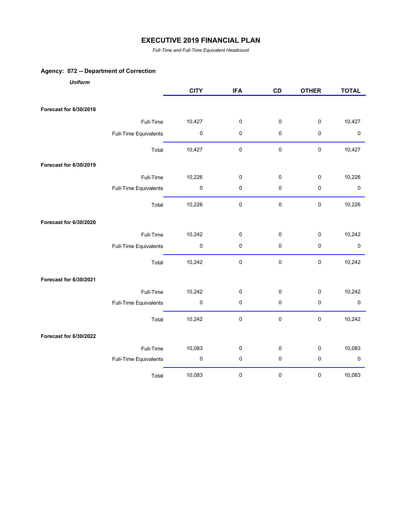*Full-Time and Full-Time Equivalent Headcount*

## **Agency: 072 -- Department of Correction**

| <b>Uniform</b>         |                       |             |            |             |              |              |
|------------------------|-----------------------|-------------|------------|-------------|--------------|--------------|
|                        |                       | <b>CITY</b> | <b>IFA</b> | CD          | <b>OTHER</b> | <b>TOTAL</b> |
|                        |                       |             |            |             |              |              |
| Forecast for 6/30/2018 |                       |             |            |             |              |              |
|                        | Full-Time             | 10,427      | 0          | 0           | $\pmb{0}$    | 10,427       |
|                        | Full-Time Equivalents | $\pmb{0}$   | 0          | $\pmb{0}$   | 0            | $\pmb{0}$    |
|                        | Total                 | 10,427      | 0          | $\pmb{0}$   | $\pmb{0}$    | 10,427       |
| Forecast for 6/30/2019 |                       |             |            |             |              |              |
|                        | Full-Time             | 10,226      | 0          | $\pmb{0}$   | 0            | 10,226       |
|                        | Full-Time Equivalents | $\pmb{0}$   | 0          | $\pmb{0}$   | $\pmb{0}$    | $\pmb{0}$    |
|                        | Total                 | 10,226      | $\pmb{0}$  | $\pmb{0}$   | $\pmb{0}$    | 10,226       |
| Forecast for 6/30/2020 |                       |             |            |             |              |              |
|                        | Full-Time             | 10,242      | 0          | $\pmb{0}$   | $\mathbf 0$  | 10,242       |
|                        | Full-Time Equivalents | $\pmb{0}$   | 0          | 0           | $\mathbf 0$  | $\mathbf 0$  |
|                        | Total                 | 10,242      | 0          | $\pmb{0}$   | $\pmb{0}$    | 10,242       |
| Forecast for 6/30/2021 |                       |             |            |             |              |              |
|                        | Full-Time             | 10,242      | 0          | $\mathbf 0$ | $\pmb{0}$    | 10,242       |
|                        | Full-Time Equivalents | $\pmb{0}$   | 0          | $\pmb{0}$   | $\pmb{0}$    | $\pmb{0}$    |
|                        | Total                 | 10,242      | 0          | $\pmb{0}$   | $\pmb{0}$    | 10,242       |
| Forecast for 6/30/2022 |                       |             |            |             |              |              |
|                        | Full-Time             | 10,083      | 0          | $\pmb{0}$   | $\mathbf 0$  | 10,083       |
|                        | Full-Time Equivalents | $\pmb{0}$   | 0          | $\mathsf 0$ | $\mathbf 0$  | $\pmb{0}$    |
|                        | Total                 | 10,083      | 0          | $\pmb{0}$   | $\pmb{0}$    | 10,083       |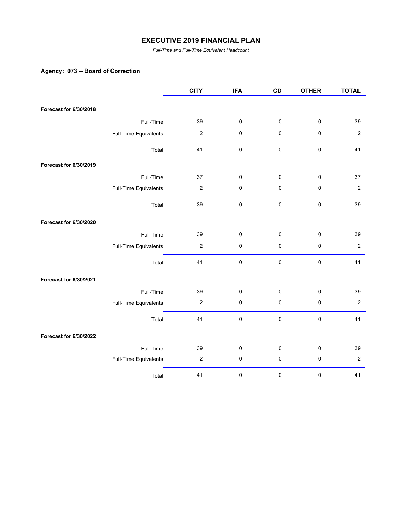*Full-Time and Full-Time Equivalent Headcount*

## **Agency: 073 -- Board of Correction**

|                        |                       | <b>CITY</b>      | <b>IFA</b>  | CD        | <b>OTHER</b> | <b>TOTAL</b>     |
|------------------------|-----------------------|------------------|-------------|-----------|--------------|------------------|
| Forecast for 6/30/2018 |                       |                  |             |           |              |                  |
|                        | Full-Time             | 39               | 0           | 0         | $\pmb{0}$    | 39               |
|                        |                       | $\boldsymbol{2}$ |             | $\pmb{0}$ | $\pmb{0}$    | $\overline{2}$   |
|                        | Full-Time Equivalents |                  | 0           |           |              |                  |
|                        | Total                 | 41               | $\mathsf 0$ | $\pmb{0}$ | $\pmb{0}$    | 41               |
| Forecast for 6/30/2019 |                       |                  |             |           |              |                  |
|                        | Full-Time             | 37               | 0           | 0         | $\pmb{0}$    | 37               |
|                        | Full-Time Equivalents | $\boldsymbol{2}$ | $\pmb{0}$   | $\pmb{0}$ | $\pmb{0}$    | $\overline{2}$   |
|                        | Total                 | 39               | 0           | $\pmb{0}$ | $\pmb{0}$    | 39               |
| Forecast for 6/30/2020 |                       |                  |             |           |              |                  |
|                        | Full-Time             | 39               | 0           | $\pmb{0}$ | $\pmb{0}$    | 39               |
|                        | Full-Time Equivalents | $\boldsymbol{2}$ | $\pmb{0}$   | $\pmb{0}$ | $\pmb{0}$    | $\boldsymbol{2}$ |
|                        | Total                 | 41               | 0           | 0         | $\pmb{0}$    | 41               |
| Forecast for 6/30/2021 |                       |                  |             |           |              |                  |
|                        | Full-Time             | 39               | 0           | 0         | $\pmb{0}$    | 39               |
|                        | Full-Time Equivalents | $\boldsymbol{2}$ | 0           | $\pmb{0}$ | $\pmb{0}$    | $\boldsymbol{2}$ |
|                        | Total                 | 41               | 0           | $\pmb{0}$ | $\pmb{0}$    | 41               |
| Forecast for 6/30/2022 |                       |                  |             |           |              |                  |
|                        | Full-Time             | 39               | 0           | 0         | $\pmb{0}$    | 39               |
|                        | Full-Time Equivalents | $\boldsymbol{2}$ | $\pmb{0}$   | $\pmb{0}$ | $\pmb{0}$    | $\overline{2}$   |
|                        | Total                 | 41               | $\pmb{0}$   | 0         | 0            | 41               |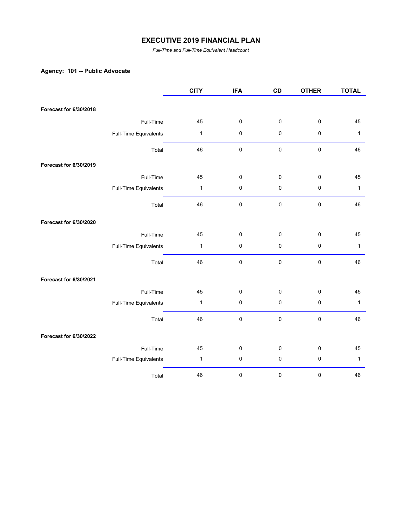*Full-Time and Full-Time Equivalent Headcount*

## **Agency: 101 -- Public Advocate**

|                        |                       | <b>CITY</b>  | <b>IFA</b> | CD          | <b>OTHER</b> | <b>TOTAL</b> |
|------------------------|-----------------------|--------------|------------|-------------|--------------|--------------|
|                        |                       |              |            |             |              |              |
| Forecast for 6/30/2018 |                       |              |            |             |              |              |
|                        | Full-Time             | 45           | $\pmb{0}$  | 0           | $\pmb{0}$    | 45           |
|                        | Full-Time Equivalents | $\mathbf{1}$ | $\pmb{0}$  | 0           | $\pmb{0}$    | $\mathbf{1}$ |
|                        | Total                 | 46           | $\pmb{0}$  | $\mathbf 0$ | $\pmb{0}$    | 46           |
| Forecast for 6/30/2019 |                       |              |            |             |              |              |
|                        | Full-Time             | 45           | $\pmb{0}$  | 0           | $\pmb{0}$    | 45           |
|                        | Full-Time Equivalents | $\mathbf{1}$ | $\pmb{0}$  | 0           | $\pmb{0}$    | $\mathbf{1}$ |
|                        | Total                 | 46           | $\pmb{0}$  | 0           | $\pmb{0}$    | 46           |
| Forecast for 6/30/2020 |                       |              |            |             |              |              |
|                        | Full-Time             | 45           | $\pmb{0}$  | $\pmb{0}$   | $\mathbf 0$  | 45           |
|                        | Full-Time Equivalents | $\mathbf{1}$ | $\pmb{0}$  | 0           | $\pmb{0}$    | $\mathbf{1}$ |
|                        | Total                 | 46           | $\pmb{0}$  | $\pmb{0}$   | $\pmb{0}$    | 46           |
| Forecast for 6/30/2021 |                       |              |            |             |              |              |
|                        | Full-Time             | 45           | $\pmb{0}$  | 0           | $\pmb{0}$    | 45           |
|                        | Full-Time Equivalents | $\mathbf{1}$ | $\pmb{0}$  | 0           | $\pmb{0}$    | $\mathbf{1}$ |
|                        | Total                 | 46           | $\pmb{0}$  | $\pmb{0}$   | $\pmb{0}$    | 46           |
| Forecast for 6/30/2022 |                       |              |            |             |              |              |
|                        | Full-Time             | 45           | $\pmb{0}$  | 0           | $\pmb{0}$    | 45           |
|                        | Full-Time Equivalents | $\mathbf{1}$ | $\pmb{0}$  | 0           | $\pmb{0}$    | $\mathbf{1}$ |
|                        | Total                 | 46           | 0          | 0           | $\pmb{0}$    | 46           |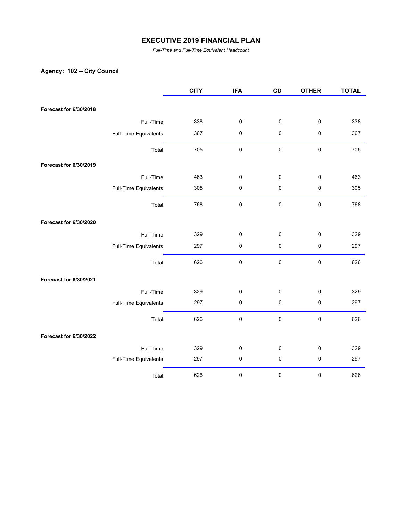*Full-Time and Full-Time Equivalent Headcount*

# **Agency: 102 -- City Council**

|                        |                       | <b>CITY</b> | <b>IFA</b> | CD          | <b>OTHER</b> | <b>TOTAL</b> |
|------------------------|-----------------------|-------------|------------|-------------|--------------|--------------|
|                        |                       |             |            |             |              |              |
| Forecast for 6/30/2018 |                       |             |            |             |              |              |
|                        | Full-Time             | 338         | $\pmb{0}$  | $\mathbf 0$ | $\pmb{0}$    | 338          |
|                        | Full-Time Equivalents | 367         | $\pmb{0}$  | 0           | $\pmb{0}$    | 367          |
|                        | Total                 | 705         | $\pmb{0}$  | $\pmb{0}$   | $\pmb{0}$    | 705          |
| Forecast for 6/30/2019 |                       |             |            |             |              |              |
|                        | Full-Time             | 463         | $\pmb{0}$  | 0           | $\pmb{0}$    | 463          |
|                        | Full-Time Equivalents | 305         | $\pmb{0}$  | 0           | $\pmb{0}$    | 305          |
|                        | Total                 | 768         | $\pmb{0}$  | $\pmb{0}$   | $\pmb{0}$    | 768          |
| Forecast for 6/30/2020 |                       |             |            |             |              |              |
|                        | Full-Time             | 329         | $\pmb{0}$  | $\mathbf 0$ | $\pmb{0}$    | 329          |
|                        | Full-Time Equivalents | 297         | $\pmb{0}$  | 0           | $\pmb{0}$    | 297          |
|                        | Total                 | 626         | $\pmb{0}$  | $\pmb{0}$   | $\pmb{0}$    | 626          |
| Forecast for 6/30/2021 |                       |             |            |             |              |              |
|                        | Full-Time             | 329         | $\pmb{0}$  | 0           | $\pmb{0}$    | 329          |
|                        | Full-Time Equivalents | 297         | $\pmb{0}$  | 0           | $\pmb{0}$    | 297          |
|                        | Total                 | 626         | $\pmb{0}$  | $\pmb{0}$   | $\pmb{0}$    | 626          |
| Forecast for 6/30/2022 |                       |             |            |             |              |              |
|                        | Full-Time             | 329         | $\pmb{0}$  | $\mathbf 0$ | $\pmb{0}$    | 329          |
|                        | Full-Time Equivalents | 297         | $\pmb{0}$  | 0           | $\pmb{0}$    | 297          |
|                        | Total                 | 626         | 0          | 0           | $\pmb{0}$    | 626          |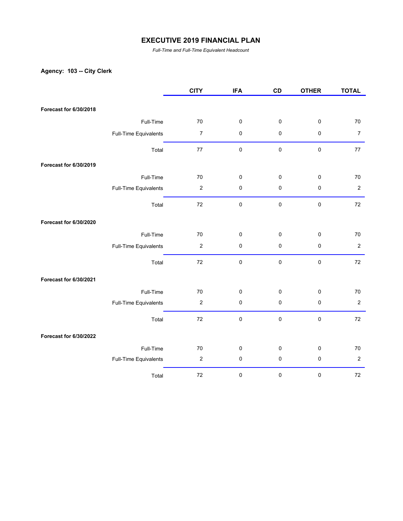*Full-Time and Full-Time Equivalent Headcount*

# **Agency: 103 -- City Clerk**

|                        |                       | <b>CITY</b>              | <b>IFA</b> | CD          | <b>OTHER</b> | <b>TOTAL</b>     |
|------------------------|-----------------------|--------------------------|------------|-------------|--------------|------------------|
|                        |                       |                          |            |             |              |                  |
| Forecast for 6/30/2018 |                       |                          |            |             |              |                  |
|                        | Full-Time             | $70\,$                   | $\pmb{0}$  | $\pmb{0}$   | $\pmb{0}$    | 70               |
|                        | Full-Time Equivalents | $\overline{\mathcal{I}}$ | $\pmb{0}$  | $\pmb{0}$   | $\pmb{0}$    | $\boldsymbol{7}$ |
|                        | Total                 | $77 \,$                  | $\pmb{0}$  | 0           | $\pmb{0}$    | 77               |
| Forecast for 6/30/2019 |                       |                          |            |             |              |                  |
|                        | Full-Time             | 70                       | $\pmb{0}$  | $\pmb{0}$   | $\pmb{0}$    | 70               |
|                        | Full-Time Equivalents | $\mathbf 2$              | $\pmb{0}$  | $\pmb{0}$   | $\pmb{0}$    | $\overline{2}$   |
|                        | Total                 | $72\,$                   | $\pmb{0}$  | $\mathbf 0$ | $\pmb{0}$    | 72               |
| Forecast for 6/30/2020 |                       |                          |            |             |              |                  |
|                        | Full-Time             | 70                       | $\pmb{0}$  | 0           | $\pmb{0}$    | 70               |
|                        | Full-Time Equivalents | $\boldsymbol{2}$         | $\pmb{0}$  | 0           | $\pmb{0}$    | $\boldsymbol{2}$ |
|                        | Total                 | 72                       | $\pmb{0}$  | $\pmb{0}$   | $\pmb{0}$    | 72               |
| Forecast for 6/30/2021 |                       |                          |            |             |              |                  |
|                        | Full-Time             | 70                       | $\pmb{0}$  | 0           | $\pmb{0}$    | 70               |
|                        | Full-Time Equivalents | $\boldsymbol{2}$         | $\pmb{0}$  | $\pmb{0}$   | $\pmb{0}$    | $\overline{c}$   |
|                        | Total                 | $72\,$                   | $\pmb{0}$  | 0           | $\pmb{0}$    | 72               |
| Forecast for 6/30/2022 |                       |                          |            |             |              |                  |
|                        | Full-Time             | 70                       | $\pmb{0}$  | $\pmb{0}$   | $\pmb{0}$    | 70               |
|                        | Full-Time Equivalents | $\boldsymbol{2}$         | $\pmb{0}$  | 0           | $\pmb{0}$    | $\overline{c}$   |
|                        | Total                 | $72\,$                   | $\pmb{0}$  | 0           | $\pmb{0}$    | $72\,$           |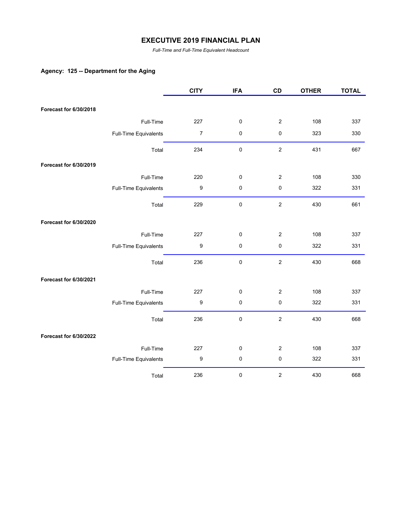*Full-Time and Full-Time Equivalent Headcount*

## **Agency: 125 -- Department for the Aging**

|                        |                       | <b>CITY</b>      | <b>IFA</b> | CD             | <b>OTHER</b> | <b>TOTAL</b> |
|------------------------|-----------------------|------------------|------------|----------------|--------------|--------------|
|                        |                       |                  |            |                |              |              |
| Forecast for 6/30/2018 |                       |                  |            |                |              |              |
|                        | Full-Time             | 227              | 0          | $\mathbf{2}$   | 108          | 337          |
|                        | Full-Time Equivalents | $\boldsymbol{7}$ | $\pmb{0}$  | 0              | 323          | 330          |
|                        | Total                 | 234              | $\pmb{0}$  | $\overline{2}$ | 431          | 667          |
| Forecast for 6/30/2019 |                       |                  |            |                |              |              |
|                        | Full-Time             | 220              | $\pmb{0}$  | $\overline{2}$ | 108          | 330          |
|                        | Full-Time Equivalents | $\boldsymbol{9}$ | $\pmb{0}$  | 0              | 322          | 331          |
|                        | Total                 | 229              | $\pmb{0}$  | $\overline{c}$ | 430          | 661          |
| Forecast for 6/30/2020 |                       |                  |            |                |              |              |
|                        | Full-Time             | 227              | $\pmb{0}$  | $\overline{2}$ | 108          | 337          |
|                        | Full-Time Equivalents | 9                | 0          | 0              | 322          | 331          |
|                        | Total                 | 236              | $\pmb{0}$  | $\overline{2}$ | 430          | 668          |
| Forecast for 6/30/2021 |                       |                  |            |                |              |              |
|                        | Full-Time             | 227              | $\pmb{0}$  | $\mathbf{2}$   | 108          | 337          |
|                        | Full-Time Equivalents | $\boldsymbol{9}$ | $\pmb{0}$  | 0              | 322          | 331          |
|                        | Total                 | 236              | $\pmb{0}$  | $\overline{2}$ | 430          | 668          |
| Forecast for 6/30/2022 |                       |                  |            |                |              |              |
|                        | Full-Time             | 227              | $\pmb{0}$  | $\overline{c}$ | 108          | 337          |
|                        | Full-Time Equivalents | $\boldsymbol{9}$ | $\pmb{0}$  | 0              | 322          | 331          |
|                        | Total                 | 236              | 0          | $\overline{c}$ | 430          | 668          |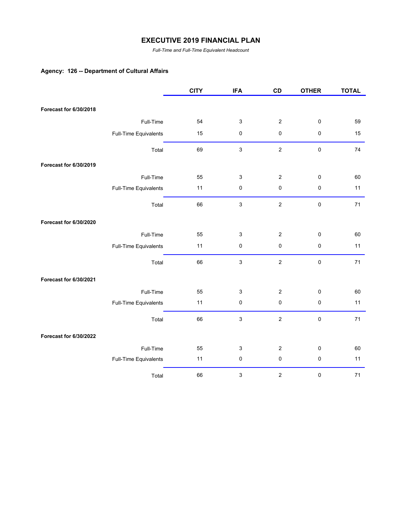*Full-Time and Full-Time Equivalent Headcount*

## **Agency: 126 -- Department of Cultural Affairs**

|                        |                       | <b>CITY</b> | <b>IFA</b>                | CD               | <b>OTHER</b> | <b>TOTAL</b> |
|------------------------|-----------------------|-------------|---------------------------|------------------|--------------|--------------|
|                        |                       |             |                           |                  |              |              |
| Forecast for 6/30/2018 |                       |             |                           |                  |              |              |
|                        | Full-Time             | 54          | $\ensuremath{\mathsf{3}}$ | $\overline{2}$   | $\pmb{0}$    | 59           |
|                        | Full-Time Equivalents | 15          | $\pmb{0}$                 | 0                | $\pmb{0}$    | 15           |
|                        | Total                 | 69          | $\mathbf{3}$              | $\overline{2}$   | $\pmb{0}$    | 74           |
| Forecast for 6/30/2019 |                       |             |                           |                  |              |              |
|                        | Full-Time             | 55          | 3                         | $\overline{c}$   | $\pmb{0}$    | 60           |
|                        | Full-Time Equivalents | 11          | $\pmb{0}$                 | 0                | $\pmb{0}$    | 11           |
|                        | Total                 | 66          | $\mathsf 3$               | $\overline{c}$   | $\pmb{0}$    | 71           |
| Forecast for 6/30/2020 |                       |             |                           |                  |              |              |
|                        | Full-Time             | 55          | $\ensuremath{\mathsf{3}}$ | $\overline{2}$   | $\pmb{0}$    | 60           |
|                        | Full-Time Equivalents | 11          | $\pmb{0}$                 | 0                | $\pmb{0}$    | 11           |
|                        | Total                 | 66          | 3                         | $\overline{2}$   | $\pmb{0}$    | 71           |
| Forecast for 6/30/2021 |                       |             |                           |                  |              |              |
|                        | Full-Time             | 55          | 3                         | $\boldsymbol{2}$ | $\pmb{0}$    | 60           |
|                        | Full-Time Equivalents | 11          | $\pmb{0}$                 | $\pmb{0}$        | $\pmb{0}$    | 11           |
|                        | Total                 | 66          | $\ensuremath{\mathsf{3}}$ | $\overline{2}$   | $\pmb{0}$    | 71           |
| Forecast for 6/30/2022 |                       |             |                           |                  |              |              |
|                        | Full-Time             | 55          | 3                         | $\overline{2}$   | $\pmb{0}$    | 60           |
|                        | Full-Time Equivalents | 11          | $\pmb{0}$                 | 0                | $\pmb{0}$    | 11           |
|                        | Total                 | 66          | 3                         | 2                | $\pmb{0}$    | 71           |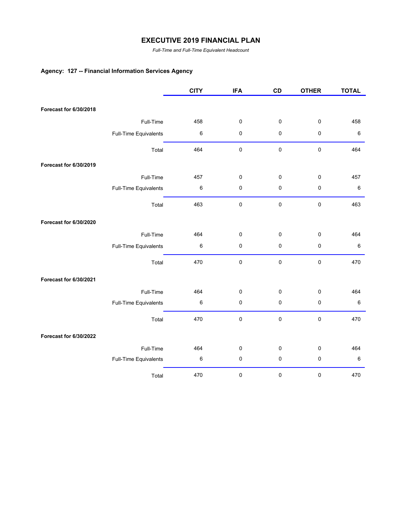*Full-Time and Full-Time Equivalent Headcount*

# **Agency: 127 -- Financial Information Services Agency**

|                        |                       | <b>CITY</b> | <b>IFA</b> | CD | <b>OTHER</b> | <b>TOTAL</b> |
|------------------------|-----------------------|-------------|------------|----|--------------|--------------|
|                        |                       |             |            |    |              |              |
| Forecast for 6/30/2018 |                       |             |            |    |              |              |
|                        | Full-Time             | 458         | $\pmb{0}$  | 0  | $\pmb{0}$    | 458          |
|                        | Full-Time Equivalents | $\,6$       | 0          | 0  | $\pmb{0}$    | $\,6\,$      |
|                        | Total                 | 464         | 0          | 0  | $\pmb{0}$    | 464          |
| Forecast for 6/30/2019 |                       |             |            |    |              |              |
|                        | Full-Time             | 457         | 0          | 0  | $\pmb{0}$    | 457          |
|                        | Full-Time Equivalents | $\,6$       | 0          | 0  | $\pmb{0}$    | 6            |
|                        | Total                 | 463         | $\pmb{0}$  | 0  | $\pmb{0}$    | 463          |
| Forecast for 6/30/2020 |                       |             |            |    |              |              |
|                        | Full-Time             | 464         | 0          | 0  | $\mathbf 0$  | 464          |
|                        | Full-Time Equivalents | $\,6$       | 0          | 0  | $\pmb{0}$    | $\,6\,$      |
|                        | Total                 | 470         | $\pmb{0}$  | 0  | $\pmb{0}$    | 470          |
| Forecast for 6/30/2021 |                       |             |            |    |              |              |
|                        | Full-Time             | 464         | $\pmb{0}$  | 0  | $\pmb{0}$    | 464          |
|                        | Full-Time Equivalents | 6           | 0          | 0  | $\pmb{0}$    | $\,6\,$      |
|                        | Total                 | 470         | $\pmb{0}$  | 0  | $\pmb{0}$    | 470          |
| Forecast for 6/30/2022 |                       |             |            |    |              |              |
|                        | Full-Time             | 464         | 0          | 0  | $\pmb{0}$    | 464          |
|                        | Full-Time Equivalents | 6           | $\pmb{0}$  | 0  | $\pmb{0}$    | $\,6\,$      |
|                        | Total                 | 470         | $\pmb{0}$  | 0  | $\pmb{0}$    | 470          |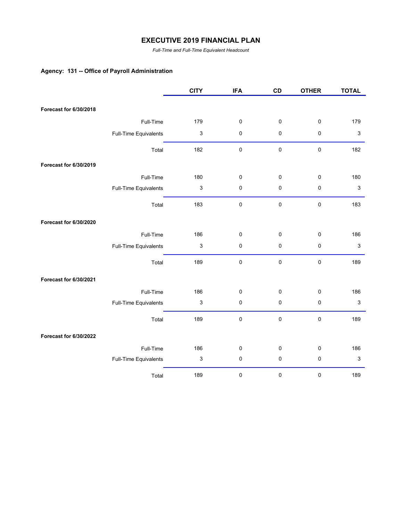*Full-Time and Full-Time Equivalent Headcount*

# **Agency: 131 -- Office of Payroll Administration**

|                        |                       | <b>CITY</b>               | <b>IFA</b> | CD          | <b>OTHER</b> | <b>TOTAL</b> |
|------------------------|-----------------------|---------------------------|------------|-------------|--------------|--------------|
|                        |                       |                           |            |             |              |              |
| Forecast for 6/30/2018 |                       |                           |            |             |              |              |
|                        | Full-Time             | 179                       | $\pmb{0}$  | $\pmb{0}$   | $\pmb{0}$    | 179          |
|                        | Full-Time Equivalents | $\ensuremath{\mathsf{3}}$ | 0          | $\pmb{0}$   | $\mathbf 0$  | $\sqrt{3}$   |
|                        | Total                 | 182                       | $\pmb{0}$  | $\mathsf 0$ | $\pmb{0}$    | 182          |
| Forecast for 6/30/2019 |                       |                           |            |             |              |              |
|                        | Full-Time             | 180                       | 0          | 0           | 0            | 180          |
|                        | Full-Time Equivalents | $\ensuremath{\mathsf{3}}$ | $\pmb{0}$  | $\pmb{0}$   | $\pmb{0}$    | $\sqrt{3}$   |
|                        | Total                 | 183                       | $\pmb{0}$  | $\pmb{0}$   | $\pmb{0}$    | 183          |
| Forecast for 6/30/2020 |                       |                           |            |             |              |              |
|                        | Full-Time             | 186                       | 0          | $\pmb{0}$   | $\pmb{0}$    | 186          |
|                        | Full-Time Equivalents | $\mathsf 3$               | 0          | $\pmb{0}$   | $\pmb{0}$    | 3            |
|                        | Total                 | 189                       | 0          | $\pmb{0}$   | $\pmb{0}$    | 189          |
| Forecast for 6/30/2021 |                       |                           |            |             |              |              |
|                        | Full-Time             | 186                       | 0          | 0           | $\pmb{0}$    | 186          |
|                        | Full-Time Equivalents | $\ensuremath{\mathsf{3}}$ | 0          | $\pmb{0}$   | $\pmb{0}$    | 3            |
|                        | Total                 | 189                       | 0          | $\pmb{0}$   | $\pmb{0}$    | 189          |
| Forecast for 6/30/2022 |                       |                           |            |             |              |              |
|                        | Full-Time             | 186                       | 0          | 0           | $\pmb{0}$    | 186          |
|                        | Full-Time Equivalents | 3                         | $\pmb{0}$  | $\pmb{0}$   | $\pmb{0}$    | 3            |
|                        | Total                 | 189                       | 0          | 0           | 0            | 189          |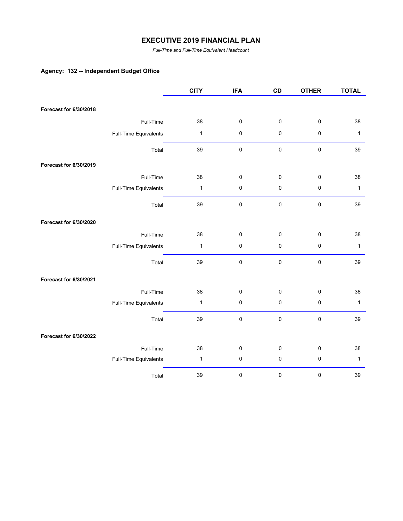*Full-Time and Full-Time Equivalent Headcount*

# **Agency: 132 -- Independent Budget Office**

|                        |                       | <b>CITY</b>  | <b>IFA</b> | CD          | <b>OTHER</b> | <b>TOTAL</b> |
|------------------------|-----------------------|--------------|------------|-------------|--------------|--------------|
|                        |                       |              |            |             |              |              |
| Forecast for 6/30/2018 |                       |              |            |             |              |              |
|                        | Full-Time             | 38           | $\pmb{0}$  | $\mathbf 0$ | $\pmb{0}$    | 38           |
|                        | Full-Time Equivalents | $\mathbf{1}$ | $\pmb{0}$  | 0           | $\pmb{0}$    | $\mathbf{1}$ |
|                        | Total                 | 39           | $\pmb{0}$  | 0           | $\pmb{0}$    | 39           |
| Forecast for 6/30/2019 |                       |              |            |             |              |              |
|                        | Full-Time             | 38           | $\pmb{0}$  | 0           | $\pmb{0}$    | 38           |
|                        | Full-Time Equivalents | $\mathbf{1}$ | $\pmb{0}$  | 0           | $\pmb{0}$    | $\mathbf{1}$ |
|                        | Total                 | 39           | $\pmb{0}$  | 0           | $\pmb{0}$    | 39           |
| Forecast for 6/30/2020 |                       |              |            |             |              |              |
|                        | Full-Time             | 38           | $\pmb{0}$  | 0           | $\pmb{0}$    | 38           |
|                        | Full-Time Equivalents | $\mathbf{1}$ | $\pmb{0}$  | 0           | $\pmb{0}$    | $\mathbf{1}$ |
|                        | Total                 | 39           | $\pmb{0}$  | $\mathbf 0$ | $\pmb{0}$    | 39           |
| Forecast for 6/30/2021 |                       |              |            |             |              |              |
|                        | Full-Time             | 38           | $\pmb{0}$  | $\pmb{0}$   | $\pmb{0}$    | 38           |
|                        | Full-Time Equivalents | $\mathbf{1}$ | $\pmb{0}$  | $\pmb{0}$   | $\pmb{0}$    | $\mathbf{1}$ |
|                        | Total                 | 39           | $\pmb{0}$  | 0           | $\pmb{0}$    | 39           |
| Forecast for 6/30/2022 |                       |              |            |             |              |              |
|                        | Full-Time             | 38           | $\pmb{0}$  | 0           | $\pmb{0}$    | 38           |
|                        | Full-Time Equivalents | $\mathbf{1}$ | $\pmb{0}$  | 0           | $\pmb{0}$    | $\mathbf{1}$ |
|                        | Total                 | 39           | $\pmb{0}$  | 0           | $\pmb{0}$    | 39           |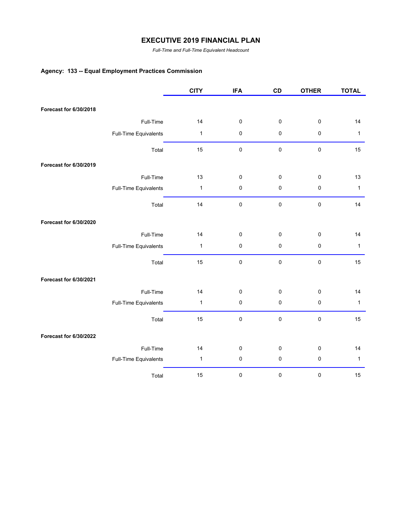*Full-Time and Full-Time Equivalent Headcount*

# **Agency: 133 -- Equal Employment Practices Commission**

|                        |                       | <b>CITY</b>  | <b>IFA</b> | CD          | <b>OTHER</b> | <b>TOTAL</b> |
|------------------------|-----------------------|--------------|------------|-------------|--------------|--------------|
| Forecast for 6/30/2018 |                       |              |            |             |              |              |
|                        |                       |              |            |             |              |              |
|                        | Full-Time             | 14           | $\pmb{0}$  | $\pmb{0}$   | $\pmb{0}$    | 14           |
|                        | Full-Time Equivalents | $\mathbf{1}$ | $\pmb{0}$  | $\pmb{0}$   | $\pmb{0}$    | $\mathbf{1}$ |
|                        | Total                 | 15           | $\pmb{0}$  | $\pmb{0}$   | $\pmb{0}$    | 15           |
| Forecast for 6/30/2019 |                       |              |            |             |              |              |
|                        | Full-Time             | 13           | $\pmb{0}$  | 0           | $\pmb{0}$    | 13           |
|                        | Full-Time Equivalents | $\mathbf{1}$ | $\pmb{0}$  | 0           | $\pmb{0}$    | $\mathbf{1}$ |
|                        | Total                 | 14           | $\pmb{0}$  | $\mathbf 0$ | $\pmb{0}$    | 14           |
| Forecast for 6/30/2020 |                       |              |            |             |              |              |
|                        | Full-Time             | 14           | $\pmb{0}$  | 0           | $\pmb{0}$    | 14           |
|                        | Full-Time Equivalents | 1            | $\pmb{0}$  | 0           | $\pmb{0}$    | $\mathbf{1}$ |
|                        | Total                 | 15           | $\pmb{0}$  | $\pmb{0}$   | $\pmb{0}$    | 15           |
| Forecast for 6/30/2021 |                       |              |            |             |              |              |
|                        | Full-Time             | 14           | $\pmb{0}$  | 0           | $\pmb{0}$    | 14           |
|                        | Full-Time Equivalents | 1            | $\pmb{0}$  | 0           | $\pmb{0}$    | $\mathbf{1}$ |
|                        | Total                 | 15           | $\pmb{0}$  | $\pmb{0}$   | $\pmb{0}$    | 15           |
| Forecast for 6/30/2022 |                       |              |            |             |              |              |
|                        | Full-Time             | 14           | $\pmb{0}$  | 0           | $\pmb{0}$    | 14           |
|                        | Full-Time Equivalents | $\mathbf{1}$ | $\pmb{0}$  | 0           | $\pmb{0}$    | $\mathbf{1}$ |
|                        | Total                 | 15           | 0          | $\pmb{0}$   | $\pmb{0}$    | 15           |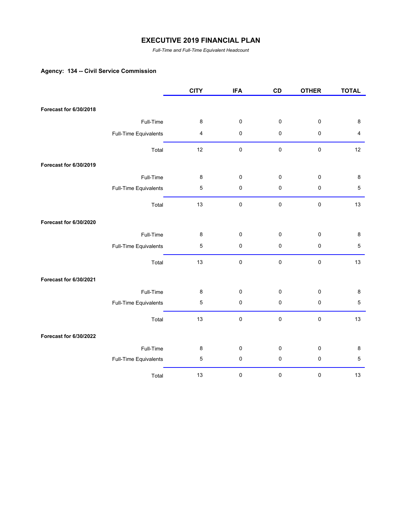*Full-Time and Full-Time Equivalent Headcount*

## **Agency: 134 -- Civil Service Commission**

|                        |                       | <b>CITY</b>    | <b>IFA</b> | CD          | <b>OTHER</b> | <b>TOTAL</b> |
|------------------------|-----------------------|----------------|------------|-------------|--------------|--------------|
| Forecast for 6/30/2018 |                       |                |            |             |              |              |
|                        |                       |                |            |             |              |              |
|                        | Full-Time             | $\bf 8$        | 0          | $\pmb{0}$   | $\pmb{0}$    | $\bf 8$      |
|                        | Full-Time Equivalents | 4              | 0          | $\pmb{0}$   | $\pmb{0}$    | 4            |
|                        | Total                 | 12             | 0          | $\pmb{0}$   | $\pmb{0}$    | 12           |
| Forecast for 6/30/2019 |                       |                |            |             |              |              |
|                        | Full-Time             | $\bf 8$        | 0          | $\pmb{0}$   | $\pmb{0}$    | 8            |
|                        | Full-Time Equivalents | $\mathbf 5$    | 0          | $\pmb{0}$   | $\pmb{0}$    | $\,$ 5 $\,$  |
|                        | Total                 | 13             | $\pmb{0}$  | $\mathbf 0$ | $\pmb{0}$    | 13           |
| Forecast for 6/30/2020 |                       |                |            |             |              |              |
|                        | Full-Time             | 8              | 0          | $\mathsf 0$ | $\pmb{0}$    | 8            |
|                        | Full-Time Equivalents | $\overline{5}$ | 0          | $\pmb{0}$   | $\pmb{0}$    | 5            |
|                        | Total                 | 13             | $\pmb{0}$  | $\pmb{0}$   | $\pmb{0}$    | 13           |
| Forecast for 6/30/2021 |                       |                |            |             |              |              |
|                        | Full-Time             | 8              | 0          | $\pmb{0}$   | $\pmb{0}$    | 8            |
|                        | Full-Time Equivalents | $\mathbf 5$    | 0          | $\pmb{0}$   | $\pmb{0}$    | $\mathbf 5$  |
|                        | Total                 | 13             | $\pmb{0}$  | $\pmb{0}$   | $\pmb{0}$    | 13           |
| Forecast for 6/30/2022 |                       |                |            |             |              |              |
|                        | Full-Time             | 8              | 0          | $\pmb{0}$   | $\pmb{0}$    | 8            |
|                        | Full-Time Equivalents | 5              | $\pmb{0}$  | $\pmb{0}$   | $\pmb{0}$    | $\mathbf 5$  |
|                        | Total                 | 13             | $\pmb{0}$  | 0           | $\pmb{0}$    | 13           |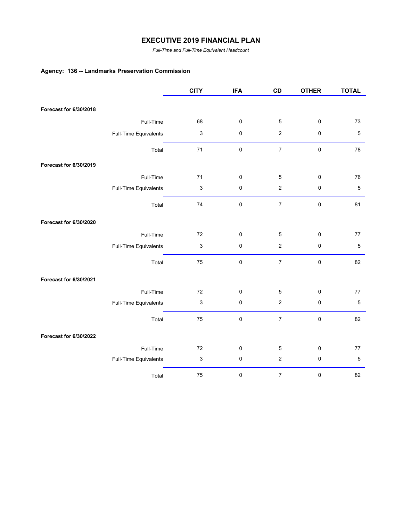*Full-Time and Full-Time Equivalent Headcount*

# **Agency: 136 -- Landmarks Preservation Commission**

|                        |                       | <b>CITY</b>               | <b>IFA</b> | CD               | <b>OTHER</b> | <b>TOTAL</b>   |
|------------------------|-----------------------|---------------------------|------------|------------------|--------------|----------------|
|                        |                       |                           |            |                  |              |                |
| Forecast for 6/30/2018 |                       |                           |            |                  |              |                |
|                        | Full-Time             | 68                        | $\pmb{0}$  | $\,$ 5 $\,$      | $\pmb{0}$    | 73             |
|                        | Full-Time Equivalents | $\ensuremath{\mathsf{3}}$ | $\pmb{0}$  | $\overline{c}$   | $\pmb{0}$    | $\,$ 5 $\,$    |
|                        | Total                 | 71                        | $\pmb{0}$  | $\overline{7}$   | $\pmb{0}$    | 78             |
| Forecast for 6/30/2019 |                       |                           |            |                  |              |                |
|                        | Full-Time             | 71                        | $\pmb{0}$  | 5                | $\pmb{0}$    | 76             |
|                        | Full-Time Equivalents | $\ensuremath{\mathsf{3}}$ | $\pmb{0}$  | $\boldsymbol{2}$ | $\pmb{0}$    | $\mathbf 5$    |
|                        | Total                 | 74                        | $\pmb{0}$  | $\overline{7}$   | $\pmb{0}$    | 81             |
| Forecast for 6/30/2020 |                       |                           |            |                  |              |                |
|                        | Full-Time             | 72                        | $\pmb{0}$  | 5                | $\mathbf 0$  | 77             |
|                        | Full-Time Equivalents | $\mathfrak{S}$            | $\pmb{0}$  | $\overline{c}$   | $\pmb{0}$    | $\overline{5}$ |
|                        | Total                 | 75                        | $\pmb{0}$  | $\overline{7}$   | $\pmb{0}$    | 82             |
| Forecast for 6/30/2021 |                       |                           |            |                  |              |                |
|                        | Full-Time             | 72                        | $\pmb{0}$  | $\mathbf 5$      | $\pmb{0}$    | 77             |
|                        | Full-Time Equivalents | $\ensuremath{\mathsf{3}}$ | $\pmb{0}$  | $\overline{c}$   | $\pmb{0}$    | $\,$ 5 $\,$    |
|                        | Total                 | 75                        | $\pmb{0}$  | $\overline{7}$   | $\pmb{0}$    | 82             |
| Forecast for 6/30/2022 |                       |                           |            |                  |              |                |
|                        | Full-Time             | 72                        | $\pmb{0}$  | $\mathbf 5$      | $\pmb{0}$    | 77             |
|                        | Full-Time Equivalents | 3                         | $\pmb{0}$  | $\boldsymbol{2}$ | $\pmb{0}$    | $\,$ 5 $\,$    |
|                        | Total                 | 75                        | 0          | $\boldsymbol{7}$ | $\pmb{0}$    | 82             |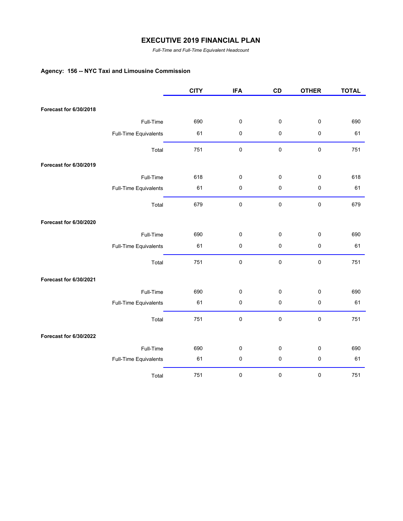*Full-Time and Full-Time Equivalent Headcount*

# **Agency: 156 -- NYC Taxi and Limousine Commission**

|                        |                       | <b>CITY</b> | <b>IFA</b> | CD          | <b>OTHER</b> | <b>TOTAL</b> |
|------------------------|-----------------------|-------------|------------|-------------|--------------|--------------|
|                        |                       |             |            |             |              |              |
| Forecast for 6/30/2018 |                       |             |            |             |              |              |
|                        | Full-Time             | 690         | $\pmb{0}$  | $\pmb{0}$   | $\pmb{0}$    | 690          |
|                        | Full-Time Equivalents | 61          | $\pmb{0}$  | 0           | $\pmb{0}$    | 61           |
|                        | Total                 | 751         | $\pmb{0}$  | $\mathbf 0$ | $\pmb{0}$    | 751          |
| Forecast for 6/30/2019 |                       |             |            |             |              |              |
|                        | Full-Time             | 618         | $\pmb{0}$  | $\pmb{0}$   | $\pmb{0}$    | 618          |
|                        | Full-Time Equivalents | 61          | $\pmb{0}$  | 0           | $\pmb{0}$    | 61           |
|                        | Total                 | 679         | $\pmb{0}$  | $\mathbf 0$ | $\pmb{0}$    | 679          |
| Forecast for 6/30/2020 |                       |             |            |             |              |              |
|                        | Full-Time             | 690         | $\pmb{0}$  | 0           | $\mathbf 0$  | 690          |
|                        | Full-Time Equivalents | 61          | 0          | $\pmb{0}$   | $\pmb{0}$    | 61           |
|                        | Total                 | 751         | $\pmb{0}$  | $\pmb{0}$   | $\pmb{0}$    | 751          |
| Forecast for 6/30/2021 |                       |             |            |             |              |              |
|                        | Full-Time             | 690         | $\pmb{0}$  | 0           | $\pmb{0}$    | 690          |
|                        | Full-Time Equivalents | 61          | $\pmb{0}$  | 0           | $\pmb{0}$    | 61           |
|                        | Total                 | 751         | $\pmb{0}$  | $\pmb{0}$   | $\pmb{0}$    | 751          |
| Forecast for 6/30/2022 |                       |             |            |             |              |              |
|                        | Full-Time             | 690         | $\pmb{0}$  | 0           | $\pmb{0}$    | 690          |
|                        | Full-Time Equivalents | 61          | $\pmb{0}$  | $\pmb{0}$   | $\pmb{0}$    | 61           |
|                        | Total                 | 751         | 0          | 0           | $\pmb{0}$    | 751          |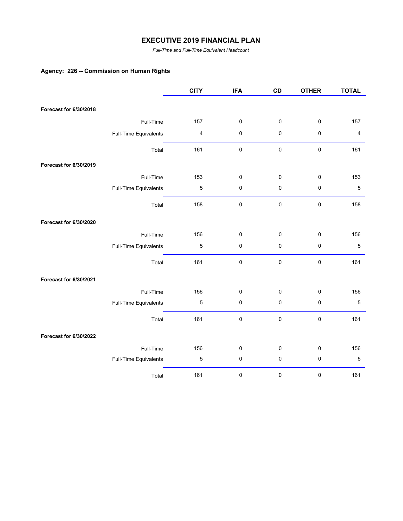*Full-Time and Full-Time Equivalent Headcount*

## **Agency: 226 -- Commission on Human Rights**

|                        |                       | <b>CITY</b>             | <b>IFA</b> | CD        | <b>OTHER</b> | <b>TOTAL</b>            |
|------------------------|-----------------------|-------------------------|------------|-----------|--------------|-------------------------|
| Forecast for 6/30/2018 |                       |                         |            |           |              |                         |
|                        |                       |                         |            |           |              |                         |
|                        | Full-Time             | 157                     | 0          | 0         | $\pmb{0}$    | 157                     |
|                        | Full-Time Equivalents | $\overline{\mathbf{4}}$ | 0          | 0         | $\pmb{0}$    | $\overline{\mathbf{4}}$ |
|                        | Total                 | 161                     | 0          | $\pmb{0}$ | $\pmb{0}$    | 161                     |
| Forecast for 6/30/2019 |                       |                         |            |           |              |                         |
|                        | Full-Time             | 153                     | 0          | 0         | $\pmb{0}$    | 153                     |
|                        | Full-Time Equivalents | $\mathbf 5$             | 0          | 0         | $\pmb{0}$    | $\mathbf 5$             |
|                        | Total                 | 158                     | $\pmb{0}$  | $\pmb{0}$ | $\pmb{0}$    | 158                     |
| Forecast for 6/30/2020 |                       |                         |            |           |              |                         |
|                        | Full-Time             | 156                     | 0          | $\pmb{0}$ | $\pmb{0}$    | 156                     |
|                        | Full-Time Equivalents | $\mathbf 5$             | 0          | $\pmb{0}$ | $\pmb{0}$    | 5                       |
|                        | Total                 | 161                     | $\pmb{0}$  | $\pmb{0}$ | $\pmb{0}$    | 161                     |
| Forecast for 6/30/2021 |                       |                         |            |           |              |                         |
|                        | Full-Time             | 156                     | 0          | 0         | $\pmb{0}$    | 156                     |
|                        | Full-Time Equivalents | $\mathbf 5$             | 0          | 0         | $\pmb{0}$    | $\mathbf 5$             |
|                        | Total                 | 161                     | 0          | $\pmb{0}$ | $\pmb{0}$    | 161                     |
| Forecast for 6/30/2022 |                       |                         |            |           |              |                         |
|                        | Full-Time             | 156                     | 0          | 0         | $\pmb{0}$    | 156                     |
|                        | Full-Time Equivalents | $\mathbf 5$             | $\pmb{0}$  | $\pmb{0}$ | $\pmb{0}$    | $\mathbf 5$             |
|                        | Total                 | 161                     | $\pmb{0}$  | 0         | $\pmb{0}$    | 161                     |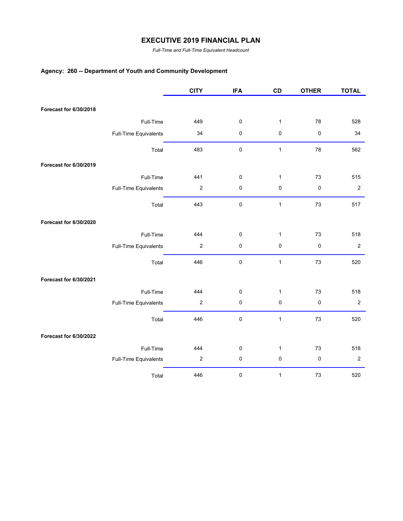*Full-Time and Full-Time Equivalent Headcount*

# **Agency: 260 -- Department of Youth and Community Development**

|                        |                       | <b>CITY</b>      | <b>IFA</b> | CD           | <b>OTHER</b> | <b>TOTAL</b>     |
|------------------------|-----------------------|------------------|------------|--------------|--------------|------------------|
| Forecast for 6/30/2018 |                       |                  |            |              |              |                  |
|                        |                       |                  |            |              |              |                  |
|                        | Full-Time             | 449              | 0          | $\mathbf{1}$ | 78           | 528              |
|                        | Full-Time Equivalents | 34               | $\pmb{0}$  | $\pmb{0}$    | $\pmb{0}$    | 34               |
|                        | Total                 | 483              | $\pmb{0}$  | $\mathbf{1}$ | 78           | 562              |
| Forecast for 6/30/2019 |                       |                  |            |              |              |                  |
|                        | Full-Time             | 441              | $\pmb{0}$  | $\mathbf{1}$ | 73           | 515              |
|                        | Full-Time Equivalents | $\boldsymbol{2}$ | $\pmb{0}$  | 0            | $\pmb{0}$    | $\sqrt{2}$       |
|                        | Total                 | 443              | $\pmb{0}$  | $\mathbf{1}$ | 73           | 517              |
| Forecast for 6/30/2020 |                       |                  |            |              |              |                  |
|                        | Full-Time             | 444              | $\pmb{0}$  | $\mathbf{1}$ | 73           | 518              |
|                        | Full-Time Equivalents | $\boldsymbol{2}$ | $\pmb{0}$  | 0            | $\pmb{0}$    | $\boldsymbol{2}$ |
|                        | Total                 | 446              | $\pmb{0}$  | $\mathbf{1}$ | 73           | 520              |
| Forecast for 6/30/2021 |                       |                  |            |              |              |                  |
|                        | Full-Time             | 444              | $\pmb{0}$  | $\mathbf{1}$ | 73           | 518              |
|                        | Full-Time Equivalents | $\mathbf 2$      | $\pmb{0}$  | 0            | $\pmb{0}$    | $\overline{2}$   |
|                        | Total                 | 446              | $\pmb{0}$  | $\mathbf{1}$ | 73           | 520              |
| Forecast for 6/30/2022 |                       |                  |            |              |              |                  |
|                        | Full-Time             | 444              | $\pmb{0}$  | $\mathbf{1}$ | 73           | 518              |
|                        | Full-Time Equivalents | $\boldsymbol{2}$ | $\pmb{0}$  | 0            | $\pmb{0}$    | $\boldsymbol{2}$ |
|                        | Total                 | 446              | $\pmb{0}$  | $\mathbf{1}$ | 73           | 520              |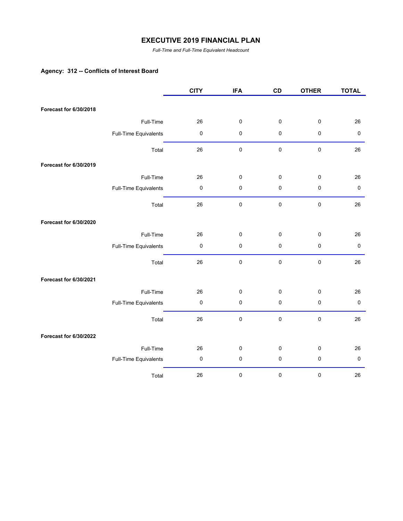*Full-Time and Full-Time Equivalent Headcount*

# **Agency: 312 -- Conflicts of Interest Board**

|                        |                       | <b>CITY</b> | <b>IFA</b> | CD          | <b>OTHER</b> | <b>TOTAL</b> |
|------------------------|-----------------------|-------------|------------|-------------|--------------|--------------|
|                        |                       |             |            |             |              |              |
| Forecast for 6/30/2018 |                       |             |            |             |              |              |
|                        | Full-Time             | 26          | $\pmb{0}$  | $\mathbf 0$ | $\pmb{0}$    | 26           |
|                        | Full-Time Equivalents | $\pmb{0}$   | $\pmb{0}$  | 0           | $\pmb{0}$    | $\pmb{0}$    |
|                        | Total                 | 26          | $\pmb{0}$  | 0           | $\pmb{0}$    | 26           |
| Forecast for 6/30/2019 |                       |             |            |             |              |              |
|                        | Full-Time             | 26          | $\pmb{0}$  | 0           | $\pmb{0}$    | 26           |
|                        | Full-Time Equivalents | $\pmb{0}$   | $\pmb{0}$  | 0           | $\pmb{0}$    | $\pmb{0}$    |
|                        | Total                 | 26          | $\pmb{0}$  | 0           | $\pmb{0}$    | 26           |
| Forecast for 6/30/2020 |                       |             |            |             |              |              |
|                        | Full-Time             | 26          | $\pmb{0}$  | 0           | $\pmb{0}$    | 26           |
|                        | Full-Time Equivalents | $\pmb{0}$   | $\pmb{0}$  | 0           | $\pmb{0}$    | $\pmb{0}$    |
|                        | Total                 | 26          | $\pmb{0}$  | $\mathbf 0$ | $\pmb{0}$    | 26           |
| Forecast for 6/30/2021 |                       |             |            |             |              |              |
|                        | Full-Time             | 26          | $\pmb{0}$  | $\pmb{0}$   | $\pmb{0}$    | 26           |
|                        | Full-Time Equivalents | $\pmb{0}$   | $\pmb{0}$  | $\pmb{0}$   | $\pmb{0}$    | $\pmb{0}$    |
|                        | Total                 | 26          | $\pmb{0}$  | 0           | $\pmb{0}$    | 26           |
| Forecast for 6/30/2022 |                       |             |            |             |              |              |
|                        | Full-Time             | 26          | $\pmb{0}$  | 0           | $\pmb{0}$    | 26           |
|                        | Full-Time Equivalents | 0           | $\pmb{0}$  | 0           | $\pmb{0}$    | $\pmb{0}$    |
|                        | Total                 | 26          | $\pmb{0}$  | 0           | $\pmb{0}$    | 26           |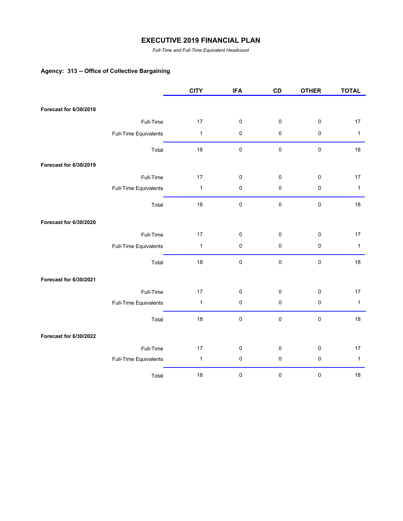*Full-Time and Full-Time Equivalent Headcount*

## **Agency: 313 -- Office of Collective Bargaining**

|                        |                       | <b>CITY</b>  | <b>IFA</b> | CD        | <b>OTHER</b> | <b>TOTAL</b> |
|------------------------|-----------------------|--------------|------------|-----------|--------------|--------------|
|                        |                       |              |            |           |              |              |
| Forecast for 6/30/2018 |                       |              |            |           |              |              |
|                        | Full-Time             | 17           | $\pmb{0}$  | 0         | $\pmb{0}$    | 17           |
|                        | Full-Time Equivalents | $\mathbf{1}$ | $\pmb{0}$  | 0         | $\pmb{0}$    | $\mathbf{1}$ |
|                        | Total                 | 18           | $\pmb{0}$  | 0         | $\pmb{0}$    | 18           |
| Forecast for 6/30/2019 |                       |              |            |           |              |              |
|                        | Full-Time             | 17           | $\pmb{0}$  | 0         | $\pmb{0}$    | 17           |
|                        | Full-Time Equivalents | $\mathbf{1}$ | $\pmb{0}$  | $\pmb{0}$ | $\pmb{0}$    | $\mathbf{1}$ |
|                        | Total                 | 18           | $\pmb{0}$  | 0         | $\pmb{0}$    | 18           |
| Forecast for 6/30/2020 |                       |              |            |           |              |              |
|                        | Full-Time             | 17           | $\pmb{0}$  | 0         | $\pmb{0}$    | 17           |
|                        | Full-Time Equivalents | $\mathbf{1}$ | $\pmb{0}$  | 0         | $\pmb{0}$    | $\mathbf{1}$ |
|                        | Total                 | 18           | $\pmb{0}$  | 0         | $\pmb{0}$    | 18           |
| Forecast for 6/30/2021 |                       |              |            |           |              |              |
|                        | Full-Time             | 17           | $\pmb{0}$  | $\pmb{0}$ | $\pmb{0}$    | 17           |
|                        | Full-Time Equivalents | $\mathbf{1}$ | $\pmb{0}$  | $\pmb{0}$ | $\pmb{0}$    | $\mathbf{1}$ |
|                        | Total                 | 18           | $\pmb{0}$  | 0         | $\pmb{0}$    | 18           |
| Forecast for 6/30/2022 |                       |              |            |           |              |              |
|                        | Full-Time             | 17           | $\pmb{0}$  | 0         | $\pmb{0}$    | 17           |
|                        | Full-Time Equivalents | $\mathbf{1}$ | $\pmb{0}$  | 0         | $\pmb{0}$    | $\mathbf{1}$ |
|                        | Total                 | $18\,$       | 0          | 0         | $\pmb{0}$    | 18           |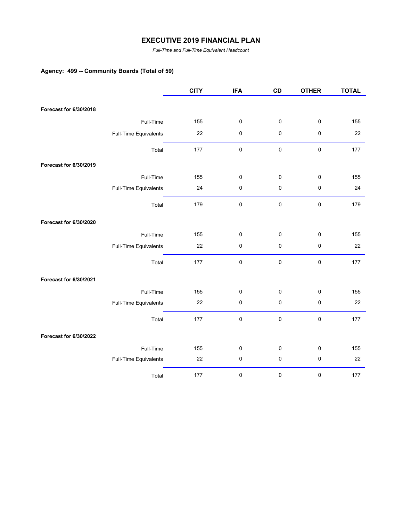*Full-Time and Full-Time Equivalent Headcount*

# **Agency: 499 -- Community Boards (Total of 59)**

|                        |                       | <b>CITY</b> | <b>IFA</b> | CD        | <b>OTHER</b> | <b>TOTAL</b> |
|------------------------|-----------------------|-------------|------------|-----------|--------------|--------------|
|                        |                       |             |            |           |              |              |
| Forecast for 6/30/2018 |                       |             |            |           |              |              |
|                        | Full-Time             | 155         | $\pmb{0}$  | 0         | $\pmb{0}$    | 155          |
|                        | Full-Time Equivalents | 22          | $\pmb{0}$  | 0         | $\pmb{0}$    | 22           |
|                        | Total                 | 177         | $\pmb{0}$  | $\pmb{0}$ | $\pmb{0}$    | 177          |
| Forecast for 6/30/2019 |                       |             |            |           |              |              |
|                        | Full-Time             | 155         | $\pmb{0}$  | 0         | $\pmb{0}$    | 155          |
|                        | Full-Time Equivalents | 24          | $\pmb{0}$  | 0         | $\pmb{0}$    | 24           |
|                        | Total                 | 179         | $\pmb{0}$  | 0         | $\pmb{0}$    | 179          |
| Forecast for 6/30/2020 |                       |             |            |           |              |              |
|                        | Full-Time             | 155         | $\pmb{0}$  | 0         | $\pmb{0}$    | 155          |
|                        | Full-Time Equivalents | 22          | $\pmb{0}$  | 0         | $\pmb{0}$    | 22           |
|                        | Total                 | 177         | $\pmb{0}$  | $\pmb{0}$ | $\pmb{0}$    | 177          |
| Forecast for 6/30/2021 |                       |             |            |           |              |              |
|                        | Full-Time             | 155         | $\pmb{0}$  | 0         | $\pmb{0}$    | 155          |
|                        | Full-Time Equivalents | 22          | $\pmb{0}$  | $\pmb{0}$ | $\pmb{0}$    | 22           |
|                        | Total                 | 177         | $\pmb{0}$  | 0         | $\pmb{0}$    | 177          |
| Forecast for 6/30/2022 |                       |             |            |           |              |              |
|                        | Full-Time             | 155         | $\pmb{0}$  | 0         | $\pmb{0}$    | 155          |
|                        | Full-Time Equivalents | 22          | $\pmb{0}$  | 0         | $\pmb{0}$    | 22           |
|                        | Total                 | 177         | $\pmb{0}$  | 0         | $\pmb{0}$    | 177          |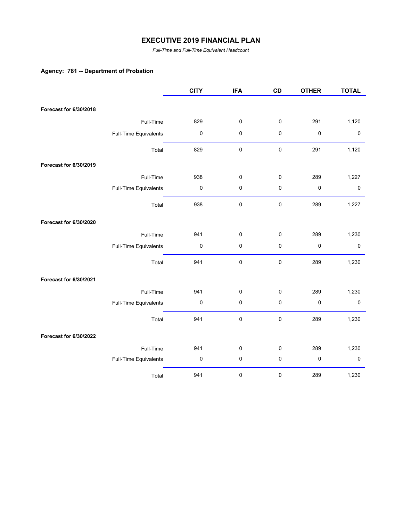*Full-Time and Full-Time Equivalent Headcount*

## **Agency: 781 -- Department of Probation**

|                        |                       | <b>CITY</b> | <b>IFA</b> | CD          | <b>OTHER</b> | <b>TOTAL</b> |
|------------------------|-----------------------|-------------|------------|-------------|--------------|--------------|
|                        |                       |             |            |             |              |              |
| Forecast for 6/30/2018 |                       |             |            |             |              |              |
|                        | Full-Time             | 829         | 0          | $\pmb{0}$   | 291          | 1,120        |
|                        | Full-Time Equivalents | $\pmb{0}$   | $\pmb{0}$  | $\pmb{0}$   | $\pmb{0}$    | $\pmb{0}$    |
|                        | Total                 | 829         | $\pmb{0}$  | $\mathbf 0$ | 291          | 1,120        |
| Forecast for 6/30/2019 |                       |             |            |             |              |              |
|                        | Full-Time             | 938         | 0          | $\pmb{0}$   | 289          | 1,227        |
|                        | Full-Time Equivalents | $\pmb{0}$   | $\pmb{0}$  | $\pmb{0}$   | $\mathbf 0$  | $\pmb{0}$    |
|                        | Total                 | 938         | 0          | $\mathbf 0$ | 289          | 1,227        |
| Forecast for 6/30/2020 |                       |             |            |             |              |              |
|                        | Full-Time             | 941         | 0          | $\pmb{0}$   | 289          | 1,230        |
|                        | Full-Time Equivalents | 0           | 0          | $\pmb{0}$   | 0            | $\pmb{0}$    |
|                        | Total                 | 941         | 0          | $\pmb{0}$   | 289          | 1,230        |
| Forecast for 6/30/2021 |                       |             |            |             |              |              |
|                        | Full-Time             | 941         | 0          | 0           | 289          | 1,230        |
|                        | Full-Time Equivalents | $\pmb{0}$   | 0          | $\pmb{0}$   | $\pmb{0}$    | $\pmb{0}$    |
|                        | Total                 | 941         | $\pmb{0}$  | $\pmb{0}$   | 289          | 1,230        |
| Forecast for 6/30/2022 |                       |             |            |             |              |              |
|                        | Full-Time             | 941         | 0          | 0           | 289          | 1,230        |
|                        | Full-Time Equivalents | 0           | 0          | $\pmb{0}$   | 0            | $\pmb{0}$    |
|                        | Total                 | 941         | 0          | $\pmb{0}$   | 289          | 1,230        |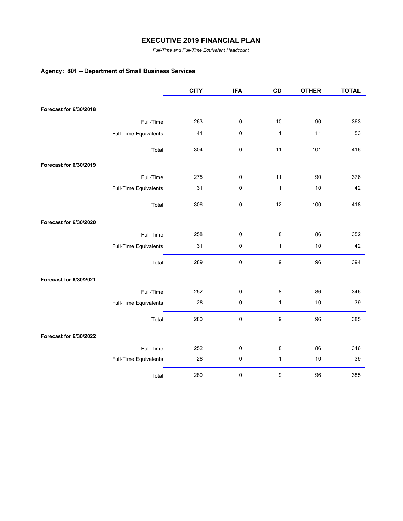*Full-Time and Full-Time Equivalent Headcount*

# **Agency: 801 -- Department of Small Business Services**

|                        |                       | <b>CITY</b> | <b>IFA</b> | CD           | <b>OTHER</b> | <b>TOTAL</b> |
|------------------------|-----------------------|-------------|------------|--------------|--------------|--------------|
|                        |                       |             |            |              |              |              |
| Forecast for 6/30/2018 |                       |             |            |              |              |              |
|                        | Full-Time             | 263         | $\pmb{0}$  | 10           | 90           | 363          |
|                        | Full-Time Equivalents | 41          | $\pmb{0}$  | $\mathbf{1}$ | 11           | 53           |
|                        | Total                 | 304         | 0          | 11           | 101          | 416          |
| Forecast for 6/30/2019 |                       |             |            |              |              |              |
|                        | Full-Time             | 275         | 0          | 11           | 90           | 376          |
|                        | Full-Time Equivalents | 31          | 0          | $\mathbf{1}$ | 10           | 42           |
|                        | Total                 | 306         | $\pmb{0}$  | 12           | 100          | 418          |
| Forecast for 6/30/2020 |                       |             |            |              |              |              |
|                        | Full-Time             | 258         | 0          | 8            | 86           | 352          |
|                        | Full-Time Equivalents | 31          | 0          | $\mathbf{1}$ | 10           | 42           |
|                        | Total                 | 289         | $\pmb{0}$  | 9            | 96           | 394          |
| Forecast for 6/30/2021 |                       |             |            |              |              |              |
|                        | Full-Time             | 252         | $\pmb{0}$  | 8            | 86           | 346          |
|                        | Full-Time Equivalents | 28          | 0          | $\mathbf{1}$ | 10           | 39           |
|                        | Total                 | 280         | $\pmb{0}$  | 9            | 96           | 385          |
| Forecast for 6/30/2022 |                       |             |            |              |              |              |
|                        | Full-Time             | 252         | 0          | 8            | 86           | 346          |
|                        | Full-Time Equivalents | 28          | $\pmb{0}$  | $\mathbf{1}$ | 10           | 39           |
|                        | Total                 | 280         | $\pmb{0}$  | 9            | 96           | 385          |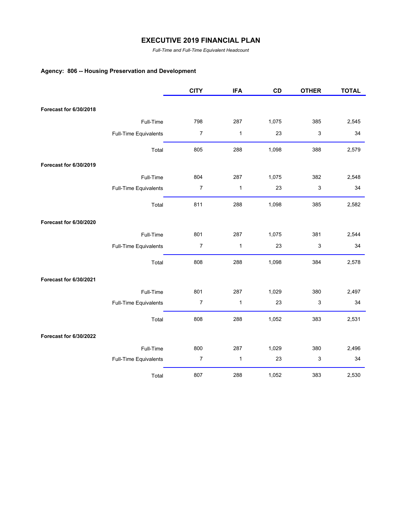*Full-Time and Full-Time Equivalent Headcount*

# **Agency: 806 -- Housing Preservation and Development**

|                        |                       | <b>CITY</b>      | <b>IFA</b>   | CD    | <b>OTHER</b> | <b>TOTAL</b> |
|------------------------|-----------------------|------------------|--------------|-------|--------------|--------------|
|                        |                       |                  |              |       |              |              |
| Forecast for 6/30/2018 |                       |                  |              |       |              |              |
|                        | Full-Time             | 798              | 287          | 1,075 | 385          | 2,545        |
|                        | Full-Time Equivalents | $\boldsymbol{7}$ | $\mathbf{1}$ | 23    | 3            | 34           |
|                        | Total                 | 805              | 288          | 1,098 | 388          | 2,579        |
| Forecast for 6/30/2019 |                       |                  |              |       |              |              |
|                        | Full-Time             | 804              | 287          | 1,075 | 382          | 2,548        |
|                        | Full-Time Equivalents | $\overline{7}$   | $\mathbf{1}$ | 23    | 3            | 34           |
|                        | Total                 | 811              | 288          | 1,098 | 385          | 2,582        |
| Forecast for 6/30/2020 |                       |                  |              |       |              |              |
|                        | Full-Time             | 801              | 287          | 1,075 | 381          | 2,544        |
|                        | Full-Time Equivalents | $\overline{7}$   | $\mathbf{1}$ | 23    | 3            | 34           |
|                        | Total                 | 808              | 288          | 1,098 | 384          | 2,578        |
| Forecast for 6/30/2021 |                       |                  |              |       |              |              |
|                        | Full-Time             | 801              | 287          | 1,029 | 380          | 2,497        |
|                        | Full-Time Equivalents | 7                | 1            | 23    | 3            | 34           |
|                        | Total                 | 808              | 288          | 1,052 | 383          | 2,531        |
| Forecast for 6/30/2022 |                       |                  |              |       |              |              |
|                        | Full-Time             | 800              | 287          | 1,029 | 380          | 2,496        |
|                        | Full-Time Equivalents | $\boldsymbol{7}$ | 1            | 23    | 3            | 34           |
|                        | Total                 | 807              | 288          | 1,052 | 383          | 2,530        |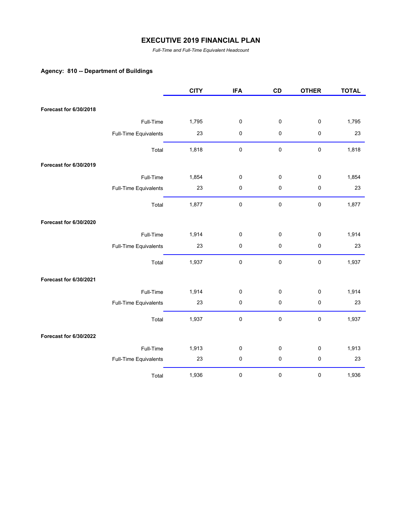*Full-Time and Full-Time Equivalent Headcount*

## **Agency: 810 -- Department of Buildings**

|                        |                       | <b>CITY</b> | <b>IFA</b> | CD        | <b>OTHER</b> | <b>TOTAL</b> |
|------------------------|-----------------------|-------------|------------|-----------|--------------|--------------|
|                        |                       |             |            |           |              |              |
| Forecast for 6/30/2018 |                       |             |            |           |              |              |
|                        | Full-Time             | 1,795       | $\pmb{0}$  | 0         | $\pmb{0}$    | 1,795        |
|                        | Full-Time Equivalents | 23          | 0          | $\pmb{0}$ | $\pmb{0}$    | 23           |
|                        | Total                 | 1,818       | $\pmb{0}$  | $\pmb{0}$ | $\pmb{0}$    | 1,818        |
| Forecast for 6/30/2019 |                       |             |            |           |              |              |
|                        | Full-Time             | 1,854       | 0          | 0         | $\pmb{0}$    | 1,854        |
|                        | Full-Time Equivalents | 23          | $\pmb{0}$  | 0         | $\pmb{0}$    | 23           |
|                        | Total                 | 1,877       | $\pmb{0}$  | $\pmb{0}$ | $\pmb{0}$    | 1,877        |
| Forecast for 6/30/2020 |                       |             |            |           |              |              |
|                        | Full-Time             | 1,914       | $\pmb{0}$  | $\pmb{0}$ | 0            | 1,914        |
|                        | Full-Time Equivalents | 23          | 0          | 0         | $\pmb{0}$    | 23           |
|                        | Total                 | 1,937       | 0          | $\pmb{0}$ | $\pmb{0}$    | 1,937        |
| Forecast for 6/30/2021 |                       |             |            |           |              |              |
|                        | Full-Time             | 1,914       | 0          | 0         | 0            | 1,914        |
|                        | Full-Time Equivalents | 23          | 0          | $\pmb{0}$ | $\pmb{0}$    | 23           |
|                        | Total                 | 1,937       | 0          | $\pmb{0}$ | 0            | 1,937        |
| Forecast for 6/30/2022 |                       |             |            |           |              |              |
|                        | Full-Time             | 1,913       | 0          | $\pmb{0}$ | $\pmb{0}$    | 1,913        |
|                        | Full-Time Equivalents | 23          | $\pmb{0}$  | 0         | $\pmb{0}$    | 23           |
|                        | Total                 | 1,936       | 0          | 0         | 0            | 1,936        |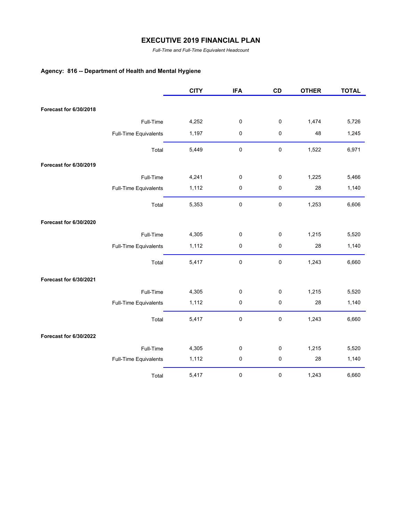*Full-Time and Full-Time Equivalent Headcount*

# **Agency: 816 -- Department of Health and Mental Hygiene**

|                        |                       | <b>CITY</b> | <b>IFA</b> | CD          | <b>OTHER</b> | <b>TOTAL</b> |
|------------------------|-----------------------|-------------|------------|-------------|--------------|--------------|
|                        |                       |             |            |             |              |              |
| Forecast for 6/30/2018 |                       |             |            |             |              |              |
|                        | Full-Time             | 4,252       | $\pmb{0}$  | 0           | 1,474        | 5,726        |
|                        | Full-Time Equivalents | 1,197       | $\pmb{0}$  | 0           | 48           | 1,245        |
|                        | Total                 | 5,449       | $\pmb{0}$  | 0           | 1,522        | 6,971        |
| Forecast for 6/30/2019 |                       |             |            |             |              |              |
|                        | Full-Time             | 4,241       | 0          | 0           | 1,225        | 5,466        |
|                        | Full-Time Equivalents | 1,112       | $\pmb{0}$  | 0           | 28           | 1,140        |
|                        | Total                 | 5,353       | 0          | 0           | 1,253        | 6,606        |
| Forecast for 6/30/2020 |                       |             |            |             |              |              |
|                        | Full-Time             | 4,305       | 0          | 0           | 1,215        | 5,520        |
|                        | Full-Time Equivalents | 1,112       | 0          | 0           | 28           | 1,140        |
|                        | Total                 | 5,417       | 0          | $\mathbf 0$ | 1,243        | 6,660        |
| Forecast for 6/30/2021 |                       |             |            |             |              |              |
|                        | Full-Time             | 4,305       | 0          | 0           | 1,215        | 5,520        |
|                        | Full-Time Equivalents | 1,112       | 0          | 0           | 28           | 1,140        |
|                        | Total                 | 5,417       | 0          | 0           | 1,243        | 6,660        |
| Forecast for 6/30/2022 |                       |             |            |             |              |              |
|                        | Full-Time             | 4,305       | 0          | 0           | 1,215        | 5,520        |
|                        | Full-Time Equivalents | 1,112       | 0          | 0           | 28           | 1,140        |
|                        | Total                 | 5,417       | 0          | 0           | 1,243        | 6,660        |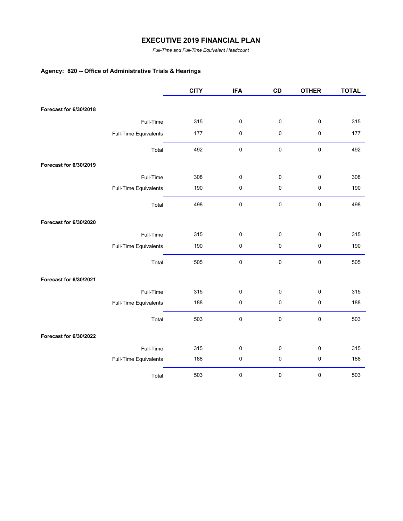*Full-Time and Full-Time Equivalent Headcount*

# **Agency: 820 -- Office of Administrative Trials & Hearings**

|                        |                       | <b>CITY</b> | <b>IFA</b> | CD        | <b>OTHER</b> | <b>TOTAL</b> |
|------------------------|-----------------------|-------------|------------|-----------|--------------|--------------|
|                        |                       |             |            |           |              |              |
| Forecast for 6/30/2018 |                       |             |            |           |              |              |
|                        | Full-Time             | 315         | $\pmb{0}$  | 0         | $\pmb{0}$    | 315          |
|                        | Full-Time Equivalents | 177         | $\pmb{0}$  | 0         | $\pmb{0}$    | 177          |
|                        | Total                 | 492         | $\pmb{0}$  | $\pmb{0}$ | $\pmb{0}$    | 492          |
| Forecast for 6/30/2019 |                       |             |            |           |              |              |
|                        | Full-Time             | 308         | $\pmb{0}$  | 0         | $\pmb{0}$    | 308          |
|                        | Full-Time Equivalents | 190         | $\pmb{0}$  | 0         | $\pmb{0}$    | 190          |
|                        | Total                 | 498         | 0          | $\pmb{0}$ | $\pmb{0}$    | 498          |
| Forecast for 6/30/2020 |                       |             |            |           |              |              |
|                        | Full-Time             | 315         | $\pmb{0}$  | $\pmb{0}$ | $\pmb{0}$    | 315          |
|                        | Full-Time Equivalents | 190         | 0          | 0         | $\pmb{0}$    | 190          |
|                        | Total                 | 505         | $\pmb{0}$  | $\pmb{0}$ | $\pmb{0}$    | 505          |
| Forecast for 6/30/2021 |                       |             |            |           |              |              |
|                        | Full-Time             | 315         | $\pmb{0}$  | $\pmb{0}$ | $\pmb{0}$    | 315          |
|                        | Full-Time Equivalents | 188         | 0          | $\pmb{0}$ | $\pmb{0}$    | 188          |
|                        | Total                 | 503         | 0          | $\pmb{0}$ | $\pmb{0}$    | 503          |
| Forecast for 6/30/2022 |                       |             |            |           |              |              |
|                        | Full-Time             | 315         | $\pmb{0}$  | $\pmb{0}$ | $\pmb{0}$    | 315          |
|                        | Full-Time Equivalents | 188         | $\pmb{0}$  | 0         | $\pmb{0}$    | 188          |
|                        | Total                 | 503         | $\pmb{0}$  | $\pmb{0}$ | $\pmb{0}$    | 503          |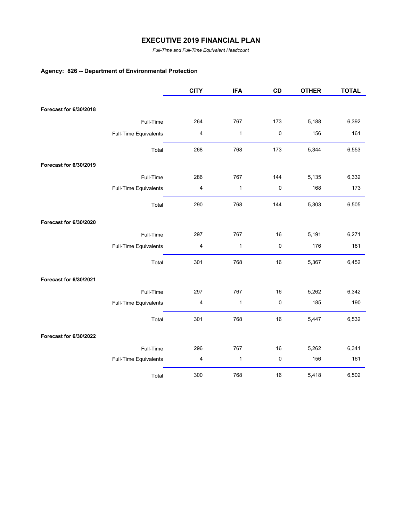*Full-Time and Full-Time Equivalent Headcount*

## **Agency: 826 -- Department of Environmental Protection**

|                        |                       | <b>CITY</b> | <b>IFA</b>   | CD  | <b>OTHER</b> | <b>TOTAL</b> |
|------------------------|-----------------------|-------------|--------------|-----|--------------|--------------|
|                        |                       |             |              |     |              |              |
| Forecast for 6/30/2018 |                       |             |              |     |              |              |
|                        | Full-Time             | 264         | 767          | 173 | 5,188        | 6,392        |
|                        | Full-Time Equivalents | 4           | $\mathbf{1}$ | 0   | 156          | 161          |
|                        | Total                 | 268         | 768          | 173 | 5,344        | 6,553        |
| Forecast for 6/30/2019 |                       |             |              |     |              |              |
|                        | Full-Time             | 286         | 767          | 144 | 5,135        | 6,332        |
|                        | Full-Time Equivalents | 4           | $\mathbf{1}$ | 0   | 168          | 173          |
|                        | Total                 | 290         | 768          | 144 | 5,303        | 6,505        |
| Forecast for 6/30/2020 |                       |             |              |     |              |              |
|                        | Full-Time             | 297         | 767          | 16  | 5,191        | 6,271        |
|                        | Full-Time Equivalents | 4           | $\mathbf{1}$ | 0   | 176          | 181          |
|                        | Total                 | 301         | 768          | 16  | 5,367        | 6,452        |
| Forecast for 6/30/2021 |                       |             |              |     |              |              |
|                        | Full-Time             | 297         | 767          | 16  | 5,262        | 6,342        |
|                        | Full-Time Equivalents | 4           | $\mathbf{1}$ | 0   | 185          | 190          |
|                        | Total                 | 301         | 768          | 16  | 5,447        | 6,532        |
| Forecast for 6/30/2022 |                       |             |              |     |              |              |
|                        | Full-Time             | 296         | 767          | 16  | 5,262        | 6,341        |
|                        | Full-Time Equivalents | 4           | $\mathbf{1}$ | 0   | 156          | 161          |
|                        | Total                 | 300         | 768          | 16  | 5,418        | 6,502        |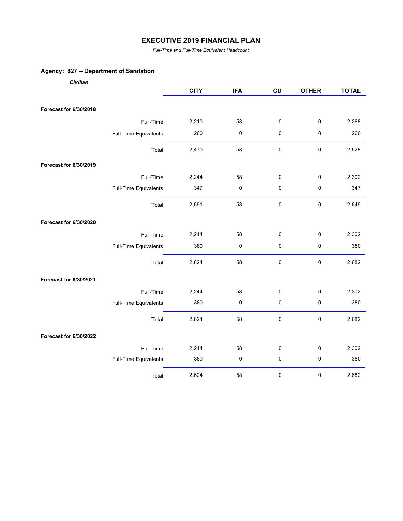*Full-Time and Full-Time Equivalent Headcount*

## **Agency: 827 -- Department of Sanitation**

| Civilian               |                       |             |            |             |              |              |
|------------------------|-----------------------|-------------|------------|-------------|--------------|--------------|
|                        |                       | <b>CITY</b> | <b>IFA</b> | CD          | <b>OTHER</b> | <b>TOTAL</b> |
|                        |                       |             |            |             |              |              |
| Forecast for 6/30/2018 |                       |             |            |             |              |              |
|                        | Full-Time             | 2,210       | 58         | $\pmb{0}$   | $\pmb{0}$    | 2,268        |
|                        | Full-Time Equivalents | 260         | 0          | $\pmb{0}$   | $\pmb{0}$    | 260          |
|                        | Total                 | 2,470       | 58         | $\pmb{0}$   | $\pmb{0}$    | 2,528        |
| Forecast for 6/30/2019 |                       |             |            |             |              |              |
|                        | Full-Time             | 2,244       | 58         | 0           | $\pmb{0}$    | 2,302        |
|                        | Full-Time Equivalents | 347         | 0          | $\pmb{0}$   | 0            | 347          |
|                        | Total                 | 2,591       | 58         | $\pmb{0}$   | $\pmb{0}$    | 2,649        |
| Forecast for 6/30/2020 |                       |             |            |             |              |              |
|                        | Full-Time             | 2,244       | 58         | 0           | $\pmb{0}$    | 2,302        |
|                        | Full-Time Equivalents | 380         | $\pmb{0}$  | $\pmb{0}$   | $\pmb{0}$    | 380          |
|                        | Total                 | 2,624       | 58         | $\mathbf 0$ | $\pmb{0}$    | 2,682        |
| Forecast for 6/30/2021 |                       |             |            |             |              |              |
|                        | Full-Time             | 2,244       | 58         | $\pmb{0}$   | 0            | 2,302        |
|                        | Full-Time Equivalents | 380         | $\pmb{0}$  | $\pmb{0}$   | $\pmb{0}$    | 380          |
|                        | Total                 | 2,624       | 58         | $\mathbf 0$ | $\pmb{0}$    | 2,682        |
| Forecast for 6/30/2022 |                       |             |            |             |              |              |
|                        | Full-Time             | 2,244       | 58         | 0           | 0            | 2,302        |
|                        | Full-Time Equivalents | 380         | $\pmb{0}$  | $\pmb{0}$   | $\pmb{0}$    | 380          |
|                        | Total                 | 2,624       | 58         | $\pmb{0}$   | $\pmb{0}$    | 2,682        |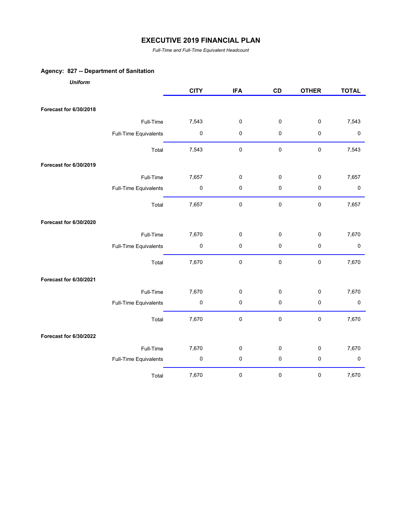*Full-Time and Full-Time Equivalent Headcount*

## **Agency: 827 -- Department of Sanitation**

| <b>Uniform</b>         |                       |             |             |             |              |              |
|------------------------|-----------------------|-------------|-------------|-------------|--------------|--------------|
|                        |                       | <b>CITY</b> | <b>IFA</b>  | CD          | <b>OTHER</b> | <b>TOTAL</b> |
|                        |                       |             |             |             |              |              |
| Forecast for 6/30/2018 |                       |             |             |             |              |              |
|                        | Full-Time             | 7,543       | $\pmb{0}$   | $\pmb{0}$   | $\pmb{0}$    | 7,543        |
|                        | Full-Time Equivalents | $\pmb{0}$   | $\mathbf 0$ | 0           | $\pmb{0}$    | 0            |
|                        | Total                 | 7,543       | $\pmb{0}$   | $\mathsf 0$ | $\pmb{0}$    | 7,543        |
| Forecast for 6/30/2019 |                       |             |             |             |              |              |
|                        | Full-Time             | 7,657       | $\pmb{0}$   | $\pmb{0}$   | $\mathbf 0$  | 7,657        |
|                        | Full-Time Equivalents | $\pmb{0}$   | $\pmb{0}$   | $\mathbf 0$ | $\pmb{0}$    | $\pmb{0}$    |
|                        | Total                 | 7,657       | $\pmb{0}$   | $\pmb{0}$   | $\pmb{0}$    | 7,657        |
| Forecast for 6/30/2020 |                       |             |             |             |              |              |
|                        | Full-Time             | 7,670       | $\mathbf 0$ | $\mathsf 0$ | $\mathbf 0$  | 7,670        |
|                        | Full-Time Equivalents | $\pmb{0}$   | $\mathbf 0$ | 0           | $\pmb{0}$    | 0            |
|                        | Total                 | 7,670       | $\pmb{0}$   | $\pmb{0}$   | $\pmb{0}$    | 7,670        |
| Forecast for 6/30/2021 |                       |             |             |             |              |              |
|                        | Full-Time             | 7,670       | $\mathbf 0$ | $\mathbf 0$ | $\mathbf 0$  | 7,670        |
|                        | Full-Time Equivalents | $\pmb{0}$   | $\pmb{0}$   | $\mathsf 0$ | $\pmb{0}$    | $\pmb{0}$    |
|                        | Total                 | 7,670       | $\pmb{0}$   | $\pmb{0}$   | 0            | 7,670        |
| Forecast for 6/30/2022 |                       |             |             |             |              |              |
|                        | Full-Time             | 7,670       | $\mathbf 0$ | $\mathbf 0$ | $\mathbf 0$  | 7,670        |
|                        | Full-Time Equivalents | $\pmb{0}$   | $\pmb{0}$   | $\pmb{0}$   | $\pmb{0}$    | $\pmb{0}$    |
|                        | Total                 | 7,670       | $\pmb{0}$   | $\pmb{0}$   | $\pmb{0}$    | 7,670        |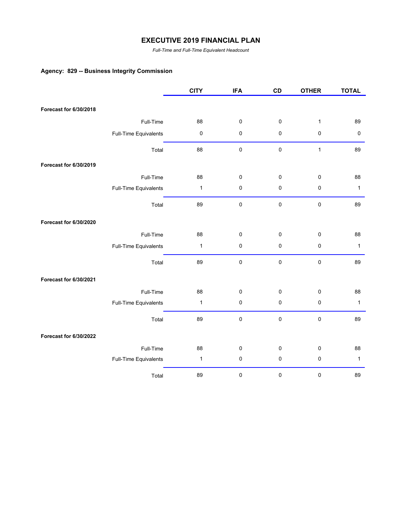*Full-Time and Full-Time Equivalent Headcount*

## **Agency: 829 -- Business Integrity Commission**

|                        |                       | <b>CITY</b>  | <b>IFA</b> | CD        | <b>OTHER</b> | <b>TOTAL</b> |
|------------------------|-----------------------|--------------|------------|-----------|--------------|--------------|
|                        |                       |              |            |           |              |              |
| Forecast for 6/30/2018 |                       |              |            |           |              |              |
|                        | Full-Time             | 88           | $\pmb{0}$  | 0         | $\mathbf{1}$ | 89           |
|                        | Full-Time Equivalents | $\pmb{0}$    | $\pmb{0}$  | 0         | 0            | $\pmb{0}$    |
|                        | Total                 | 88           | $\pmb{0}$  | $\pmb{0}$ | $\mathbf{1}$ | 89           |
| Forecast for 6/30/2019 |                       |              |            |           |              |              |
|                        | Full-Time             | 88           | $\pmb{0}$  | 0         | 0            | 88           |
|                        | Full-Time Equivalents | $\mathbf{1}$ | $\pmb{0}$  | 0         | $\pmb{0}$    | $\mathbf{1}$ |
|                        | Total                 | 89           | $\pmb{0}$  | $\pmb{0}$ | $\mathbf 0$  | 89           |
| Forecast for 6/30/2020 |                       |              |            |           |              |              |
|                        | Full-Time             | 88           | $\pmb{0}$  | 0         | $\pmb{0}$    | 88           |
|                        | Full-Time Equivalents | $\mathbf{1}$ | $\pmb{0}$  | 0         | 0            | $\mathbf{1}$ |
|                        | Total                 | 89           | $\pmb{0}$  | $\pmb{0}$ | $\pmb{0}$    | 89           |
| Forecast for 6/30/2021 |                       |              |            |           |              |              |
|                        | Full-Time             | 88           | $\pmb{0}$  | 0         | 0            | 88           |
|                        | Full-Time Equivalents | $\mathbf{1}$ | $\pmb{0}$  | 0         | 0            | $\mathbf{1}$ |
|                        | Total                 | 89           | $\pmb{0}$  | $\pmb{0}$ | $\pmb{0}$    | 89           |
| Forecast for 6/30/2022 |                       |              |            |           |              |              |
|                        | Full-Time             | 88           | $\pmb{0}$  | 0         | 0            | 88           |
|                        | Full-Time Equivalents | $\mathbf{1}$ | $\pmb{0}$  | 0         | 0            | $\mathbf{1}$ |
|                        | Total                 | 89           | $\pmb{0}$  | $\pmb{0}$ | $\pmb{0}$    | 89           |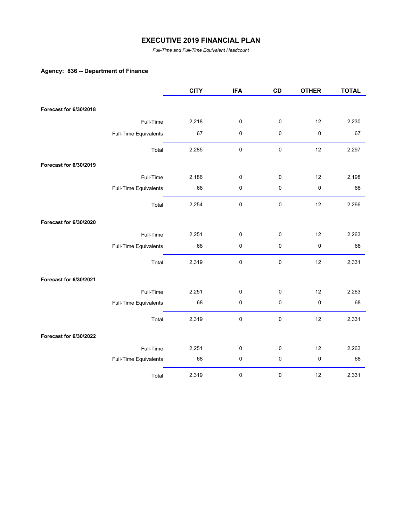*Full-Time and Full-Time Equivalent Headcount*

## **Agency: 836 -- Department of Finance**

|                        |                       | <b>CITY</b> | <b>IFA</b> | CD        | <b>OTHER</b> | <b>TOTAL</b> |
|------------------------|-----------------------|-------------|------------|-----------|--------------|--------------|
| Forecast for 6/30/2018 |                       |             |            |           |              |              |
|                        |                       |             |            |           |              |              |
|                        | Full-Time             | 2,218       | 0          | 0         | 12           | 2,230        |
|                        | Full-Time Equivalents | 67          | 0          | 0         | 0            | 67           |
|                        | Total                 | 2,285       | $\pmb{0}$  | $\pmb{0}$ | 12           | 2,297        |
| Forecast for 6/30/2019 |                       |             |            |           |              |              |
|                        | Full-Time             | 2,186       | 0          | 0         | 12           | 2,198        |
|                        | Full-Time Equivalents | 68          | $\pmb{0}$  | 0         | 0            | 68           |
|                        | Total                 | 2,254       | 0          | $\pmb{0}$ | 12           | 2,266        |
| Forecast for 6/30/2020 |                       |             |            |           |              |              |
|                        | Full-Time             | 2,251       | 0          | 0         | 12           | 2,263        |
|                        | Full-Time Equivalents | 68          | 0          | 0         | 0            | 68           |
|                        | Total                 | 2,319       | 0          | 0         | 12           | 2,331        |
| Forecast for 6/30/2021 |                       |             |            |           |              |              |
|                        | Full-Time             | 2,251       | 0          | 0         | 12           | 2,263        |
|                        | Full-Time Equivalents | 68          | 0          | 0         | 0            | 68           |
|                        | Total                 | 2,319       | 0          | 0         | 12           | 2,331        |
| Forecast for 6/30/2022 |                       |             |            |           |              |              |
|                        | Full-Time             | 2,251       | 0          | 0         | 12           | 2,263        |
|                        | Full-Time Equivalents | 68          | $\pmb{0}$  | 0         | $\pmb{0}$    | 68           |
|                        | Total                 | 2,319       | 0          | 0         | 12           | 2,331        |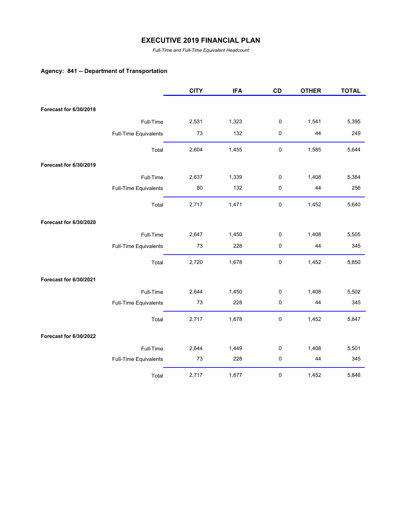*Full-Time and Full-Time Equivalent Headcount*

## **Agency: 841 -- Department of Transportation**

|                        |                       | <b>CITY</b> | <b>IFA</b> | CD          | <b>OTHER</b> | <b>TOTAL</b> |
|------------------------|-----------------------|-------------|------------|-------------|--------------|--------------|
|                        |                       |             |            |             |              |              |
| Forecast for 6/30/2018 |                       |             |            |             |              |              |
|                        | Full-Time             | 2,531       | 1,323      | 0           | 1,541        | 5,395        |
|                        | Full-Time Equivalents | 73          | 132        | 0           | 44           | 249          |
|                        | Total                 | 2,604       | 1,455      | $\mathbf 0$ | 1,585        | 5,644        |
| Forecast for 6/30/2019 |                       |             |            |             |              |              |
|                        | Full-Time             | 2,637       | 1,339      | $\pmb{0}$   | 1,408        | 5,384        |
|                        | Full-Time Equivalents | 80          | 132        | 0           | 44           | 256          |
|                        | Total                 | 2,717       | 1,471      | $\pmb{0}$   | 1,452        | 5,640        |
| Forecast for 6/30/2020 |                       |             |            |             |              |              |
|                        | Full-Time             | 2,647       | 1,450      | 0           | 1,408        | 5,505        |
|                        | Full-Time Equivalents | 73          | 228        | 0           | 44           | 345          |
|                        | Total                 | 2,720       | 1,678      | 0           | 1,452        | 5,850        |
| Forecast for 6/30/2021 |                       |             |            |             |              |              |
|                        | Full-Time             | 2,644       | 1,450      | 0           | 1,408        | 5,502        |
|                        | Full-Time Equivalents | 73          | 228        | 0           | 44           | 345          |
|                        | Total                 | 2,717       | 1,678      | $\pmb{0}$   | 1,452        | 5,847        |
| Forecast for 6/30/2022 |                       |             |            |             |              |              |
|                        | Full-Time             | 2,644       | 1,449      | $\pmb{0}$   | 1,408        | 5,501        |
|                        | Full-Time Equivalents | 73          | 228        | 0           | 44           | 345          |
|                        | Total                 | 2,717       | 1,677      | 0           | 1,452        | 5,846        |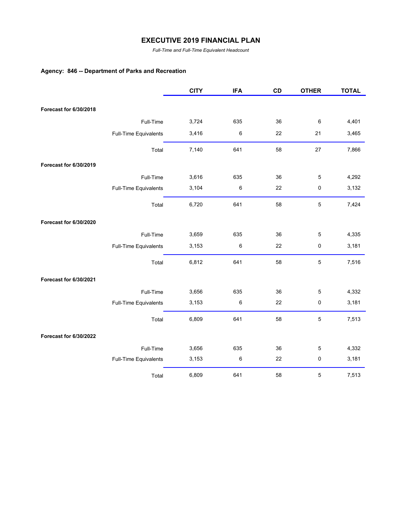*Full-Time and Full-Time Equivalent Headcount*

## **Agency: 846 -- Department of Parks and Recreation**

|                        |                       | <b>CITY</b> | <b>IFA</b> | CD | <b>OTHER</b> | <b>TOTAL</b> |
|------------------------|-----------------------|-------------|------------|----|--------------|--------------|
| Forecast for 6/30/2018 |                       |             |            |    |              |              |
|                        |                       |             |            |    |              |              |
|                        | Full-Time             | 3,724       | 635        | 36 | 6            | 4,401        |
|                        | Full-Time Equivalents | 3,416       | 6          | 22 | 21           | 3,465        |
|                        | Total                 | 7,140       | 641        | 58 | 27           | 7,866        |
| Forecast for 6/30/2019 |                       |             |            |    |              |              |
|                        | Full-Time             | 3,616       | 635        | 36 | 5            | 4,292        |
|                        | Full-Time Equivalents | 3,104       | 6          | 22 | 0            | 3,132        |
|                        | Total                 | 6,720       | 641        | 58 | $\mathbf 5$  | 7,424        |
| Forecast for 6/30/2020 |                       |             |            |    |              |              |
|                        | Full-Time             | 3,659       | 635        | 36 | $\mathbf 5$  | 4,335        |
|                        | Full-Time Equivalents | 3,153       | $\,6\,$    | 22 | 0            | 3,181        |
|                        | Total                 | 6,812       | 641        | 58 | 5            | 7,516        |
| Forecast for 6/30/2021 |                       |             |            |    |              |              |
|                        | Full-Time             | 3,656       | 635        | 36 | 5            | 4,332        |
|                        | Full-Time Equivalents | 3,153       | 6          | 22 | 0            | 3,181        |
|                        | Total                 | 6,809       | 641        | 58 | 5            | 7,513        |
| Forecast for 6/30/2022 |                       |             |            |    |              |              |
|                        | Full-Time             | 3,656       | 635        | 36 | $\mathbf 5$  | 4,332        |
|                        | Full-Time Equivalents | 3,153       | 6          | 22 | 0            | 3,181        |
|                        | Total                 | 6,809       | 641        | 58 | $\mathbf 5$  | 7,513        |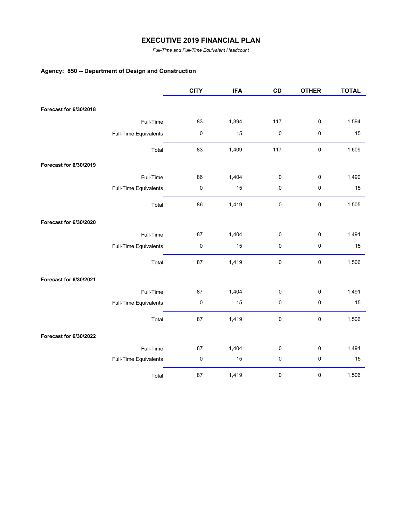*Full-Time and Full-Time Equivalent Headcount*

## **Agency: 850 -- Department of Design and Construction**

|                        |                       | <b>CITY</b> | <b>IFA</b> | CD          | <b>OTHER</b> | <b>TOTAL</b> |
|------------------------|-----------------------|-------------|------------|-------------|--------------|--------------|
|                        |                       |             |            |             |              |              |
| Forecast for 6/30/2018 |                       |             |            |             |              |              |
|                        | Full-Time             | 83          | 1,394      | 117         | $\pmb{0}$    | 1,594        |
|                        | Full-Time Equivalents | $\pmb{0}$   | 15         | 0           | $\pmb{0}$    | 15           |
|                        | Total                 | 83          | 1,409      | 117         | $\pmb{0}$    | 1,609        |
| Forecast for 6/30/2019 |                       |             |            |             |              |              |
|                        | Full-Time             | 86          | 1,404      | 0           | $\pmb{0}$    | 1,490        |
|                        | Full-Time Equivalents | $\pmb{0}$   | 15         | 0           | $\pmb{0}$    | 15           |
|                        | Total                 | 86          | 1,419      | $\mathbf 0$ | $\pmb{0}$    | 1,505        |
| Forecast for 6/30/2020 |                       |             |            |             |              |              |
|                        | Full-Time             | 87          | 1,404      | 0           | $\pmb{0}$    | 1,491        |
|                        | Full-Time Equivalents | $\pmb{0}$   | 15         | 0           | $\pmb{0}$    | 15           |
|                        | Total                 | 87          | 1,419      | $\mathbf 0$ | $\pmb{0}$    | 1,506        |
| Forecast for 6/30/2021 |                       |             |            |             |              |              |
|                        | Full-Time             | 87          | 1,404      | 0           | $\pmb{0}$    | 1,491        |
|                        | Full-Time Equivalents | $\pmb{0}$   | 15         | 0           | $\pmb{0}$    | 15           |
|                        | Total                 | 87          | 1,419      | 0           | $\pmb{0}$    | 1,506        |
| Forecast for 6/30/2022 |                       |             |            |             |              |              |
|                        | Full-Time             | 87          | 1,404      | 0           | $\pmb{0}$    | 1,491        |
|                        | Full-Time Equivalents | $\pmb{0}$   | 15         | 0           | $\pmb{0}$    | 15           |
|                        | Total                 | 87          | 1,419      | 0           | $\pmb{0}$    | 1,506        |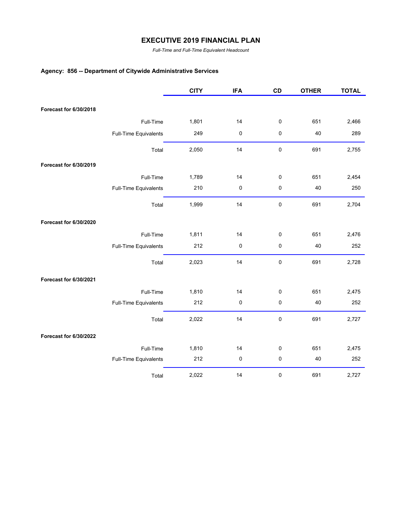*Full-Time and Full-Time Equivalent Headcount*

# **Agency: 856 -- Department of Citywide Administrative Services**

|                        |                       | <b>CITY</b> | <b>IFA</b> | CD          | <b>OTHER</b> | <b>TOTAL</b> |
|------------------------|-----------------------|-------------|------------|-------------|--------------|--------------|
|                        |                       |             |            |             |              |              |
| Forecast for 6/30/2018 |                       |             |            |             |              |              |
|                        | Full-Time             | 1,801       | 14         | $\pmb{0}$   | 651          | 2,466        |
|                        | Full-Time Equivalents | 249         | 0          | $\pmb{0}$   | 40           | 289          |
|                        | Total                 | 2,050       | 14         | $\pmb{0}$   | 691          | 2,755        |
| Forecast for 6/30/2019 |                       |             |            |             |              |              |
|                        | Full-Time             | 1,789       | 14         | $\pmb{0}$   | 651          | 2,454        |
|                        | Full-Time Equivalents | 210         | $\pmb{0}$  | $\pmb{0}$   | 40           | 250          |
|                        | Total                 | 1,999       | 14         | $\mathbf 0$ | 691          | 2,704        |
| Forecast for 6/30/2020 |                       |             |            |             |              |              |
|                        | Full-Time             | 1,811       | 14         | $\pmb{0}$   | 651          | 2,476        |
|                        | Full-Time Equivalents | 212         | 0          | $\pmb{0}$   | 40           | 252          |
|                        | Total                 | 2,023       | 14         | $\pmb{0}$   | 691          | 2,728        |
| Forecast for 6/30/2021 |                       |             |            |             |              |              |
|                        | Full-Time             | 1,810       | 14         | 0           | 651          | 2,475        |
|                        | Full-Time Equivalents | 212         | 0          | $\pmb{0}$   | 40           | 252          |
|                        | Total                 | 2,022       | 14         | $\pmb{0}$   | 691          | 2,727        |
| Forecast for 6/30/2022 |                       |             |            |             |              |              |
|                        | Full-Time             | 1,810       | 14         | $\pmb{0}$   | 651          | 2,475        |
|                        | Full-Time Equivalents | 212         | 0          | $\pmb{0}$   | 40           | 252          |
|                        | Total                 | 2,022       | 14         | 0           | 691          | 2,727        |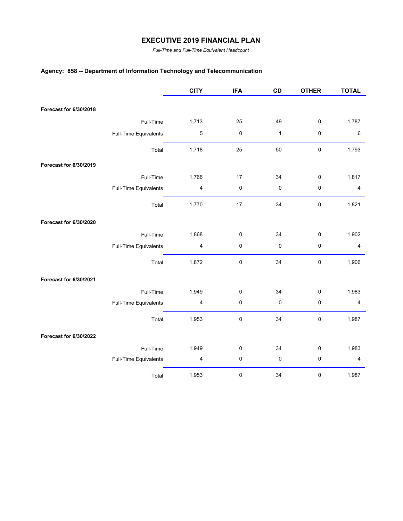*Full-Time and Full-Time Equivalent Headcount*

## **Agency: 858 -- Department of Information Technology and Telecommunication**

|                        |                       | <b>CITY</b>             | <b>IFA</b> | CD           | <b>OTHER</b> | <b>TOTAL</b>            |
|------------------------|-----------------------|-------------------------|------------|--------------|--------------|-------------------------|
|                        |                       |                         |            |              |              |                         |
| Forecast for 6/30/2018 |                       |                         |            |              |              |                         |
|                        | Full-Time             | 1,713                   | 25         | 49           | $\pmb{0}$    | 1,787                   |
|                        | Full-Time Equivalents | $\mathbf 5$             | $\pmb{0}$  | $\mathbf{1}$ | $\mathbf 0$  | 6                       |
|                        | Total                 | 1,718                   | 25         | 50           | $\pmb{0}$    | 1,793                   |
| Forecast for 6/30/2019 |                       |                         |            |              |              |                         |
|                        | Full-Time             | 1,766                   | 17         | 34           | $\pmb{0}$    | 1,817                   |
|                        | Full-Time Equivalents | $\overline{\mathbf{4}}$ | $\pmb{0}$  | 0            | $\pmb{0}$    | $\overline{\mathbf{4}}$ |
|                        | Total                 | 1,770                   | 17         | 34           | $\pmb{0}$    | 1,821                   |
| Forecast for 6/30/2020 |                       |                         |            |              |              |                         |
|                        | Full-Time             | 1,868                   | 0          | 34           | $\mathbf 0$  | 1,902                   |
|                        | Full-Time Equivalents | $\overline{\mathbf{4}}$ | 0          | 0            | $\pmb{0}$    | $\overline{\mathbf{4}}$ |
|                        | Total                 | 1,872                   | $\pmb{0}$  | 34           | $\pmb{0}$    | 1,906                   |
| Forecast for 6/30/2021 |                       |                         |            |              |              |                         |
|                        | Full-Time             | 1,949                   | 0          | 34           | $\pmb{0}$    | 1,983                   |
|                        | Full-Time Equivalents | 4                       | 0          | $\pmb{0}$    | $\pmb{0}$    | $\overline{4}$          |
|                        | Total                 | 1,953                   | $\pmb{0}$  | 34           | $\pmb{0}$    | 1,987                   |
| Forecast for 6/30/2022 |                       |                         |            |              |              |                         |
|                        | Full-Time             | 1,949                   | 0          | 34           | $\pmb{0}$    | 1,983                   |
|                        | Full-Time Equivalents | $\overline{\mathbf{4}}$ | $\pmb{0}$  | 0            | $\pmb{0}$    | $\overline{\mathbf{4}}$ |
|                        | Total                 | 1,953                   | 0          | 34           | $\pmb{0}$    | 1,987                   |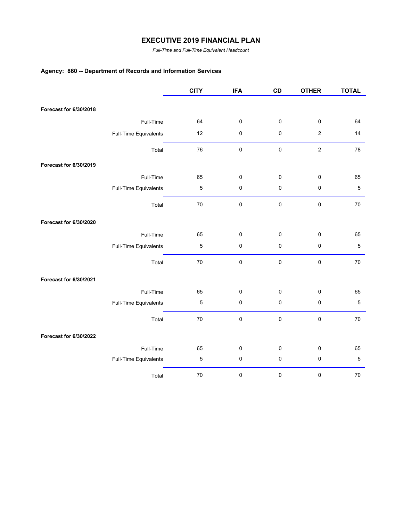*Full-Time and Full-Time Equivalent Headcount*

# **Agency: 860 -- Department of Records and Information Services**

|                        |                       | <b>CITY</b> | <b>IFA</b> | CD          | <b>OTHER</b>     | <b>TOTAL</b> |
|------------------------|-----------------------|-------------|------------|-------------|------------------|--------------|
|                        |                       |             |            |             |                  |              |
| Forecast for 6/30/2018 |                       |             |            |             |                  |              |
|                        | Full-Time             | 64          | $\pmb{0}$  | $\pmb{0}$   | $\pmb{0}$        | 64           |
|                        | Full-Time Equivalents | 12          | $\pmb{0}$  | 0           | $\boldsymbol{2}$ | 14           |
|                        | Total                 | 76          | $\pmb{0}$  | $\mathbf 0$ | $\boldsymbol{2}$ | 78           |
| Forecast for 6/30/2019 |                       |             |            |             |                  |              |
|                        | Full-Time             | 65          | $\pmb{0}$  | $\pmb{0}$   | $\pmb{0}$        | 65           |
|                        | Full-Time Equivalents | $\mathbf 5$ | $\pmb{0}$  | 0           | $\pmb{0}$        | $\mathbf 5$  |
|                        | Total                 | 70          | $\pmb{0}$  | $\mathbf 0$ | $\pmb{0}$        | 70           |
| Forecast for 6/30/2020 |                       |             |            |             |                  |              |
|                        | Full-Time             | 65          | $\pmb{0}$  | 0           | $\mathbf 0$      | 65           |
|                        | Full-Time Equivalents | $\sqrt{5}$  | $\pmb{0}$  | $\pmb{0}$   | $\pmb{0}$        | $\,$ 5       |
|                        | Total                 | 70          | $\pmb{0}$  | $\pmb{0}$   | $\pmb{0}$        | 70           |
| Forecast for 6/30/2021 |                       |             |            |             |                  |              |
|                        | Full-Time             | 65          | $\pmb{0}$  | 0           | $\pmb{0}$        | 65           |
|                        | Full-Time Equivalents | $\mathbf 5$ | $\pmb{0}$  | 0           | $\pmb{0}$        | $\mathbf 5$  |
|                        | Total                 | 70          | $\pmb{0}$  | $\pmb{0}$   | $\pmb{0}$        | 70           |
| Forecast for 6/30/2022 |                       |             |            |             |                  |              |
|                        | Full-Time             | 65          | $\pmb{0}$  | 0           | $\pmb{0}$        | 65           |
|                        | Full-Time Equivalents | $\mathbf 5$ | $\pmb{0}$  | 0           | $\pmb{0}$        | $\mathbf 5$  |
|                        | Total                 | 70          | 0          | 0           | $\pmb{0}$        | $70\,$       |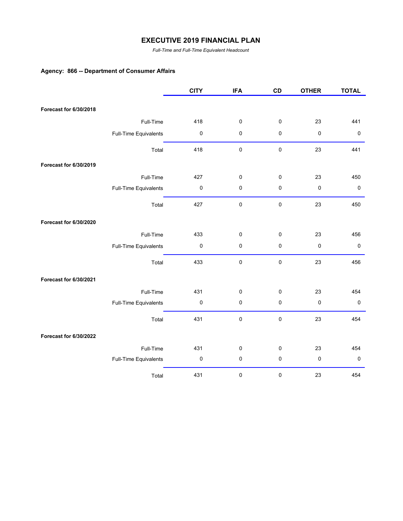*Full-Time and Full-Time Equivalent Headcount*

## **Agency: 866 -- Department of Consumer Affairs**

|                        |                       | <b>CITY</b> | <b>IFA</b> | CD        | <b>OTHER</b> | <b>TOTAL</b> |
|------------------------|-----------------------|-------------|------------|-----------|--------------|--------------|
|                        |                       |             |            |           |              |              |
| Forecast for 6/30/2018 |                       |             |            |           |              |              |
|                        | Full-Time             | 418         | $\pmb{0}$  | $\pmb{0}$ | 23           | 441          |
|                        | Full-Time Equivalents | $\pmb{0}$   | 0          | 0         | $\pmb{0}$    | $\pmb{0}$    |
|                        | Total                 | 418         | $\pmb{0}$  | 0         | 23           | 441          |
| Forecast for 6/30/2019 |                       |             |            |           |              |              |
|                        | Full-Time             | 427         | $\pmb{0}$  | 0         | 23           | 450          |
|                        | Full-Time Equivalents | $\pmb{0}$   | $\pmb{0}$  | 0         | $\pmb{0}$    | $\pmb{0}$    |
|                        | Total                 | 427         | $\pmb{0}$  | 0         | 23           | 450          |
| Forecast for 6/30/2020 |                       |             |            |           |              |              |
|                        | Full-Time             | 433         | $\pmb{0}$  | 0         | 23           | 456          |
|                        | Full-Time Equivalents | $\mathbf 0$ | $\pmb{0}$  | 0         | $\pmb{0}$    | $\pmb{0}$    |
|                        | Total                 | 433         | $\pmb{0}$  | $\pmb{0}$ | 23           | 456          |
| Forecast for 6/30/2021 |                       |             |            |           |              |              |
|                        | Full-Time             | 431         | $\pmb{0}$  | 0         | 23           | 454          |
|                        | Full-Time Equivalents | $\pmb{0}$   | $\pmb{0}$  | 0         | $\pmb{0}$    | $\pmb{0}$    |
|                        | Total                 | 431         | $\pmb{0}$  | 0         | 23           | 454          |
| Forecast for 6/30/2022 |                       |             |            |           |              |              |
|                        | Full-Time             | 431         | $\pmb{0}$  | 0         | 23           | 454          |
|                        | Full-Time Equivalents | 0           | 0          | 0         | $\pmb{0}$    | $\pmb{0}$    |
|                        | Total                 | 431         | $\pmb{0}$  | 0         | 23           | 454          |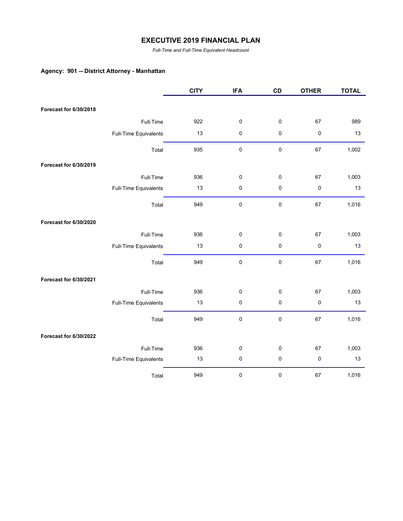*Full-Time and Full-Time Equivalent Headcount*

## **Agency: 901 -- District Attorney - Manhattan**

|                        |                       | <b>CITY</b> | <b>IFA</b> | CD        | <b>OTHER</b> | <b>TOTAL</b> |
|------------------------|-----------------------|-------------|------------|-----------|--------------|--------------|
| Forecast for 6/30/2018 |                       |             |            |           |              |              |
|                        | Full-Time             | 922         |            |           | 67           | 989          |
|                        |                       |             | 0          | 0         |              |              |
|                        | Full-Time Equivalents | 13          | $\pmb{0}$  | 0         | 0            | 13           |
|                        | Total                 | 935         | $\pmb{0}$  | $\pmb{0}$ | 67           | 1,002        |
| Forecast for 6/30/2019 |                       |             |            |           |              |              |
|                        | Full-Time             | 936         | 0          | 0         | 67           | 1,003        |
|                        | Full-Time Equivalents | 13          | $\pmb{0}$  | $\pmb{0}$ | $\pmb{0}$    | 13           |
|                        | Total                 | 949         | $\pmb{0}$  | $\pmb{0}$ | 67           | 1,016        |
| Forecast for 6/30/2020 |                       |             |            |           |              |              |
|                        | Full-Time             | 936         | 0          | 0         | 67           | 1,003        |
|                        | Full-Time Equivalents | 13          | $\pmb{0}$  | 0         | $\pmb{0}$    | 13           |
|                        | Total                 | 949         | $\pmb{0}$  | 0         | 67           | 1,016        |
| Forecast for 6/30/2021 |                       |             |            |           |              |              |
|                        | Full-Time             | 936         | 0          | 0         | 67           | 1,003        |
|                        | Full-Time Equivalents | 13          | $\pmb{0}$  | 0         | $\pmb{0}$    | 13           |
|                        | Total                 | 949         | $\pmb{0}$  | 0         | 67           | 1,016        |
| Forecast for 6/30/2022 |                       |             |            |           |              |              |
|                        | Full-Time             | 936         | 0          | 0         | 67           | 1,003        |
|                        | Full-Time Equivalents | 13          | $\pmb{0}$  | $\pmb{0}$ | $\pmb{0}$    | 13           |
|                        | Total                 | 949         | 0          | 0         | 67           | 1,016        |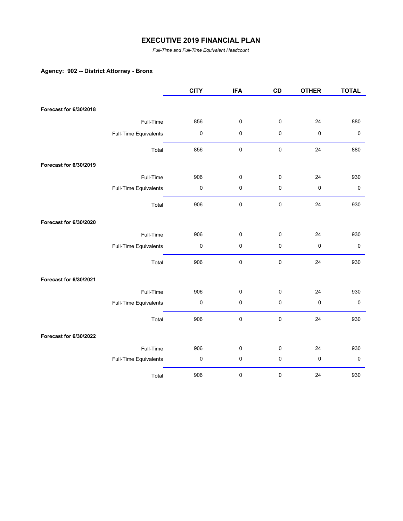*Full-Time and Full-Time Equivalent Headcount*

# **Agency: 902 -- District Attorney - Bronx**

|                        |                       | <b>CITY</b>         | <b>IFA</b> | CD        | <b>OTHER</b> | <b>TOTAL</b> |
|------------------------|-----------------------|---------------------|------------|-----------|--------------|--------------|
|                        |                       |                     |            |           |              |              |
| Forecast for 6/30/2018 |                       |                     |            |           |              |              |
|                        | Full-Time             | 856                 | $\pmb{0}$  | $\pmb{0}$ | 24           | 880          |
|                        | Full-Time Equivalents | $\pmb{0}$           | 0          | $\pmb{0}$ | 0            | $\pmb{0}$    |
|                        | Total                 | 856                 | $\pmb{0}$  | $\pmb{0}$ | 24           | 880          |
| Forecast for 6/30/2019 |                       |                     |            |           |              |              |
|                        | Full-Time             | 906                 | 0          | 0         | 24           | 930          |
|                        | Full-Time Equivalents | $\mathsf{O}\xspace$ | $\pmb{0}$  | $\pmb{0}$ | $\mathbf 0$  | $\pmb{0}$    |
|                        | Total                 | 906                 | $\pmb{0}$  | $\pmb{0}$ | 24           | 930          |
| Forecast for 6/30/2020 |                       |                     |            |           |              |              |
|                        | Full-Time             | 906                 | 0          | 0         | 24           | 930          |
|                        | Full-Time Equivalents | $\pmb{0}$           | 0          | $\pmb{0}$ | 0            | $\pmb{0}$    |
|                        | Total                 | 906                 | 0          | $\pmb{0}$ | 24           | 930          |
| Forecast for 6/30/2021 |                       |                     |            |           |              |              |
|                        | Full-Time             | 906                 | 0          | 0         | 24           | 930          |
|                        | Full-Time Equivalents | 0                   | 0          | $\pmb{0}$ | $\pmb{0}$    | $\pmb{0}$    |
|                        | Total                 | 906                 | 0          | 0         | 24           | 930          |
| Forecast for 6/30/2022 |                       |                     |            |           |              |              |
|                        | Full-Time             | 906                 | 0          | 0         | 24           | 930          |
|                        | Full-Time Equivalents | $\pmb{0}$           | $\pmb{0}$  | $\pmb{0}$ | $\pmb{0}$    | $\pmb{0}$    |
|                        | Total                 | 906                 | 0          | 0         | 24           | 930          |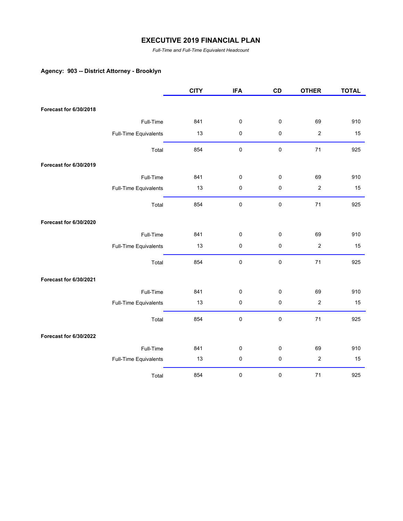*Full-Time and Full-Time Equivalent Headcount*

# **Agency: 903 -- District Attorney - Brooklyn**

|                        |                       | <b>CITY</b> | <b>IFA</b> | CD          | <b>OTHER</b>     | <b>TOTAL</b> |
|------------------------|-----------------------|-------------|------------|-------------|------------------|--------------|
| Forecast for 6/30/2018 |                       |             |            |             |                  |              |
|                        |                       |             |            |             |                  |              |
|                        | Full-Time             | 841         | $\pmb{0}$  | 0           | 69               | 910          |
|                        | Full-Time Equivalents | 13          | 0          | 0           | $\boldsymbol{2}$ | 15           |
|                        | Total                 | 854         | 0          | $\mathbf 0$ | $71$             | 925          |
| Forecast for 6/30/2019 |                       |             |            |             |                  |              |
|                        | Full-Time             | 841         | 0          | 0           | 69               | 910          |
|                        | Full-Time Equivalents | 13          | $\pmb{0}$  | 0           | $\boldsymbol{2}$ | 15           |
|                        | Total                 | 854         | $\pmb{0}$  | $\mathbf 0$ | 71               | 925          |
| Forecast for 6/30/2020 |                       |             |            |             |                  |              |
|                        | Full-Time             | 841         | 0          | 0           | 69               | 910          |
|                        | Full-Time Equivalents | 13          | $\pmb{0}$  | $\pmb{0}$   | $\boldsymbol{2}$ | 15           |
|                        | Total                 | 854         | $\pmb{0}$  | $\pmb{0}$   | 71               | 925          |
| Forecast for 6/30/2021 |                       |             |            |             |                  |              |
|                        | Full-Time             | 841         | $\pmb{0}$  | 0           | 69               | 910          |
|                        | Full-Time Equivalents | 13          | $\pmb{0}$  | 0           | $\boldsymbol{2}$ | 15           |
|                        | Total                 | 854         | $\pmb{0}$  | $\pmb{0}$   | 71               | 925          |
| Forecast for 6/30/2022 |                       |             |            |             |                  |              |
|                        | Full-Time             | 841         | 0          | 0           | 69               | 910          |
|                        | Full-Time Equivalents | 13          | $\pmb{0}$  | $\pmb{0}$   | $\boldsymbol{2}$ | 15           |
|                        | Total                 | 854         | $\pmb{0}$  | 0           | 71               | 925          |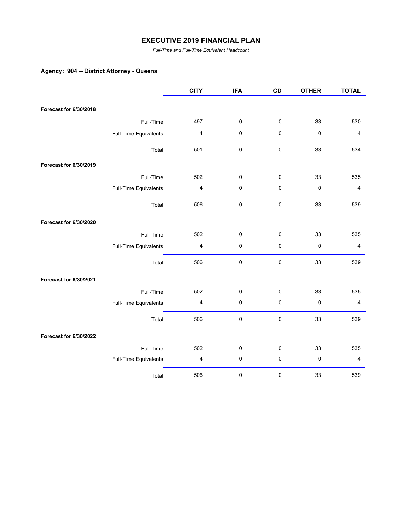*Full-Time and Full-Time Equivalent Headcount*

# **Agency: 904 -- District Attorney - Queens**

|                        |                       | <b>CITY</b>             | <b>IFA</b> | CD          | <b>OTHER</b> | <b>TOTAL</b>            |
|------------------------|-----------------------|-------------------------|------------|-------------|--------------|-------------------------|
| Forecast for 6/30/2018 |                       |                         |            |             |              |                         |
|                        |                       |                         |            |             |              |                         |
|                        | Full-Time             | 497                     | 0          | 0           | 33           | 530                     |
|                        | Full-Time Equivalents | 4                       | 0          | 0           | $\pmb{0}$    | $\overline{\mathbf{4}}$ |
|                        | Total                 | 501                     | $\pmb{0}$  | $\mathbf 0$ | 33           | 534                     |
| Forecast for 6/30/2019 |                       |                         |            |             |              |                         |
|                        | Full-Time             | 502                     | 0          | 0           | 33           | 535                     |
|                        | Full-Time Equivalents | $\overline{\mathbf{4}}$ | $\pmb{0}$  | 0           | $\pmb{0}$    | $\overline{\mathbf{4}}$ |
|                        | Total                 | 506                     | $\pmb{0}$  | $\pmb{0}$   | 33           | 539                     |
| Forecast for 6/30/2020 |                       |                         |            |             |              |                         |
|                        | Full-Time             | 502                     | $\pmb{0}$  | 0           | 33           | 535                     |
|                        | Full-Time Equivalents | $\overline{\mathbf{4}}$ | $\pmb{0}$  | 0           | $\pmb{0}$    | $\overline{4}$          |
|                        | Total                 | 506                     | $\pmb{0}$  | 0           | 33           | 539                     |
| Forecast for 6/30/2021 |                       |                         |            |             |              |                         |
|                        | Full-Time             | 502                     | 0          | 0           | 33           | 535                     |
|                        | Full-Time Equivalents | $\overline{\mathbf{4}}$ | $\pmb{0}$  | 0           | $\pmb{0}$    | $\overline{4}$          |
|                        | Total                 | 506                     | $\pmb{0}$  | $\pmb{0}$   | 33           | 539                     |
| Forecast for 6/30/2022 |                       |                         |            |             |              |                         |
|                        | Full-Time             | 502                     | $\pmb{0}$  | 0           | 33           | 535                     |
|                        | Full-Time Equivalents | 4                       | $\pmb{0}$  | 0           | 0            | $\overline{\mathbf{4}}$ |
|                        | Total                 | 506                     | 0          | 0           | 33           | 539                     |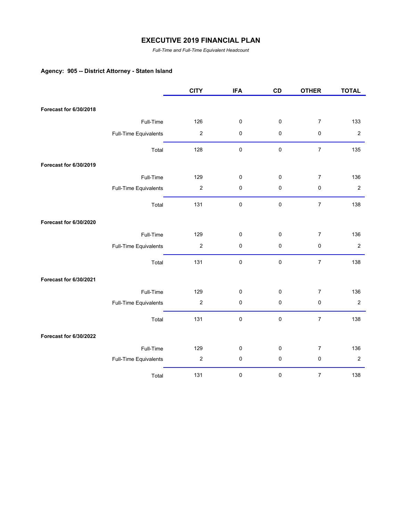*Full-Time and Full-Time Equivalent Headcount*

# **Agency: 905 -- District Attorney - Staten Island**

|                        |                       | <b>CITY</b>      | <b>IFA</b> | CD        | <b>OTHER</b>     | <b>TOTAL</b>   |
|------------------------|-----------------------|------------------|------------|-----------|------------------|----------------|
|                        |                       |                  |            |           |                  |                |
| Forecast for 6/30/2018 |                       |                  |            |           |                  |                |
|                        | Full-Time             | 126              | 0          | 0         | $\overline{7}$   | 133            |
|                        | Full-Time Equivalents | $\boldsymbol{2}$ | 0          | 0         | 0                | $\sqrt{2}$     |
|                        | Total                 | 128              | $\pmb{0}$  | $\pmb{0}$ | $\boldsymbol{7}$ | 135            |
| Forecast for 6/30/2019 |                       |                  |            |           |                  |                |
|                        | Full-Time             | 129              | 0          | 0         | $\overline{7}$   | 136            |
|                        | Full-Time Equivalents | $\boldsymbol{2}$ | 0          | 0         | $\pmb{0}$        | $\overline{2}$ |
|                        | Total                 | 131              | $\pmb{0}$  | $\pmb{0}$ | $\boldsymbol{7}$ | 138            |
| Forecast for 6/30/2020 |                       |                  |            |           |                  |                |
|                        | Full-Time             | 129              | 0          | 0         | $\overline{7}$   | 136            |
|                        | Full-Time Equivalents | $\boldsymbol{2}$ | 0          | $\pmb{0}$ | $\pmb{0}$        | $\overline{c}$ |
|                        | Total                 | 131              | $\pmb{0}$  | $\pmb{0}$ | $\overline{7}$   | 138            |
| Forecast for 6/30/2021 |                       |                  |            |           |                  |                |
|                        | Full-Time             | 129              | 0          | 0         | $\boldsymbol{7}$ | 136            |
|                        | Full-Time Equivalents | $\boldsymbol{2}$ | 0          | $\pmb{0}$ | $\pmb{0}$        | $\sqrt{2}$     |
|                        | Total                 | 131              | 0          | $\pmb{0}$ | $\boldsymbol{7}$ | 138            |
| Forecast for 6/30/2022 |                       |                  |            |           |                  |                |
|                        | Full-Time             | 129              | 0          | 0         | $\boldsymbol{7}$ | 136            |
|                        | Full-Time Equivalents | $\boldsymbol{2}$ | 0          | $\pmb{0}$ | $\pmb{0}$        | $\sqrt{2}$     |
|                        | Total                 | 131              | 0          | $\pmb{0}$ | $\boldsymbol{7}$ | 138            |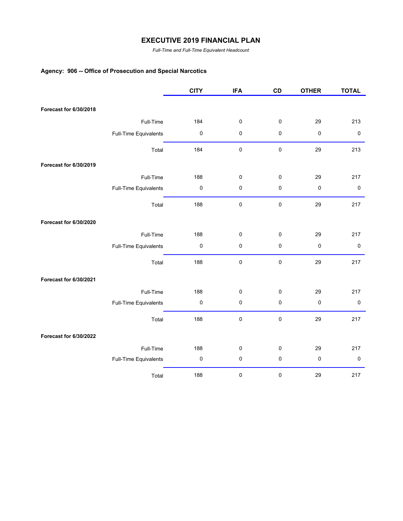*Full-Time and Full-Time Equivalent Headcount*

# **Agency: 906 -- Office of Prosecution and Special Narcotics**

|                        |                       | <b>CITY</b> | <b>IFA</b> | CD          | <b>OTHER</b> | <b>TOTAL</b> |
|------------------------|-----------------------|-------------|------------|-------------|--------------|--------------|
|                        |                       |             |            |             |              |              |
| Forecast for 6/30/2018 |                       |             |            |             |              |              |
|                        | Full-Time             | 184         | $\pmb{0}$  | 0           | 29           | 213          |
|                        | Full-Time Equivalents | 0           | $\pmb{0}$  | 0           | $\pmb{0}$    | $\mathbf 0$  |
|                        | Total                 | 184         | 0          | $\mathbf 0$ | 29           | 213          |
| Forecast for 6/30/2019 |                       |             |            |             |              |              |
|                        | Full-Time             | 188         | $\pmb{0}$  | 0           | 29           | 217          |
|                        | Full-Time Equivalents | 0           | $\pmb{0}$  | 0           | $\pmb{0}$    | $\pmb{0}$    |
|                        | Total                 | 188         | $\pmb{0}$  | $\pmb{0}$   | 29           | 217          |
| Forecast for 6/30/2020 |                       |             |            |             |              |              |
|                        | Full-Time             | 188         | $\pmb{0}$  | 0           | 29           | 217          |
|                        | Full-Time Equivalents | 0           | $\pmb{0}$  | 0           | $\pmb{0}$    | $\pmb{0}$    |
|                        | Total                 | 188         | 0          | $\pmb{0}$   | 29           | 217          |
| Forecast for 6/30/2021 |                       |             |            |             |              |              |
|                        | Full-Time             | 188         | $\pmb{0}$  | $\pmb{0}$   | 29           | 217          |
|                        | Full-Time Equivalents | 0           | 0          | 0           | $\pmb{0}$    | $\pmb{0}$    |
|                        | Total                 | 188         | $\pmb{0}$  | $\pmb{0}$   | 29           | 217          |
| Forecast for 6/30/2022 |                       |             |            |             |              |              |
|                        | Full-Time             | 188         | $\pmb{0}$  | $\pmb{0}$   | 29           | 217          |
|                        | Full-Time Equivalents | $\pmb{0}$   | $\pmb{0}$  | 0           | $\pmb{0}$    | $\pmb{0}$    |
|                        | Total                 | 188         | $\pmb{0}$  | $\pmb{0}$   | 29           | 217          |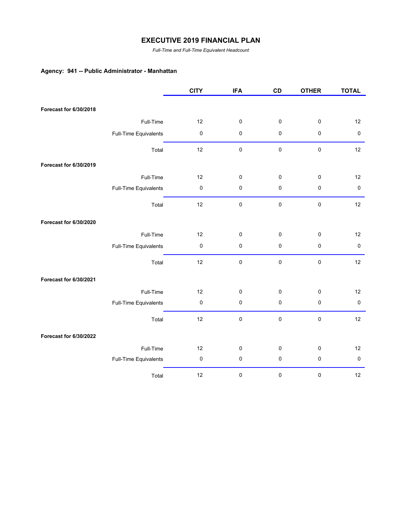*Full-Time and Full-Time Equivalent Headcount*

#### **Agency: 941 -- Public Administrator - Manhattan**

|                        |                       | <b>CITY</b> | <b>IFA</b> | CD | <b>OTHER</b> | <b>TOTAL</b> |
|------------------------|-----------------------|-------------|------------|----|--------------|--------------|
|                        |                       |             |            |    |              |              |
| Forecast for 6/30/2018 |                       |             |            |    |              |              |
|                        | Full-Time             | 12          | $\pmb{0}$  | 0  | $\pmb{0}$    | 12           |
|                        | Full-Time Equivalents | $\pmb{0}$   | $\pmb{0}$  | 0  | $\pmb{0}$    | $\pmb{0}$    |
|                        | Total                 | 12          | $\pmb{0}$  | 0  | $\pmb{0}$    | 12           |
| Forecast for 6/30/2019 |                       |             |            |    |              |              |
|                        | Full-Time             | 12          | $\pmb{0}$  | 0  | $\pmb{0}$    | 12           |
|                        | Full-Time Equivalents | $\pmb{0}$   | $\pmb{0}$  | 0  | $\pmb{0}$    | $\pmb{0}$    |
|                        | Total                 | 12          | $\pmb{0}$  | 0  | $\pmb{0}$    | 12           |
| Forecast for 6/30/2020 |                       |             |            |    |              |              |
|                        | Full-Time             | 12          | $\pmb{0}$  | 0  | $\mathbf 0$  | 12           |
|                        | Full-Time Equivalents | $\pmb{0}$   | $\pmb{0}$  | 0  | $\pmb{0}$    | $\pmb{0}$    |
|                        | Total                 | 12          | $\pmb{0}$  | 0  | $\pmb{0}$    | 12           |
| Forecast for 6/30/2021 |                       |             |            |    |              |              |
|                        | Full-Time             | 12          | $\pmb{0}$  | 0  | $\pmb{0}$    | 12           |
|                        | Full-Time Equivalents | 0           | $\pmb{0}$  | 0  | $\pmb{0}$    | $\pmb{0}$    |
|                        | Total                 | 12          | $\pmb{0}$  | 0  | $\pmb{0}$    | 12           |
| Forecast for 6/30/2022 |                       |             |            |    |              |              |
|                        | Full-Time             | 12          | $\pmb{0}$  | 0  | $\pmb{0}$    | 12           |
|                        | Full-Time Equivalents | $\pmb{0}$   | $\pmb{0}$  | 0  | $\pmb{0}$    | $\pmb{0}$    |
|                        | Total                 | 12          | $\pmb{0}$  | 0  | $\pmb{0}$    | 12           |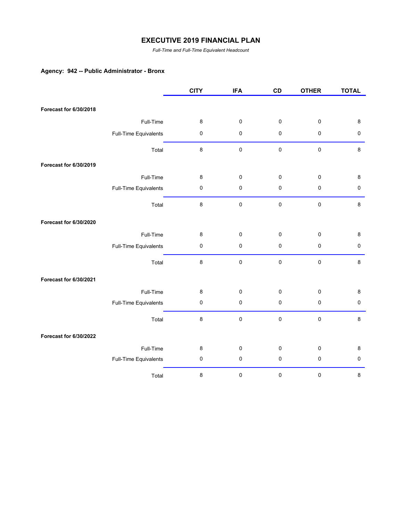*Full-Time and Full-Time Equivalent Headcount*

#### **Agency: 942 -- Public Administrator - Bronx**

|                        |                       | <b>CITY</b> | <b>IFA</b> | CD        | <b>OTHER</b> | <b>TOTAL</b> |
|------------------------|-----------------------|-------------|------------|-----------|--------------|--------------|
| Forecast for 6/30/2018 |                       |             |            |           |              |              |
|                        |                       |             |            |           |              |              |
|                        | Full-Time             | 8           | $\pmb{0}$  | 0         | $\pmb{0}$    | $\bf 8$      |
|                        | Full-Time Equivalents | 0           | 0          | 0         | $\pmb{0}$    | $\pmb{0}$    |
|                        | Total                 | 8           | 0          | $\pmb{0}$ | $\pmb{0}$    | $\bf 8$      |
| Forecast for 6/30/2019 |                       |             |            |           |              |              |
|                        | Full-Time             | 8           | 0          | 0         | $\pmb{0}$    | 8            |
|                        | Full-Time Equivalents | $\pmb{0}$   | 0          | 0         | $\pmb{0}$    | $\pmb{0}$    |
|                        | Total                 | 8           | $\pmb{0}$  | $\pmb{0}$ | $\pmb{0}$    | $\bf 8$      |
| Forecast for 6/30/2020 |                       |             |            |           |              |              |
|                        | Full-Time             | 8           | 0          | $\pmb{0}$ | $\pmb{0}$    | 8            |
|                        | Full-Time Equivalents | $\pmb{0}$   | 0          | $\pmb{0}$ | $\pmb{0}$    | 0            |
|                        | Total                 | 8           | $\pmb{0}$  | $\pmb{0}$ | $\pmb{0}$    | $\bf 8$      |
| Forecast for 6/30/2021 |                       |             |            |           |              |              |
|                        | Full-Time             | 8           | 0          | 0         | $\pmb{0}$    | 8            |
|                        | Full-Time Equivalents | 0           | 0          | $\pmb{0}$ | $\pmb{0}$    | $\pmb{0}$    |
|                        | Total                 | 8           | 0          | $\pmb{0}$ | $\pmb{0}$    | $\bf 8$      |
| Forecast for 6/30/2022 |                       |             |            |           |              |              |
|                        | Full-Time             | 8           | 0          | 0         | $\pmb{0}$    | 8            |
|                        | Full-Time Equivalents | $\pmb{0}$   | $\pmb{0}$  | $\pmb{0}$ | $\pmb{0}$    | $\pmb{0}$    |
|                        | Total                 | 8           | $\pmb{0}$  | 0         | $\pmb{0}$    | $\bf 8$      |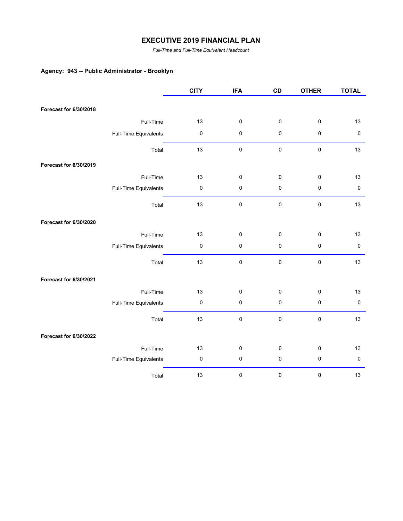*Full-Time and Full-Time Equivalent Headcount*

# **Agency: 943 -- Public Administrator - Brooklyn**

|                        |                       | <b>CITY</b> | <b>IFA</b> | CD          | <b>OTHER</b> | <b>TOTAL</b> |
|------------------------|-----------------------|-------------|------------|-------------|--------------|--------------|
|                        |                       |             |            |             |              |              |
| Forecast for 6/30/2018 |                       |             |            |             |              |              |
|                        | Full-Time             | 13          | $\pmb{0}$  | 0           | $\pmb{0}$    | 13           |
|                        | Full-Time Equivalents | $\pmb{0}$   | $\pmb{0}$  | 0           | $\pmb{0}$    | $\pmb{0}$    |
|                        | Total                 | 13          | $\pmb{0}$  | 0           | $\pmb{0}$    | 13           |
| Forecast for 6/30/2019 |                       |             |            |             |              |              |
|                        | Full-Time             | 13          | $\pmb{0}$  | 0           | $\pmb{0}$    | 13           |
|                        | Full-Time Equivalents | $\pmb{0}$   | $\pmb{0}$  | 0           | $\pmb{0}$    | $\pmb{0}$    |
|                        | Total                 | 13          | $\pmb{0}$  | 0           | $\pmb{0}$    | 13           |
| Forecast for 6/30/2020 |                       |             |            |             |              |              |
|                        | Full-Time             | 13          | $\pmb{0}$  | $\pmb{0}$   | $\pmb{0}$    | 13           |
|                        | Full-Time Equivalents | $\pmb{0}$   | $\pmb{0}$  | 0           | $\pmb{0}$    | $\pmb{0}$    |
|                        | Total                 | 13          | $\pmb{0}$  | $\pmb{0}$   | $\pmb{0}$    | 13           |
| Forecast for 6/30/2021 |                       |             |            |             |              |              |
|                        | Full-Time             | 13          | $\pmb{0}$  | 0           | $\pmb{0}$    | 13           |
|                        | Full-Time Equivalents | $\pmb{0}$   | $\pmb{0}$  | 0           | $\pmb{0}$    | $\pmb{0}$    |
|                        | Total                 | 13          | $\pmb{0}$  | $\mathbf 0$ | $\pmb{0}$    | 13           |
| Forecast for 6/30/2022 |                       |             |            |             |              |              |
|                        | Full-Time             | 13          | $\pmb{0}$  | 0           | $\pmb{0}$    | 13           |
|                        | Full-Time Equivalents | 0           | $\pmb{0}$  | 0           | $\pmb{0}$    | $\pmb{0}$    |
|                        | Total                 | 13          | $\pmb{0}$  | 0           | $\pmb{0}$    | 13           |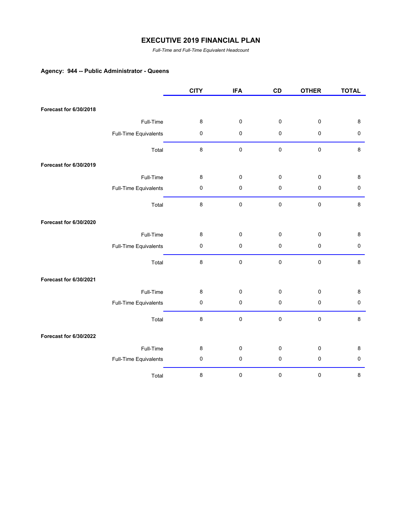*Full-Time and Full-Time Equivalent Headcount*

# **Agency: 944 -- Public Administrator - Queens**

|                        |                       | <b>CITY</b> | <b>IFA</b> | CD          | <b>OTHER</b> | <b>TOTAL</b> |
|------------------------|-----------------------|-------------|------------|-------------|--------------|--------------|
|                        |                       |             |            |             |              |              |
| Forecast for 6/30/2018 |                       |             |            |             |              |              |
|                        | Full-Time             | 8           | $\pmb{0}$  | $\pmb{0}$   | $\pmb{0}$    | $\bf 8$      |
|                        | Full-Time Equivalents | $\pmb{0}$   | $\pmb{0}$  | $\pmb{0}$   | $\pmb{0}$    | $\pmb{0}$    |
|                        | Total                 | 8           | $\pmb{0}$  | $\pmb{0}$   | $\pmb{0}$    | $\bf 8$      |
| Forecast for 6/30/2019 |                       |             |            |             |              |              |
|                        | Full-Time             | 8           | $\pmb{0}$  | 0           | $\pmb{0}$    | 8            |
|                        | Full-Time Equivalents | $\pmb{0}$   | $\pmb{0}$  | 0           | $\pmb{0}$    | $\pmb{0}$    |
|                        | Total                 | 8           | $\pmb{0}$  | $\mathbf 0$ | $\pmb{0}$    | $\bf 8$      |
| Forecast for 6/30/2020 |                       |             |            |             |              |              |
|                        | Full-Time             | 8           | $\pmb{0}$  | 0           | $\pmb{0}$    | 8            |
|                        | Full-Time Equivalents | $\pmb{0}$   | $\pmb{0}$  | $\pmb{0}$   | $\pmb{0}$    | $\pmb{0}$    |
|                        | Total                 | 8           | $\pmb{0}$  | $\pmb{0}$   | $\pmb{0}$    | 8            |
| Forecast for 6/30/2021 |                       |             |            |             |              |              |
|                        | Full-Time             | 8           | $\pmb{0}$  | 0           | $\pmb{0}$    | 8            |
|                        | Full-Time Equivalents | 0           | $\pmb{0}$  | 0           | $\pmb{0}$    | $\pmb{0}$    |
|                        | Total                 | $\bf 8$     | $\pmb{0}$  | $\pmb{0}$   | $\pmb{0}$    | $\bf 8$      |
| Forecast for 6/30/2022 |                       |             |            |             |              |              |
|                        | Full-Time             | 8           | $\pmb{0}$  | 0           | $\pmb{0}$    | 8            |
|                        | Full-Time Equivalents | 0           | $\pmb{0}$  | 0           | $\pmb{0}$    | $\pmb{0}$    |
|                        | Total                 | 8           | 0          | $\pmb{0}$   | $\pmb{0}$    | $\bf 8$      |